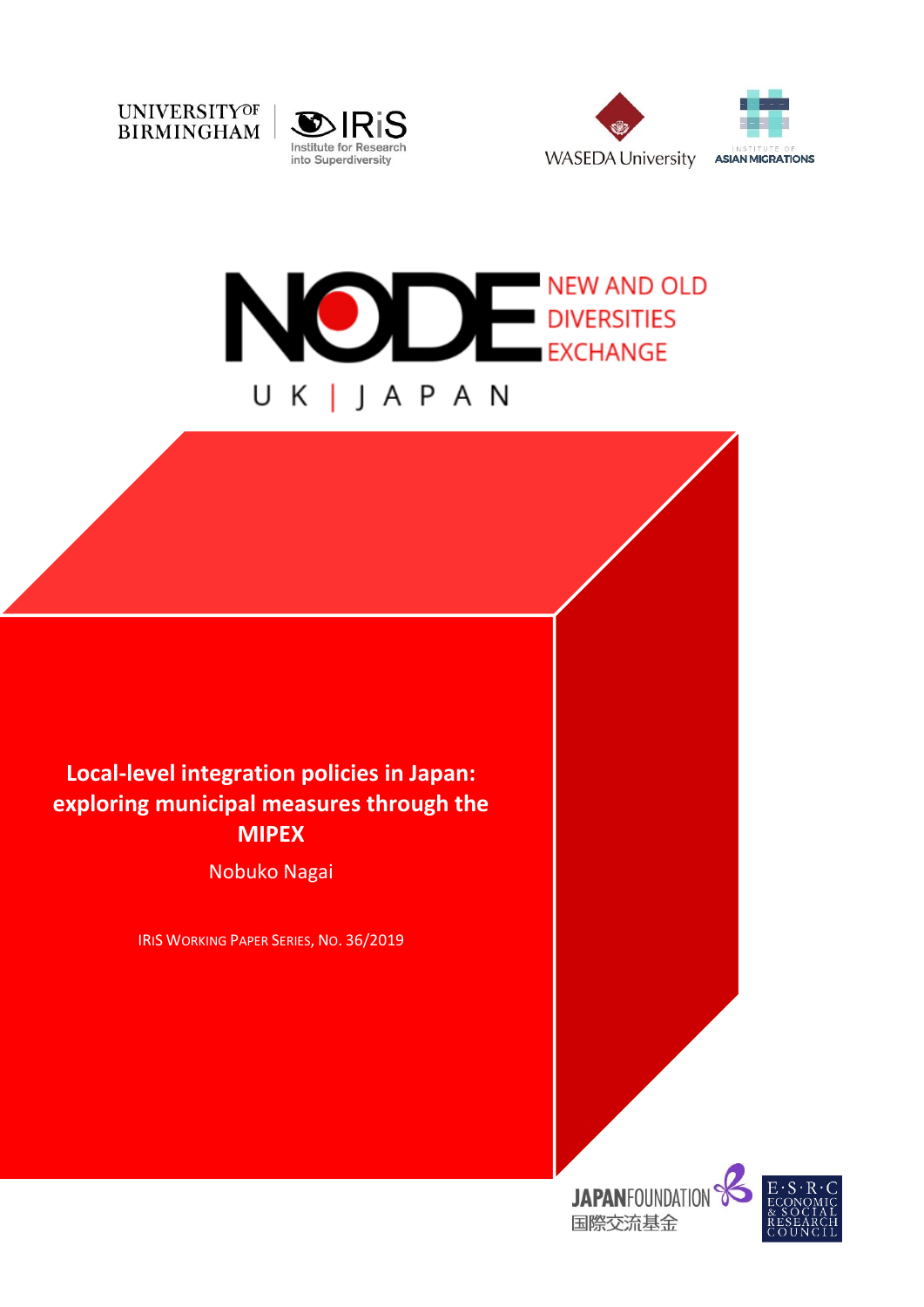







# **Local-level integration policies in Japan: exploring municipal measures through the MIPEX**

Nobuko Nagai

IRIS WORKING PAPER SERIES, NO. 36/2019



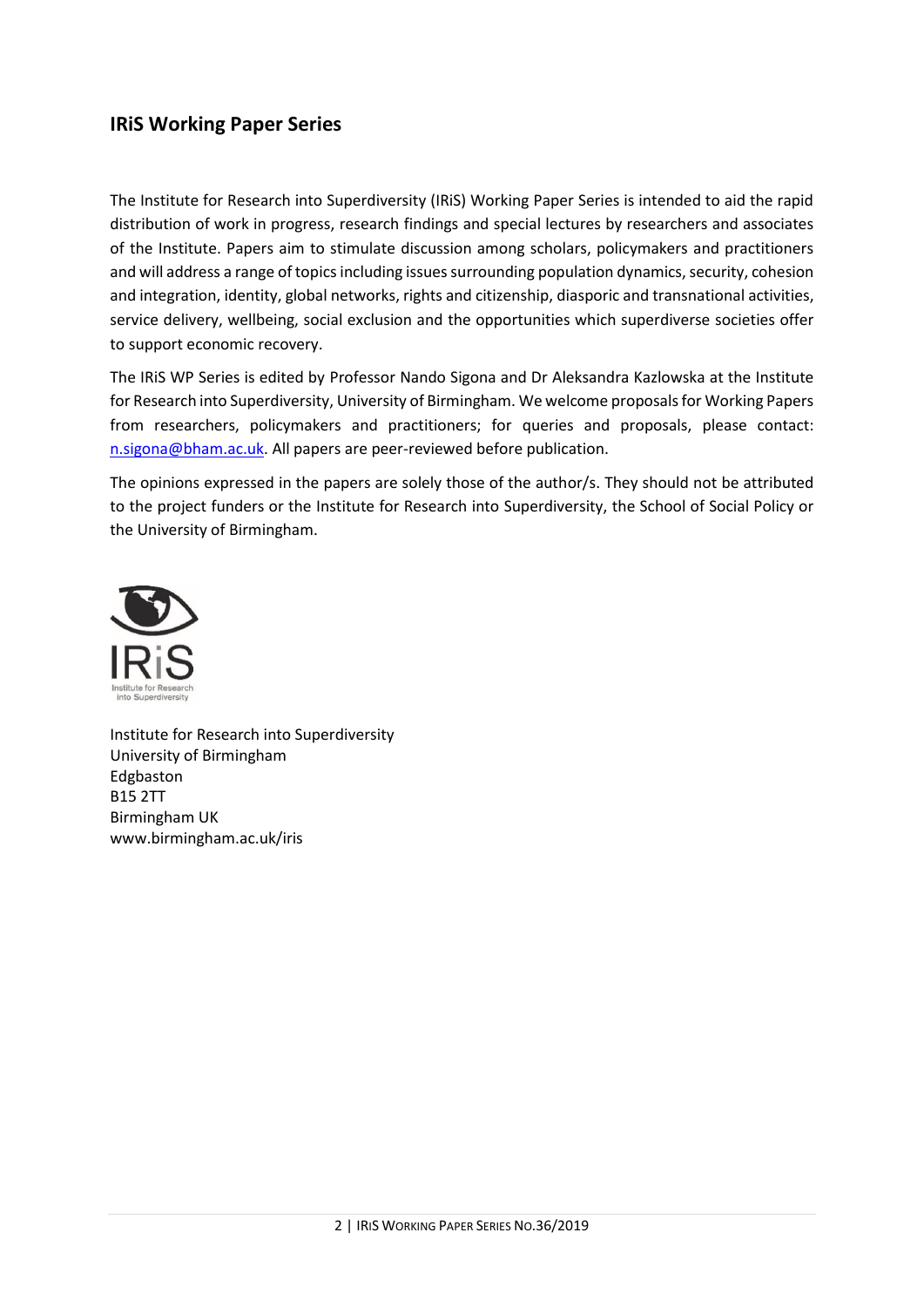# **IRiS Working Paper Series**

The Institute for Research into Superdiversity (IRiS) Working Paper Series is intended to aid the rapid distribution of work in progress, research findings and special lectures by researchers and associates of the Institute. Papers aim to stimulate discussion among scholars, policymakers and practitioners and will address a range of topics including issues surrounding population dynamics, security, cohesion and integration, identity, global networks, rights and citizenship, diasporic and transnational activities, service delivery, wellbeing, social exclusion and the opportunities which superdiverse societies offer to support economic recovery.

The IRiS WP Series is edited by Professor Nando Sigona and Dr Aleksandra Kazlowska at the Institute for Research into Superdiversity, University of Birmingham. We welcome proposals for Working Papers from researchers, policymakers and practitioners; for queries and proposals, please contact: [n.sigona@bham.ac.uk.](mailto:n.sigona@bham.ac.uk) All papers are peer-reviewed before publication.

The opinions expressed in the papers are solely those of the author/s. They should not be attributed to the project funders or the Institute for Research into Superdiversity, the School of Social Policy or the University of Birmingham.



Institute for Research into Superdiversity University of Birmingham Edgbaston B15 2TT Birmingham UK www.birmingham.ac.uk/iris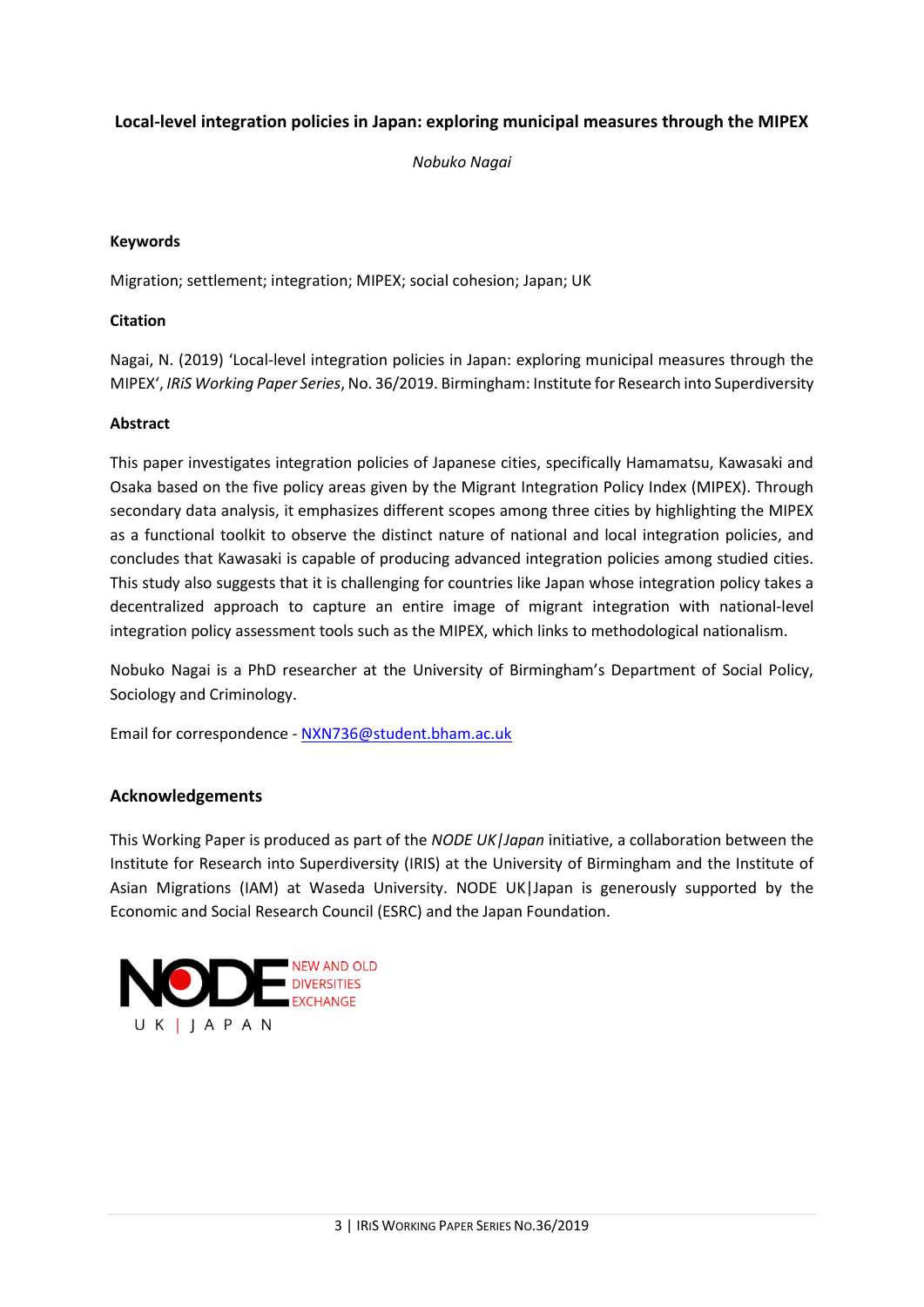#### **Local-level integration policies in Japan: exploring municipal measures through the MIPEX**

*Nobuko Nagai*

#### **Keywords**

Migration; settlement; integration; MIPEX; social cohesion; Japan; UK

#### **Citation**

Nagai, N. (2019) 'Local-level integration policies in Japan: exploring municipal measures through the MIPEX', *IRiS Working Paper Series*, No. 36/2019. Birmingham: Institute for Research into Superdiversity

#### **Abstract**

This paper investigates integration policies of Japanese cities, specifically Hamamatsu, Kawasaki and Osaka based on the five policy areas given by the Migrant Integration Policy Index (MIPEX). Through secondary data analysis, it emphasizes different scopes among three cities by highlighting the MIPEX as a functional toolkit to observe the distinct nature of national and local integration policies, and concludes that Kawasaki is capable of producing advanced integration policies among studied cities. This study also suggests that it is challenging for countries like Japan whose integration policy takes a decentralized approach to capture an entire image of migrant integration with national-level integration policy assessment tools such as the MIPEX, which links to methodological nationalism.

Nobuko Nagai is a PhD researcher at the University of Birmingham's Department of Social Policy, Sociology and Criminology.

Email for correspondence - [NXN736@student.bham.ac.uk](mailto:NXN736@student.bham.ac.uk) 

#### <span id="page-2-0"></span>**Acknowledgements**

This Working Paper is produced as part of the *NODE UK|Japan* initiative, a collaboration between the Institute for Research into Superdiversity (IRIS) at the University of Birmingham and the Institute of Asian Migrations (IAM) at Waseda University. NODE UK|Japan is generously supported by the Economic and Social Research Council (ESRC) and the Japan Foundation.

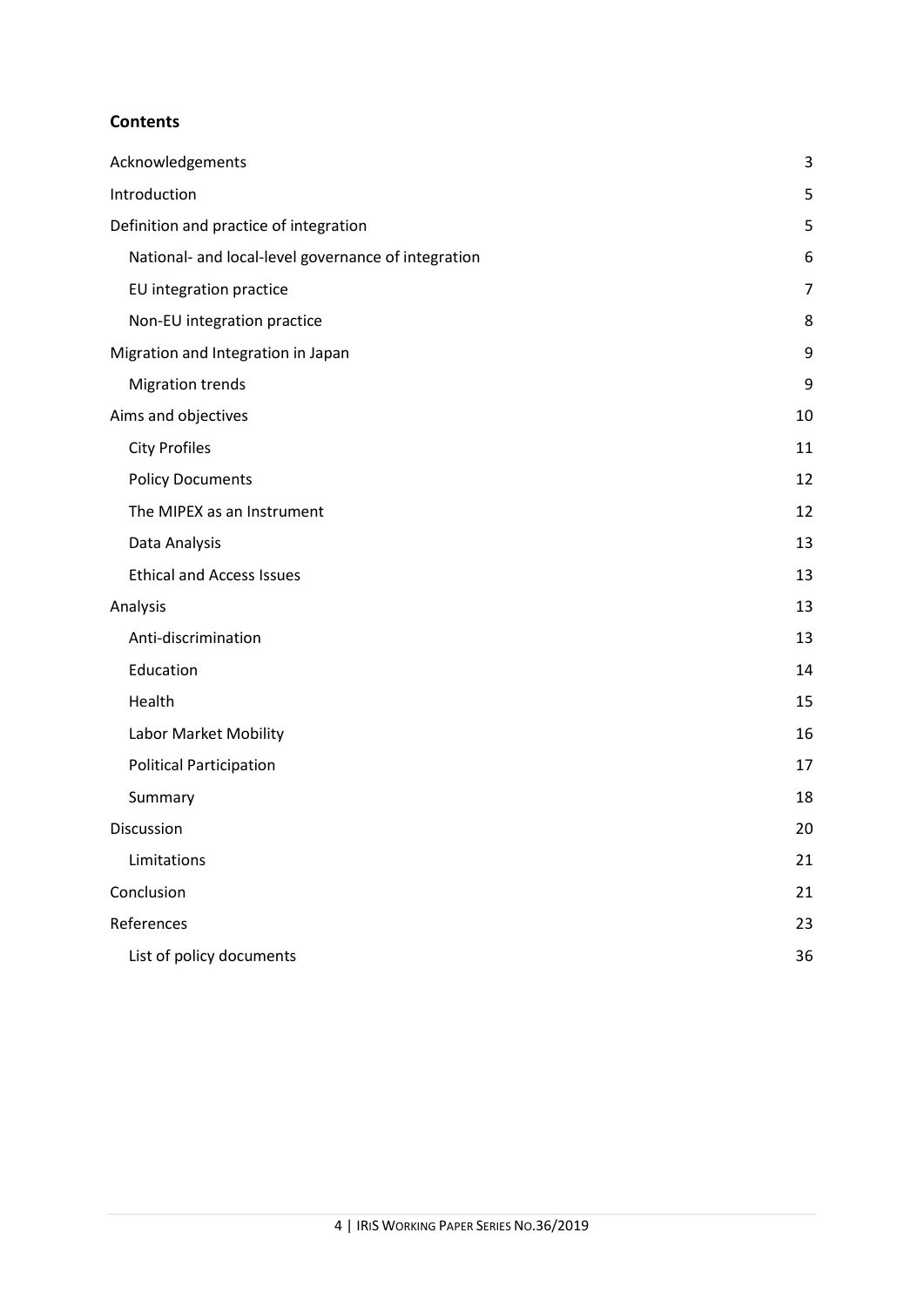#### **Contents**

| Acknowledgements                                    | 3  |
|-----------------------------------------------------|----|
| Introduction                                        | 5  |
| Definition and practice of integration              | 5  |
| National- and local-level governance of integration | 6  |
| EU integration practice                             | 7  |
| Non-EU integration practice                         | 8  |
| Migration and Integration in Japan                  | 9  |
| <b>Migration trends</b>                             | 9  |
| Aims and objectives                                 | 10 |
| <b>City Profiles</b>                                | 11 |
| <b>Policy Documents</b>                             | 12 |
| The MIPEX as an Instrument                          | 12 |
| Data Analysis                                       | 13 |
| <b>Ethical and Access Issues</b>                    | 13 |
| Analysis                                            | 13 |
| Anti-discrimination                                 | 13 |
| Education                                           | 14 |
| Health                                              | 15 |
| Labor Market Mobility                               | 16 |
| <b>Political Participation</b>                      | 17 |
| Summary                                             | 18 |
| Discussion                                          | 20 |
| Limitations                                         | 21 |
| Conclusion                                          | 21 |
| References                                          | 23 |
| List of policy documents                            | 36 |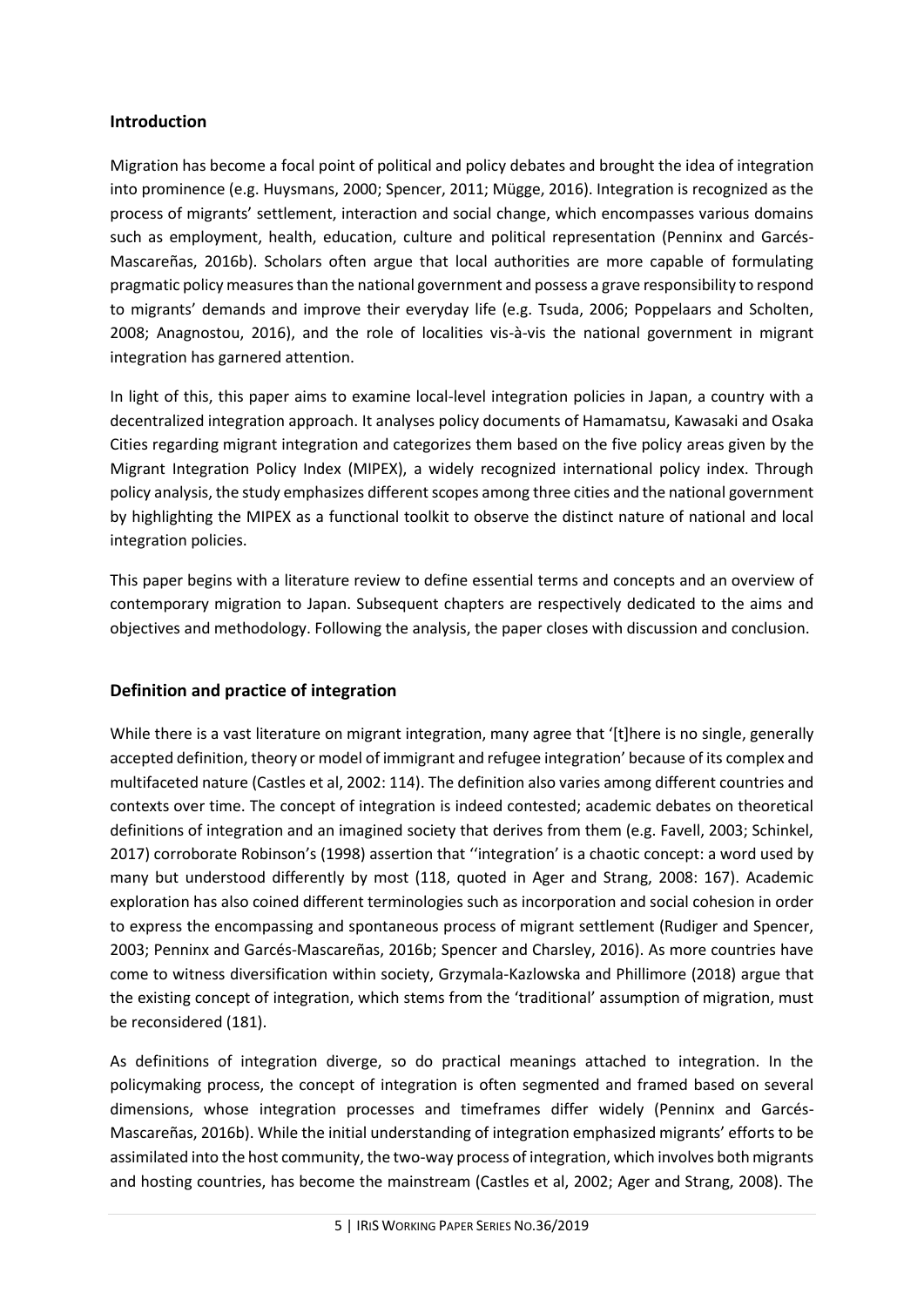#### <span id="page-4-0"></span>**Introduction**

Migration has become a focal point of political and policy debates and brought the idea of integration into prominence (e.g. Huysmans, 2000; Spencer, 2011; Mügge, 2016). Integration is recognized as the process of migrants' settlement, interaction and social change, which encompasses various domains such as employment, health, education, culture and political representation (Penninx and Garcés-Mascareñas, 2016b). Scholars often argue that local authorities are more capable of formulating pragmatic policy measures than the national government and possess a grave responsibility to respond to migrants' demands and improve their everyday life (e.g. Tsuda, 2006; Poppelaars and Scholten, 2008; Anagnostou, 2016), and the role of localities vis-à-vis the national government in migrant integration has garnered attention.

In light of this, this paper aims to examine local-level integration policies in Japan, a country with a decentralized integration approach. It analyses policy documents of Hamamatsu, Kawasaki and Osaka Cities regarding migrant integration and categorizes them based on the five policy areas given by the Migrant Integration Policy Index (MIPEX), a widely recognized international policy index. Through policy analysis, the study emphasizes different scopes among three cities and the national government by highlighting the MIPEX as a functional toolkit to observe the distinct nature of national and local integration policies.

This paper begins with a literature review to define essential terms and concepts and an overview of contemporary migration to Japan. Subsequent chapters are respectively dedicated to the aims and objectives and methodology. Following the analysis, the paper closes with discussion and conclusion.

## <span id="page-4-1"></span>**Definition and practice of integration**

While there is a vast literature on migrant integration, many agree that '[t]here is no single, generally accepted definition, theory or model of immigrant and refugee integration' because of its complex and multifaceted nature (Castles et al, 2002: 114). The definition also varies among different countries and contexts over time. The concept of integration is indeed contested; academic debates on theoretical definitions of integration and an imagined society that derives from them (e.g. Favell, 2003; Schinkel, 2017) corroborate Robinson's (1998) assertion that ''integration' is a chaotic concept: a word used by many but understood differently by most (118, quoted in Ager and Strang, 2008: 167). Academic exploration has also coined different terminologies such as incorporation and social cohesion in order to express the encompassing and spontaneous process of migrant settlement (Rudiger and Spencer, 2003; Penninx and Garcés-Mascareñas, 2016b; Spencer and Charsley, 2016). As more countries have come to witness diversification within society, Grzymala-Kazlowska and Phillimore (2018) argue that the existing concept of integration, which stems from the 'traditional' assumption of migration, must be reconsidered (181).

As definitions of integration diverge, so do practical meanings attached to integration. In the policymaking process, the concept of integration is often segmented and framed based on several dimensions, whose integration processes and timeframes differ widely (Penninx and Garcés-Mascareñas, 2016b). While the initial understanding of integration emphasized migrants' efforts to be assimilated into the host community, the two-way process of integration, which involves both migrants and hosting countries, has become the mainstream (Castles et al, 2002; Ager and Strang, 2008). The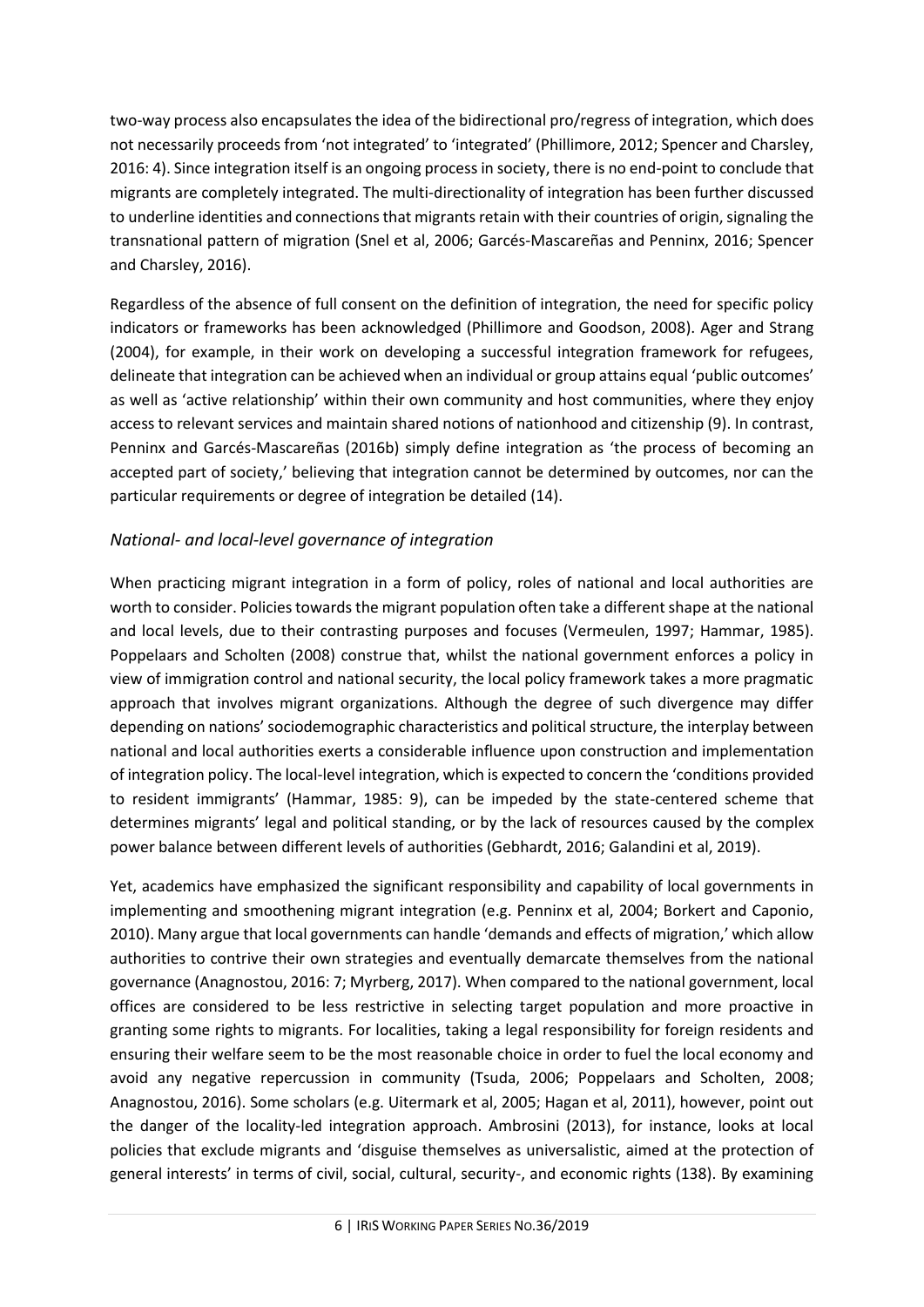two-way process also encapsulates the idea of the bidirectional pro/regress of integration, which does not necessarily proceeds from 'not integrated' to 'integrated' (Phillimore, 2012; Spencer and Charsley, 2016: 4). Since integration itself is an ongoing process in society, there is no end-point to conclude that migrants are completely integrated. The multi-directionality of integration has been further discussed to underline identities and connections that migrants retain with their countries of origin, signaling the transnational pattern of migration (Snel et al, 2006; Garcés-Mascareñas and Penninx, 2016; Spencer and Charsley, 2016).

Regardless of the absence of full consent on the definition of integration, the need for specific policy indicators or frameworks has been acknowledged (Phillimore and Goodson, 2008). Ager and Strang (2004), for example, in their work on developing a successful integration framework for refugees, delineate that integration can be achieved when an individual or group attains equal 'public outcomes' as well as 'active relationship' within their own community and host communities, where they enjoy access to relevant services and maintain shared notions of nationhood and citizenship (9). In contrast, Penninx and Garcés-Mascareñas (2016b) simply define integration as 'the process of becoming an accepted part of society,' believing that integration cannot be determined by outcomes, nor can the particular requirements or degree of integration be detailed (14).

## <span id="page-5-0"></span>*National- and local-level governance of integration*

When practicing migrant integration in a form of policy, roles of national and local authorities are worth to consider. Policies towards the migrant population often take a different shape at the national and local levels, due to their contrasting purposes and focuses (Vermeulen, 1997; Hammar, 1985). Poppelaars and Scholten (2008) construe that, whilst the national government enforces a policy in view of immigration control and national security, the local policy framework takes a more pragmatic approach that involves migrant organizations. Although the degree of such divergence may differ depending on nations' sociodemographic characteristics and political structure, the interplay between national and local authorities exerts a considerable influence upon construction and implementation of integration policy. The local-level integration, which is expected to concern the 'conditions provided to resident immigrants' (Hammar, 1985: 9), can be impeded by the state-centered scheme that determines migrants' legal and political standing, or by the lack of resources caused by the complex power balance between different levels of authorities (Gebhardt, 2016; Galandini et al, 2019).

Yet, academics have emphasized the significant responsibility and capability of local governments in implementing and smoothening migrant integration (e.g. Penninx et al, 2004; Borkert and Caponio, 2010). Many argue that local governments can handle 'demands and effects of migration,' which allow authorities to contrive their own strategies and eventually demarcate themselves from the national governance (Anagnostou, 2016: 7; Myrberg, 2017). When compared to the national government, local offices are considered to be less restrictive in selecting target population and more proactive in granting some rights to migrants. For localities, taking a legal responsibility for foreign residents and ensuring their welfare seem to be the most reasonable choice in order to fuel the local economy and avoid any negative repercussion in community (Tsuda, 2006; Poppelaars and Scholten, 2008; Anagnostou, 2016). Some scholars (e.g. Uitermark et al, 2005; Hagan et al, 2011), however, point out the danger of the locality-led integration approach. Ambrosini (2013), for instance, looks at local policies that exclude migrants and 'disguise themselves as universalistic, aimed at the protection of general interests' in terms of civil, social, cultural, security-, and economic rights (138). By examining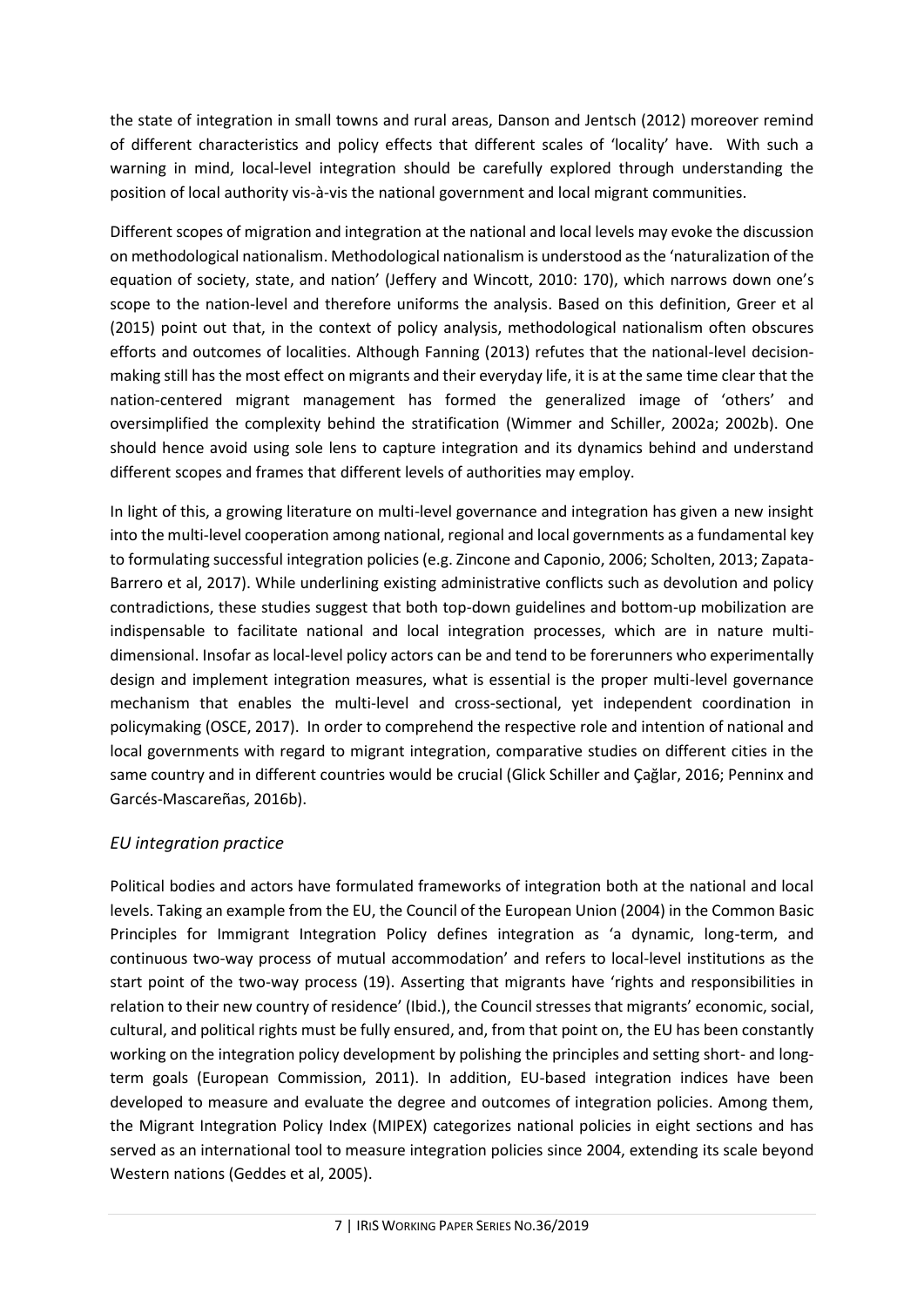the state of integration in small towns and rural areas, Danson and Jentsch (2012) moreover remind of different characteristics and policy effects that different scales of 'locality' have. With such a warning in mind, local-level integration should be carefully explored through understanding the position of local authority vis-à-vis the national government and local migrant communities.

Different scopes of migration and integration at the national and local levels may evoke the discussion on methodological nationalism. Methodological nationalism is understood as the 'naturalization of the equation of society, state, and nation' (Jeffery and Wincott, 2010: 170), which narrows down one's scope to the nation-level and therefore uniforms the analysis. Based on this definition, Greer et al (2015) point out that, in the context of policy analysis, methodological nationalism often obscures efforts and outcomes of localities. Although Fanning (2013) refutes that the national-level decisionmaking still has the most effect on migrants and their everyday life, it is at the same time clear that the nation-centered migrant management has formed the generalized image of 'others' and oversimplified the complexity behind the stratification (Wimmer and Schiller, 2002a; 2002b). One should hence avoid using sole lens to capture integration and its dynamics behind and understand different scopes and frames that different levels of authorities may employ.

In light of this, a growing literature on multi-level governance and integration has given a new insight into the multi-level cooperation among national, regional and local governments as a fundamental key to formulating successful integration policies (e.g. Zincone and Caponio, 2006; Scholten, 2013; Zapata-Barrero et al, 2017). While underlining existing administrative conflicts such as devolution and policy contradictions, these studies suggest that both top-down guidelines and bottom-up mobilization are indispensable to facilitate national and local integration processes, which are in nature multidimensional. Insofar as local-level policy actors can be and tend to be forerunners who experimentally design and implement integration measures, what is essential is the proper multi-level governance mechanism that enables the multi-level and cross-sectional, yet independent coordination in policymaking (OSCE, 2017). In order to comprehend the respective role and intention of national and local governments with regard to migrant integration, comparative studies on different cities in the same country and in different countries would be crucial (Glick Schiller and Çağlar, 2016; Penninx and Garcés-Mascareñas, 2016b).

## <span id="page-6-0"></span>*EU integration practice*

Political bodies and actors have formulated frameworks of integration both at the national and local levels. Taking an example from the EU, the Council of the European Union (2004) in the Common Basic Principles for Immigrant Integration Policy defines integration as 'a dynamic, long-term, and continuous two-way process of mutual accommodation' and refers to local-level institutions as the start point of the two-way process (19). Asserting that migrants have 'rights and responsibilities in relation to their new country of residence' (Ibid.), the Council stresses that migrants' economic, social, cultural, and political rights must be fully ensured, and, from that point on, the EU has been constantly working on the integration policy development by polishing the principles and setting short- and longterm goals (European Commission, 2011). In addition, EU-based integration indices have been developed to measure and evaluate the degree and outcomes of integration policies. Among them, the Migrant Integration Policy Index (MIPEX) categorizes national policies in eight sections and has served as an international tool to measure integration policies since 2004, extending its scale beyond Western nations (Geddes et al, 2005).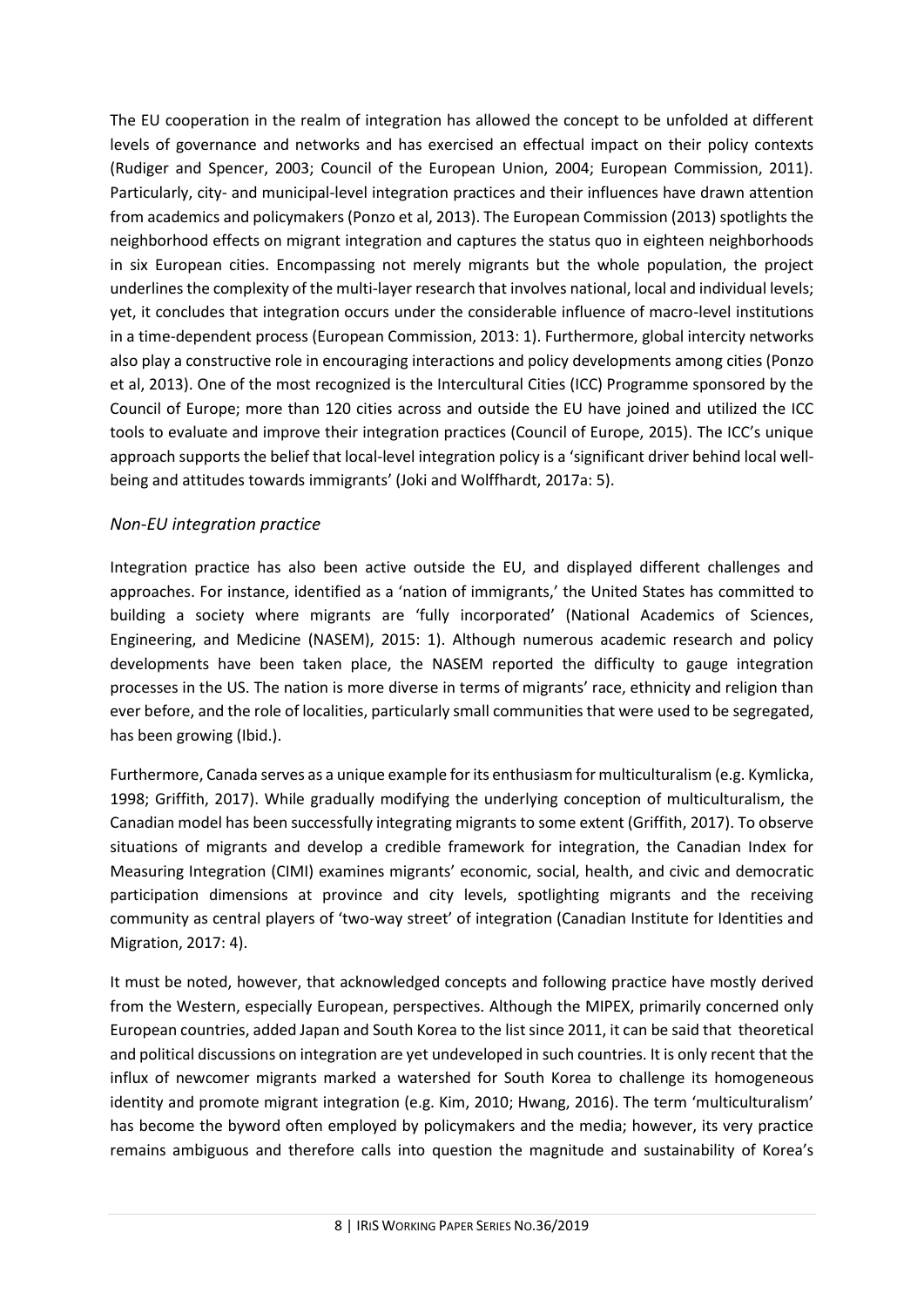The EU cooperation in the realm of integration has allowed the concept to be unfolded at different levels of governance and networks and has exercised an effectual impact on their policy contexts (Rudiger and Spencer, 2003; Council of the European Union, 2004; European Commission, 2011). Particularly, city- and municipal-level integration practices and their influences have drawn attention from academics and policymakers (Ponzo et al, 2013). The European Commission (2013) spotlights the neighborhood effects on migrant integration and captures the status quo in eighteen neighborhoods in six European cities. Encompassing not merely migrants but the whole population, the project underlines the complexity of the multi-layer research that involves national, local and individual levels; yet, it concludes that integration occurs under the considerable influence of macro-level institutions in a time-dependent process (European Commission, 2013: 1). Furthermore, global intercity networks also play a constructive role in encouraging interactions and policy developments among cities (Ponzo et al, 2013). One of the most recognized is the Intercultural Cities (ICC) Programme sponsored by the Council of Europe; more than 120 cities across and outside the EU have joined and utilized the ICC tools to evaluate and improve their integration practices (Council of Europe, 2015). The ICC's unique approach supports the belief that local-level integration policy is a 'significant driver behind local wellbeing and attitudes towards immigrants' (Joki and Wolffhardt, 2017a: 5).

## <span id="page-7-0"></span>*Non-EU integration practice*

Integration practice has also been active outside the EU, and displayed different challenges and approaches. For instance, identified as a 'nation of immigrants,' the United States has committed to building a society where migrants are 'fully incorporated' (National Academics of Sciences, Engineering, and Medicine (NASEM), 2015: 1). Although numerous academic research and policy developments have been taken place, the NASEM reported the difficulty to gauge integration processes in the US. The nation is more diverse in terms of migrants' race, ethnicity and religion than ever before, and the role of localities, particularly small communities that were used to be segregated, has been growing (Ibid.).

Furthermore, Canada serves as a unique example for its enthusiasm for multiculturalism (e.g. Kymlicka, 1998; Griffith, 2017). While gradually modifying the underlying conception of multiculturalism, the Canadian model has been successfully integrating migrants to some extent (Griffith, 2017). To observe situations of migrants and develop a credible framework for integration, the Canadian Index for Measuring Integration (CIMI) examines migrants' economic, social, health, and civic and democratic participation dimensions at province and city levels, spotlighting migrants and the receiving community as central players of 'two-way street' of integration (Canadian Institute for Identities and Migration, 2017: 4).

It must be noted, however, that acknowledged concepts and following practice have mostly derived from the Western, especially European, perspectives. Although the MIPEX, primarily concerned only European countries, added Japan and South Korea to the list since 2011, it can be said that theoretical and political discussions on integration are yet undeveloped in such countries. It is only recent that the influx of newcomer migrants marked a watershed for South Korea to challenge its homogeneous identity and promote migrant integration (e.g. Kim, 2010; Hwang, 2016). The term 'multiculturalism' has become the byword often employed by policymakers and the media; however, its very practice remains ambiguous and therefore calls into question the magnitude and sustainability of Korea's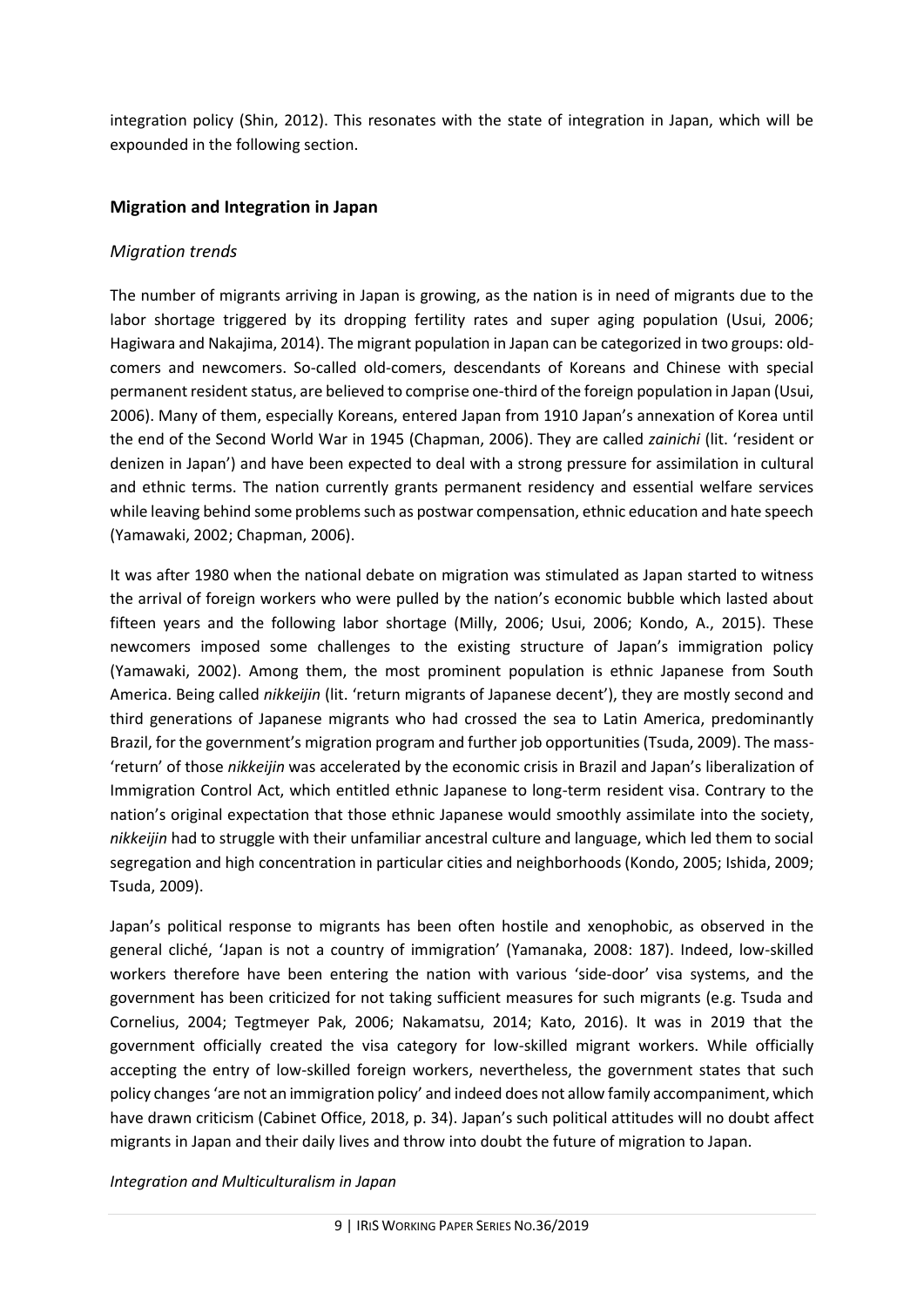integration policy (Shin, 2012). This resonates with the state of integration in Japan, which will be expounded in the following section.

#### <span id="page-8-0"></span>**Migration and Integration in Japan**

#### <span id="page-8-1"></span>*Migration trends*

The number of migrants arriving in Japan is growing, as the nation is in need of migrants due to the labor shortage triggered by its dropping fertility rates and super aging population (Usui, 2006; Hagiwara and Nakajima, 2014). The migrant population in Japan can be categorized in two groups: oldcomers and newcomers. So-called old-comers, descendants of Koreans and Chinese with special permanent resident status, are believed to comprise one-third of the foreign population in Japan (Usui, 2006). Many of them, especially Koreans, entered Japan from 1910 Japan's annexation of Korea until the end of the Second World War in 1945 (Chapman, 2006). They are called *zainichi* (lit. 'resident or denizen in Japan') and have been expected to deal with a strong pressure for assimilation in cultural and ethnic terms. The nation currently grants permanent residency and essential welfare services while leaving behind some problems such as postwar compensation, ethnic education and hate speech (Yamawaki, 2002; Chapman, 2006).

It was after 1980 when the national debate on migration was stimulated as Japan started to witness the arrival of foreign workers who were pulled by the nation's economic bubble which lasted about fifteen years and the following labor shortage (Milly, 2006; Usui, 2006; Kondo, A., 2015). These newcomers imposed some challenges to the existing structure of Japan's immigration policy (Yamawaki, 2002). Among them, the most prominent population is ethnic Japanese from South America. Being called *nikkeijin* (lit. 'return migrants of Japanese decent'), they are mostly second and third generations of Japanese migrants who had crossed the sea to Latin America, predominantly Brazil, for the government's migration program and further job opportunities (Tsuda, 2009). The mass- 'return' of those *nikkeijin* was accelerated by the economic crisis in Brazil and Japan's liberalization of Immigration Control Act, which entitled ethnic Japanese to long-term resident visa. Contrary to the nation's original expectation that those ethnic Japanese would smoothly assimilate into the society, *nikkeijin* had to struggle with their unfamiliar ancestral culture and language, which led them to social segregation and high concentration in particular cities and neighborhoods (Kondo, 2005; Ishida, 2009; Tsuda, 2009).

Japan's political response to migrants has been often hostile and xenophobic, as observed in the general cliché, 'Japan is not a country of immigration' (Yamanaka, 2008: 187). Indeed, low-skilled workers therefore have been entering the nation with various 'side-door' visa systems, and the government has been criticized for not taking sufficient measures for such migrants (e.g. Tsuda and Cornelius, 2004; Tegtmeyer Pak, 2006; Nakamatsu, 2014; Kato, 2016). It was in 2019 that the government officially created the visa category for low-skilled migrant workers. While officially accepting the entry of low-skilled foreign workers, nevertheless, the government states that such policy changes 'are not an immigration policy' and indeed does not allow family accompaniment, which have drawn criticism (Cabinet Office, 2018, p. 34). Japan's such political attitudes will no doubt affect migrants in Japan and their daily lives and throw into doubt the future of migration to Japan.

*Integration and Multiculturalism in Japan*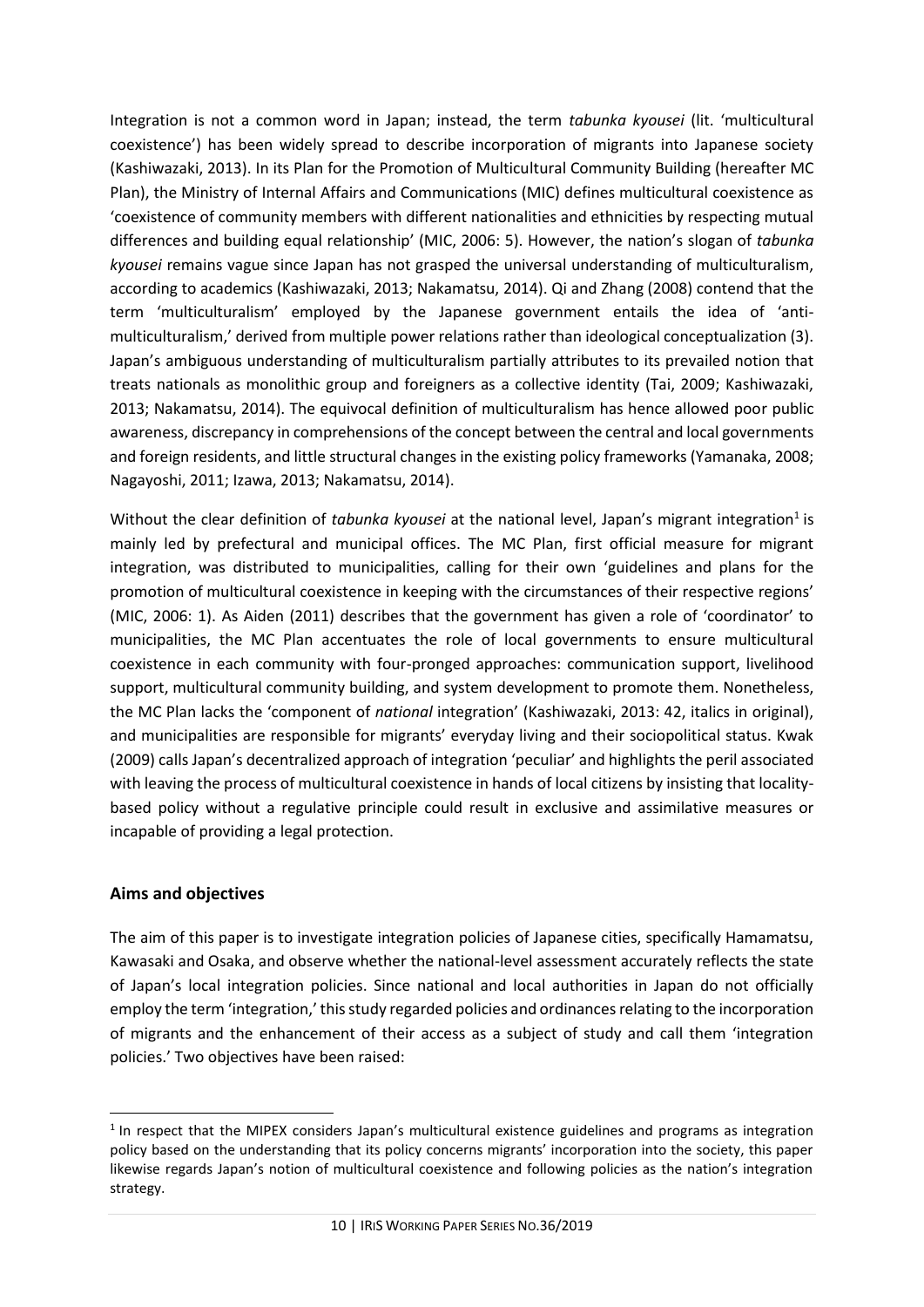Integration is not a common word in Japan; instead, the term *tabunka kyousei* (lit. 'multicultural coexistence') has been widely spread to describe incorporation of migrants into Japanese society (Kashiwazaki, 2013). In its Plan for the Promotion of Multicultural Community Building (hereafter MC Plan), the Ministry of Internal Affairs and Communications (MIC) defines multicultural coexistence as 'coexistence of community members with different nationalities and ethnicities by respecting mutual differences and building equal relationship' (MIC, 2006: 5). However, the nation's slogan of *tabunka kyousei* remains vague since Japan has not grasped the universal understanding of multiculturalism, according to academics (Kashiwazaki, 2013; Nakamatsu, 2014). Qi and Zhang (2008) contend that the term 'multiculturalism' employed by the Japanese government entails the idea of 'antimulticulturalism,' derived from multiple power relations rather than ideological conceptualization (3). Japan's ambiguous understanding of multiculturalism partially attributes to its prevailed notion that treats nationals as monolithic group and foreigners as a collective identity (Tai, 2009; Kashiwazaki, 2013; Nakamatsu, 2014). The equivocal definition of multiculturalism has hence allowed poor public awareness, discrepancy in comprehensions of the concept between the central and local governments and foreign residents, and little structural changes in the existing policy frameworks (Yamanaka, 2008; Nagayoshi, 2011; Izawa, 2013; Nakamatsu, 2014).

Without the clear definition of *tabunka kyousei* at the national level, Japan's migrant integration<sup>1</sup> is mainly led by prefectural and municipal offices. The MC Plan, first official measure for migrant integration, was distributed to municipalities, calling for their own 'guidelines and plans for the promotion of multicultural coexistence in keeping with the circumstances of their respective regions' (MIC, 2006: 1). As Aiden (2011) describes that the government has given a role of 'coordinator' to municipalities, the MC Plan accentuates the role of local governments to ensure multicultural coexistence in each community with four-pronged approaches: communication support, livelihood support, multicultural community building, and system development to promote them. Nonetheless, the MC Plan lacks the 'component of *national* integration' (Kashiwazaki, 2013: 42, italics in original), and municipalities are responsible for migrants' everyday living and their sociopolitical status. Kwak (2009) calls Japan's decentralized approach of integration 'peculiar' and highlights the peril associated with leaving the process of multicultural coexistence in hands of local citizens by insisting that localitybased policy without a regulative principle could result in exclusive and assimilative measures or incapable of providing a legal protection.

#### <span id="page-9-0"></span>**Aims and objectives**

 $\overline{a}$ 

The aim of this paper is to investigate integration policies of Japanese cities, specifically Hamamatsu, Kawasaki and Osaka, and observe whether the national-level assessment accurately reflects the state of Japan's local integration policies. Since national and local authorities in Japan do not officially employ the term 'integration,' this study regarded policies and ordinances relating to the incorporation of migrants and the enhancement of their access as a subject of study and call them 'integration policies.' Two objectives have been raised:

<sup>&</sup>lt;sup>1</sup> In respect that the MIPEX considers Japan's multicultural existence guidelines and programs as integration policy based on the understanding that its policy concerns migrants' incorporation into the society, this paper likewise regards Japan's notion of multicultural coexistence and following policies as the nation's integration strategy.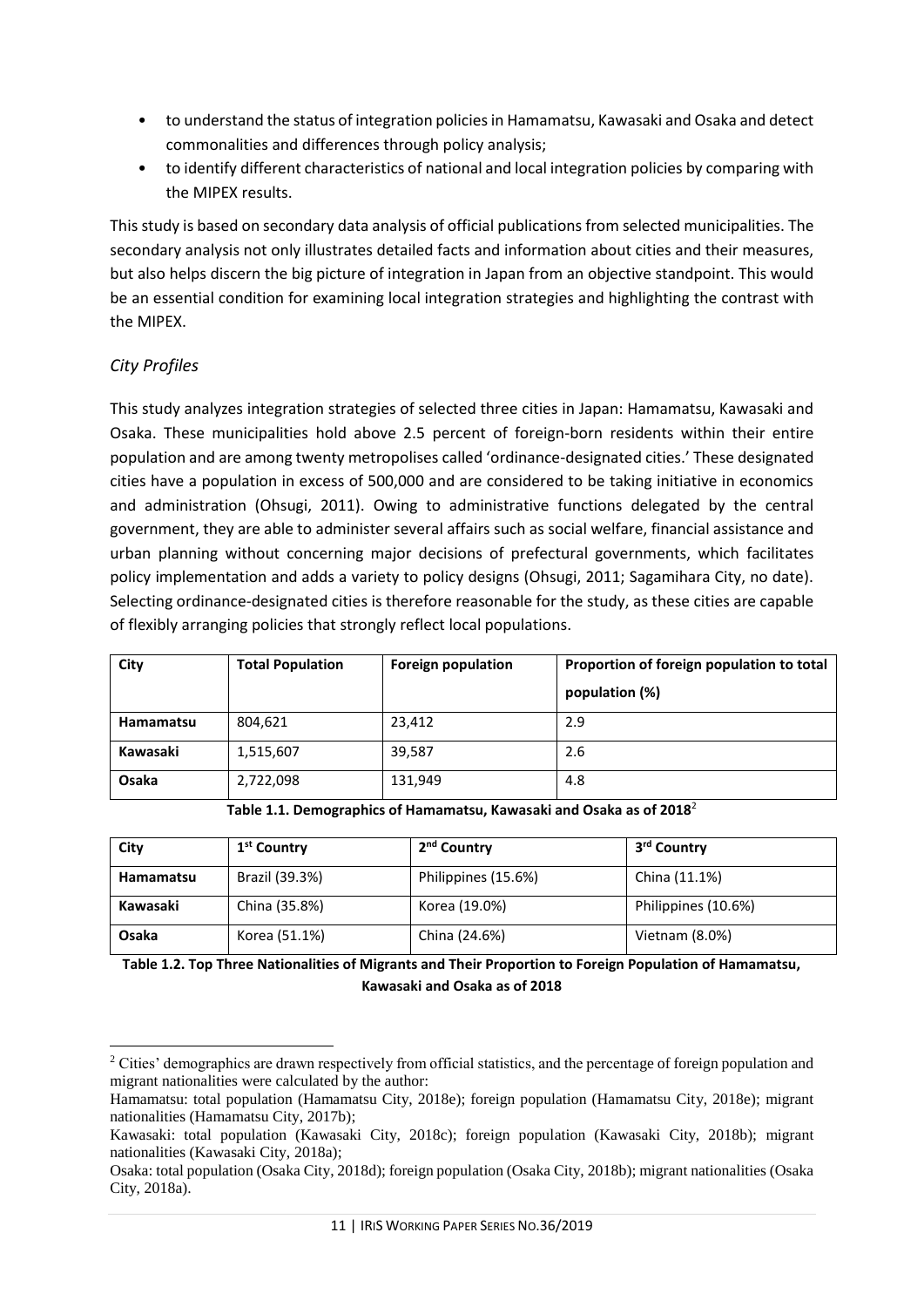- to understand the status of integration policies in Hamamatsu, Kawasaki and Osaka and detect commonalities and differences through policy analysis;
- to identify different characteristics of national and local integration policies by comparing with the MIPEX results.

This study is based on secondary data analysis of official publications from selected municipalities. The secondary analysis not only illustrates detailed facts and information about cities and their measures, but also helps discern the big picture of integration in Japan from an objective standpoint. This would be an essential condition for examining local integration strategies and highlighting the contrast with the MIPEX.

## <span id="page-10-0"></span>*City Profiles*

This study analyzes integration strategies of selected three cities in Japan: Hamamatsu, Kawasaki and Osaka. These municipalities hold above 2.5 percent of foreign-born residents within their entire population and are among twenty metropolises called 'ordinance-designated cities.' These designated cities have a population in excess of 500,000 and are considered to be taking initiative in economics and administration (Ohsugi, 2011). Owing to administrative functions delegated by the central government, they are able to administer several affairs such as social welfare, financial assistance and urban planning without concerning major decisions of prefectural governments, which facilitates policy implementation and adds a variety to policy designs (Ohsugi, 2011; Sagamihara City, no date). Selecting ordinance-designated cities is therefore reasonable for the study, as these cities are capable of flexibly arranging policies that strongly reflect local populations.

| City      | <b>Total Population</b> | <b>Foreign population</b> | Proportion of foreign population to total<br>population (%) |
|-----------|-------------------------|---------------------------|-------------------------------------------------------------|
| Hamamatsu | 804,621                 | 23,412                    | 2.9                                                         |
| Kawasaki  | 1,515,607               | 39,587                    | 2.6                                                         |
| Osaka     | 2,722,098               | 131,949                   | 4.8                                                         |

**Table 1.1. Demographics of Hamamatsu, Kawasaki and Osaka as of 2018**<sup>2</sup>

| City      | 1 <sup>st</sup> Country | 2 <sup>nd</sup> Country | 3 <sup>rd</sup> Country |
|-----------|-------------------------|-------------------------|-------------------------|
| Hamamatsu | Brazil (39.3%)          | Philippines (15.6%)     | China (11.1%)           |
| Kawasaki  | China (35.8%)           | Korea (19.0%)           | Philippines (10.6%)     |
| Osaka     | Korea (51.1%)           | China (24.6%)           | Vietnam (8.0%)          |

**Table 1.2. Top Three Nationalities of Migrants and Their Proportion to Foreign Population of Hamamatsu, Kawasaki and Osaka as of 2018**

 $\overline{\phantom{a}}$ <sup>2</sup> Cities' demographics are drawn respectively from official statistics, and the percentage of foreign population and migrant nationalities were calculated by the author:

Hamamatsu: total population (Hamamatsu City, 2018e); foreign population (Hamamatsu City, 2018e); migrant nationalities (Hamamatsu City, 2017b);

Kawasaki: total population (Kawasaki City, 2018c); foreign population (Kawasaki City, 2018b); migrant nationalities (Kawasaki City, 2018a);

Osaka: total population (Osaka City, 2018d); foreign population (Osaka City, 2018b); migrant nationalities (Osaka City, 2018a).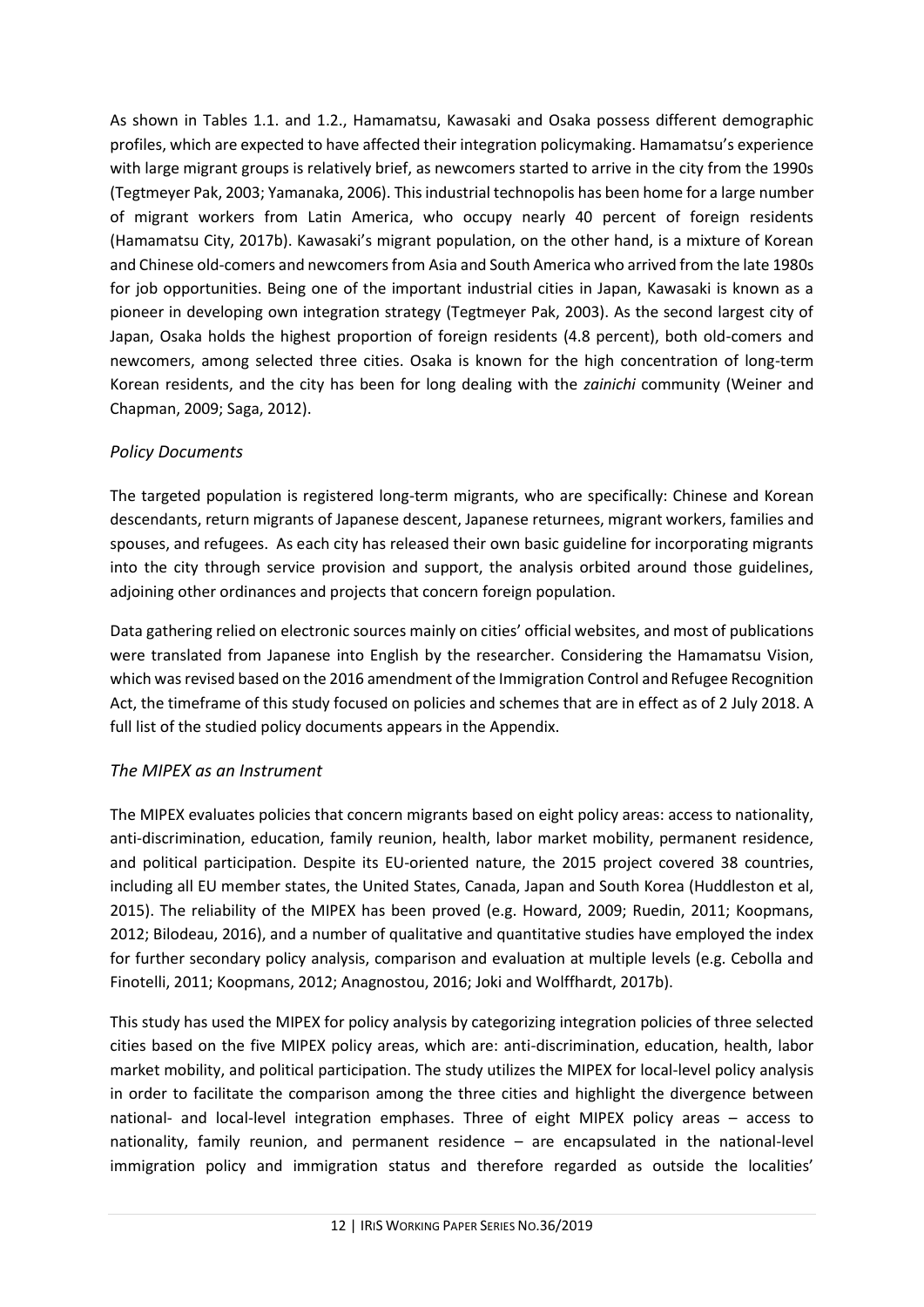As shown in Tables 1.1. and 1.2., Hamamatsu, Kawasaki and Osaka possess different demographic profiles, which are expected to have affected their integration policymaking. Hamamatsu's experience with large migrant groups is relatively brief, as newcomers started to arrive in the city from the 1990s (Tegtmeyer Pak, 2003; Yamanaka, 2006). This industrial technopolis has been home for a large number of migrant workers from Latin America, who occupy nearly 40 percent of foreign residents (Hamamatsu City, 2017b). Kawasaki's migrant population, on the other hand, is a mixture of Korean and Chinese old-comers and newcomers from Asia and South America who arrived from the late 1980s for job opportunities. Being one of the important industrial cities in Japan, Kawasaki is known as a pioneer in developing own integration strategy (Tegtmeyer Pak, 2003). As the second largest city of Japan, Osaka holds the highest proportion of foreign residents (4.8 percent), both old-comers and newcomers, among selected three cities. Osaka is known for the high concentration of long-term Korean residents, and the city has been for long dealing with the *zainichi* community (Weiner and Chapman, 2009; Saga, 2012).

## <span id="page-11-0"></span>*Policy Documents*

The targeted population is registered long-term migrants, who are specifically: Chinese and Korean descendants, return migrants of Japanese descent, Japanese returnees, migrant workers, families and spouses, and refugees. As each city has released their own basic guideline for incorporating migrants into the city through service provision and support, the analysis orbited around those guidelines, adjoining other ordinances and projects that concern foreign population.

Data gathering relied on electronic sources mainly on cities' official websites, and most of publications were translated from Japanese into English by the researcher. Considering the Hamamatsu Vision, which was revised based on the 2016 amendment of the Immigration Control and Refugee Recognition Act, the timeframe of this study focused on policies and schemes that are in effect as of 2 July 2018. A full list of the studied policy documents appears in the Appendix.

## <span id="page-11-1"></span>*The MIPEX as an Instrument*

The MIPEX evaluates policies that concern migrants based on eight policy areas: access to nationality, anti-discrimination, education, family reunion, health, labor market mobility, permanent residence, and political participation. Despite its EU-oriented nature, the 2015 project covered 38 countries, including all EU member states, the United States, Canada, Japan and South Korea (Huddleston et al, 2015). The reliability of the MIPEX has been proved (e.g. Howard, 2009; Ruedin, 2011; Koopmans, 2012; Bilodeau, 2016), and a number of qualitative and quantitative studies have employed the index for further secondary policy analysis, comparison and evaluation at multiple levels (e.g. Cebolla and Finotelli, 2011; Koopmans, 2012; Anagnostou, 2016; Joki and Wolffhardt, 2017b).

This study has used the MIPEX for policy analysis by categorizing integration policies of three selected cities based on the five MIPEX policy areas, which are: anti-discrimination, education, health, labor market mobility, and political participation. The study utilizes the MIPEX for local-level policy analysis in order to facilitate the comparison among the three cities and highlight the divergence between national- and local-level integration emphases. Three of eight MIPEX policy areas – access to nationality, family reunion, and permanent residence – are encapsulated in the national-level immigration policy and immigration status and therefore regarded as outside the localities'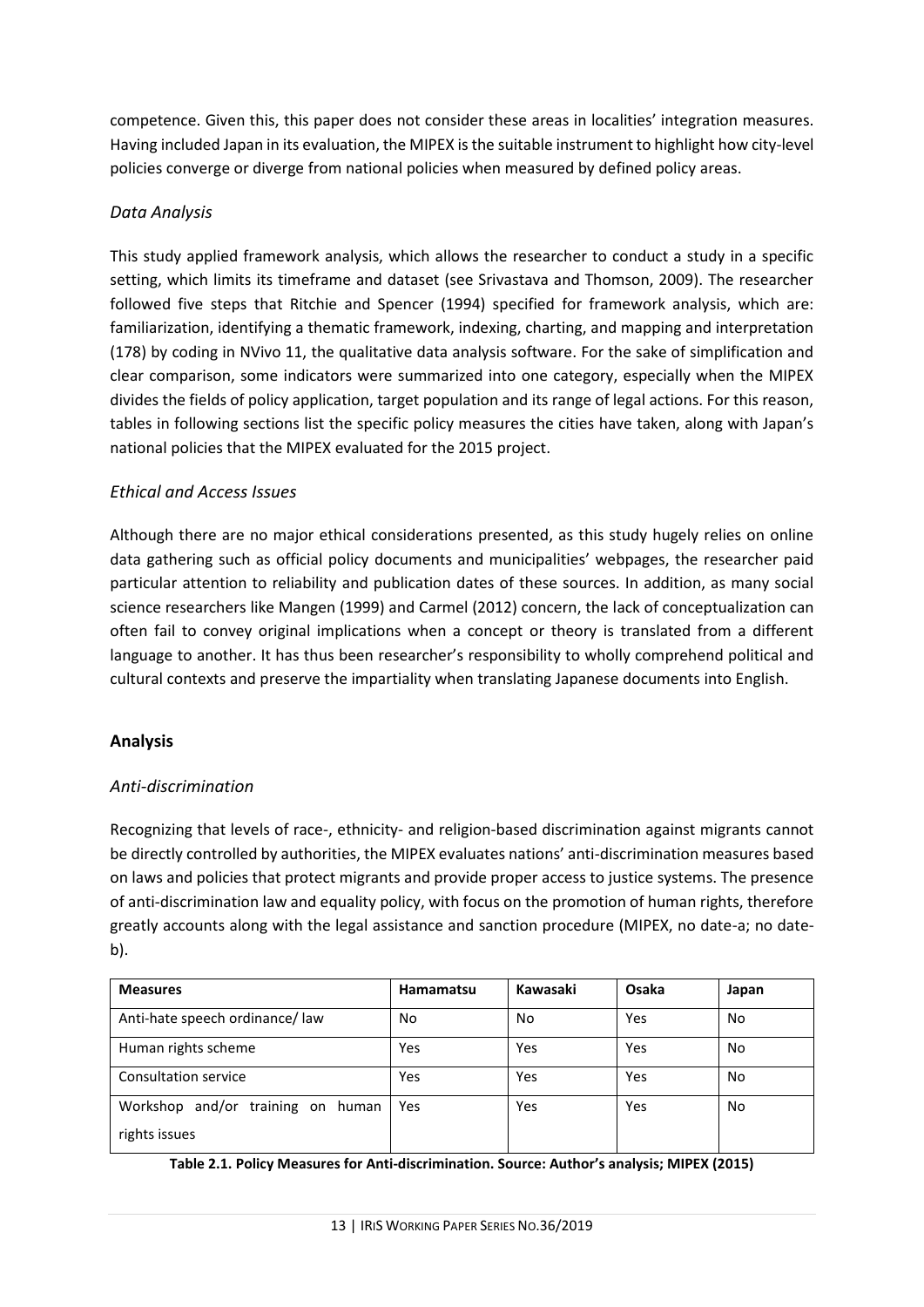competence. Given this, this paper does not consider these areas in localities' integration measures. Having included Japan in its evaluation, the MIPEX is the suitable instrument to highlight how city-level policies converge or diverge from national policies when measured by defined policy areas.

## <span id="page-12-0"></span>*Data Analysis*

This study applied framework analysis, which allows the researcher to conduct a study in a specific setting, which limits its timeframe and dataset (see Srivastava and Thomson, 2009). The researcher followed five steps that Ritchie and Spencer (1994) specified for framework analysis, which are: familiarization, identifying a thematic framework, indexing, charting, and mapping and interpretation (178) by coding in NVivo 11, the qualitative data analysis software. For the sake of simplification and clear comparison, some indicators were summarized into one category, especially when the MIPEX divides the fields of policy application, target population and its range of legal actions. For this reason, tables in following sections list the specific policy measures the cities have taken, along with Japan's national policies that the MIPEX evaluated for the 2015 project.

## <span id="page-12-1"></span>*Ethical and Access Issues*

Although there are no major ethical considerations presented, as this study hugely relies on online data gathering such as official policy documents and municipalities' webpages, the researcher paid particular attention to reliability and publication dates of these sources. In addition, as many social science researchers like Mangen (1999) and Carmel (2012) concern, the lack of conceptualization can often fail to convey original implications when a concept or theory is translated from a different language to another. It has thus been researcher's responsibility to wholly comprehend political and cultural contexts and preserve the impartiality when translating Japanese documents into English.

## <span id="page-12-2"></span>**Analysis**

## <span id="page-12-3"></span>*Anti-discrimination*

Recognizing that levels of race-, ethnicity- and religion-based discrimination against migrants cannot be directly controlled by authorities, the MIPEX evaluates nations' anti-discrimination measures based on laws and policies that protect migrants and provide proper access to justice systems. The presence of anti-discrimination law and equality policy, with focus on the promotion of human rights, therefore greatly accounts along with the legal assistance and sanction procedure (MIPEX, no date-a; no dateb).

| <b>Measures</b>                   | Hamamatsu | Kawasaki | Osaka | Japan |
|-----------------------------------|-----------|----------|-------|-------|
| Anti-hate speech ordinance/ law   | No        | No.      | Yes   | No    |
| Human rights scheme               | Yes       | Yes      | Yes   | No    |
| <b>Consultation service</b>       | Yes       | Yes      | Yes   | No    |
| Workshop and/or training on human | Yes       | Yes      | Yes   | No    |
| rights issues                     |           |          |       |       |

**Table 2.1. Policy Measures for Anti-discrimination. Source: Author's analysis; MIPEX (2015)**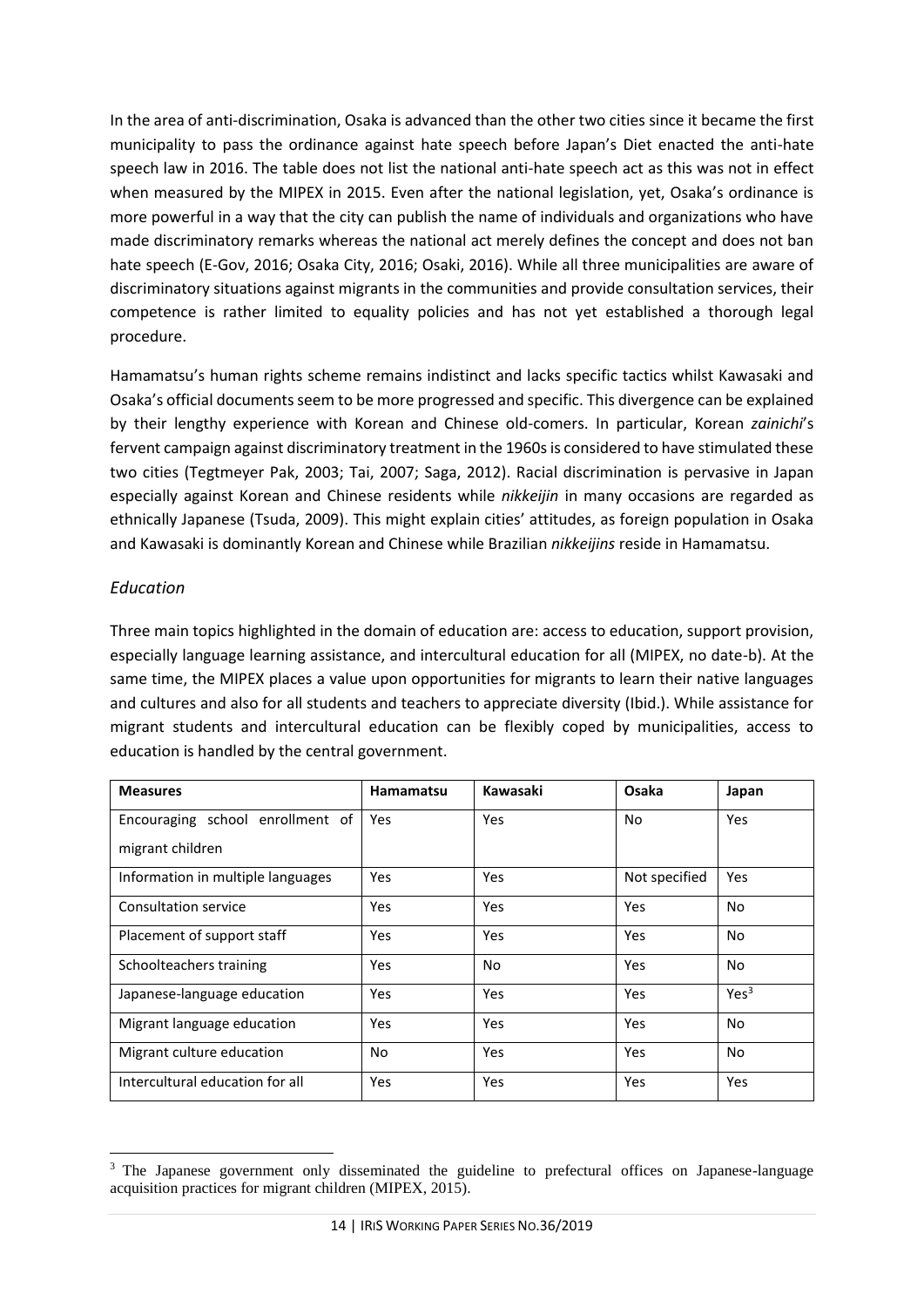In the area of anti-discrimination, Osaka is advanced than the other two cities since it became the first municipality to pass the ordinance against hate speech before Japan's Diet enacted the anti-hate speech law in 2016. The table does not list the national anti-hate speech act as this was not in effect when measured by the MIPEX in 2015. Even after the national legislation, yet, Osaka's ordinance is more powerful in a way that the city can publish the name of individuals and organizations who have made discriminatory remarks whereas the national act merely defines the concept and does not ban hate speech (E-Gov, 2016; Osaka City, 2016; Osaki, 2016). While all three municipalities are aware of discriminatory situations against migrants in the communities and provide consultation services, their competence is rather limited to equality policies and has not yet established a thorough legal procedure.

Hamamatsu's human rights scheme remains indistinct and lacks specific tactics whilst Kawasaki and Osaka's official documents seem to be more progressed and specific. This divergence can be explained by their lengthy experience with Korean and Chinese old-comers. In particular, Korean *zainichi*'s fervent campaign against discriminatory treatment in the 1960s is considered to have stimulated these two cities (Tegtmeyer Pak, 2003; Tai, 2007; Saga, 2012). Racial discrimination is pervasive in Japan especially against Korean and Chinese residents while *nikkeijin* in many occasions are regarded as ethnically Japanese (Tsuda, 2009). This might explain cities' attitudes, as foreign population in Osaka and Kawasaki is dominantly Korean and Chinese while Brazilian *nikkeijins* reside in Hamamatsu.

## <span id="page-13-0"></span>*Education*

Three main topics highlighted in the domain of education are: access to education, support provision, especially language learning assistance, and intercultural education for all (MIPEX, no date-b). At the same time, the MIPEX places a value upon opportunities for migrants to learn their native languages and cultures and also for all students and teachers to appreciate diversity (Ibid.). While assistance for migrant students and intercultural education can be flexibly coped by municipalities, access to education is handled by the central government.

| <b>Measures</b>                   | <b>Hamamatsu</b> | Kawasaki | Osaka         | Japan            |
|-----------------------------------|------------------|----------|---------------|------------------|
| Encouraging school enrollment of  | Yes              | Yes      | No.           | <b>Yes</b>       |
| migrant children                  |                  |          |               |                  |
| Information in multiple languages | Yes              | Yes      | Not specified | Yes              |
| Consultation service              | <b>Yes</b>       | Yes      | Yes           | No               |
| Placement of support staff        | Yes              | Yes      | Yes           | No               |
| Schoolteachers training           | Yes              | No       | Yes           | No               |
| Japanese-language education       | <b>Yes</b>       | Yes      | Yes           | Yes <sup>3</sup> |
| Migrant language education        | Yes              | Yes      | Yes           | No               |
| Migrant culture education         | No               | Yes      | Yes           | No               |
| Intercultural education for all   | Yes              | Yes      | Yes           | Yes              |

 $\overline{\phantom{a}}$ <sup>3</sup> The Japanese government only disseminated the guideline to prefectural offices on Japanese-language acquisition practices for migrant children (MIPEX, 2015).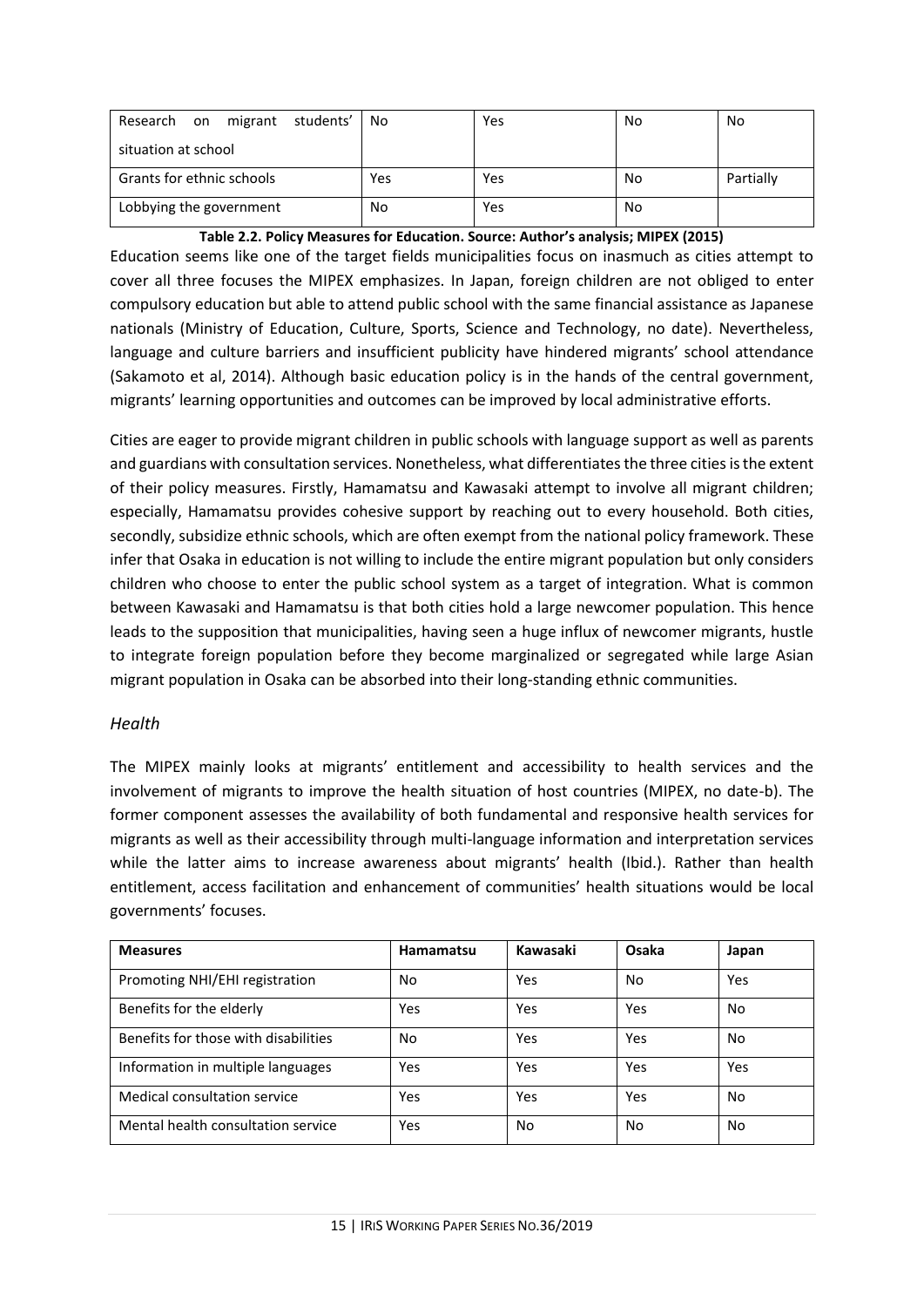| Research on migrant students' | No  | Yes | No | No        |
|-------------------------------|-----|-----|----|-----------|
| situation at school           |     |     |    |           |
| Grants for ethnic schools     | Yes | Yes | No | Partially |
| Lobbying the government       | No  | Yes | No |           |

**Table 2.2. Policy Measures for Education. Source: Author's analysis; MIPEX (2015)**

Education seems like one of the target fields municipalities focus on inasmuch as cities attempt to cover all three focuses the MIPEX emphasizes. In Japan, foreign children are not obliged to enter compulsory education but able to attend public school with the same financial assistance as Japanese nationals (Ministry of Education, Culture, Sports, Science and Technology, no date). Nevertheless, language and culture barriers and insufficient publicity have hindered migrants' school attendance (Sakamoto et al, 2014). Although basic education policy is in the hands of the central government, migrants' learning opportunities and outcomes can be improved by local administrative efforts.

Cities are eager to provide migrant children in public schools with language support as well as parents and guardians with consultation services. Nonetheless, what differentiates the three cities is the extent of their policy measures. Firstly, Hamamatsu and Kawasaki attempt to involve all migrant children; especially, Hamamatsu provides cohesive support by reaching out to every household. Both cities, secondly, subsidize ethnic schools, which are often exempt from the national policy framework. These infer that Osaka in education is not willing to include the entire migrant population but only considers children who choose to enter the public school system as a target of integration. What is common between Kawasaki and Hamamatsu is that both cities hold a large newcomer population. This hence leads to the supposition that municipalities, having seen a huge influx of newcomer migrants, hustle to integrate foreign population before they become marginalized or segregated while large Asian migrant population in Osaka can be absorbed into their long-standing ethnic communities.

#### <span id="page-14-0"></span>*Health*

The MIPEX mainly looks at migrants' entitlement and accessibility to health services and the involvement of migrants to improve the health situation of host countries (MIPEX, no date-b). The former component assesses the availability of both fundamental and responsive health services for migrants as well as their accessibility through multi-language information and interpretation services while the latter aims to increase awareness about migrants' health (Ibid.). Rather than health entitlement, access facilitation and enhancement of communities' health situations would be local governments' focuses.

| <b>Measures</b>                      | Hamamatsu | Kawasaki | Osaka | Japan |
|--------------------------------------|-----------|----------|-------|-------|
| Promoting NHI/EHI registration       | No        | Yes      | No    | Yes   |
| Benefits for the elderly             | Yes       | Yes      | Yes   | No    |
| Benefits for those with disabilities | No        | Yes      | Yes   | No    |
| Information in multiple languages    | Yes       | Yes      | Yes   | Yes   |
| Medical consultation service         | Yes       | Yes      | Yes   | No    |
| Mental health consultation service   | Yes       | No       | No    | No    |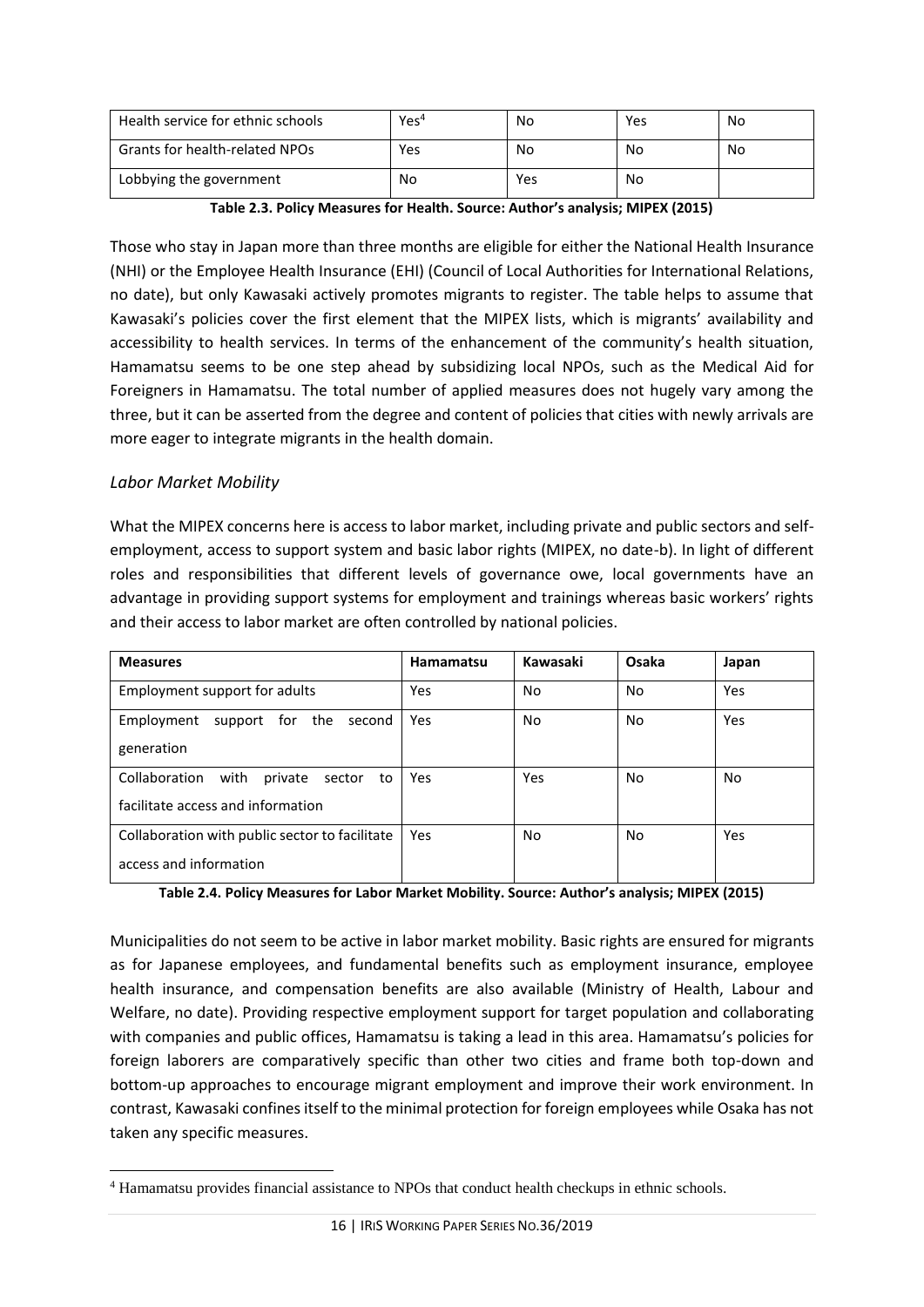| Health service for ethnic schools | Yes <sup>4</sup> | No  | Yes | No |
|-----------------------------------|------------------|-----|-----|----|
| Grants for health-related NPOs    | Yes              | No  | No  | No |
| Lobbying the government           | No               | Yes | No  |    |

**Table 2.3. Policy Measures for Health. Source: Author's analysis; MIPEX (2015)**

Those who stay in Japan more than three months are eligible for either the National Health Insurance (NHI) or the Employee Health Insurance (EHI) (Council of Local Authorities for International Relations, no date), but only Kawasaki actively promotes migrants to register. The table helps to assume that Kawasaki's policies cover the first element that the MIPEX lists, which is migrants' availability and accessibility to health services. In terms of the enhancement of the community's health situation, Hamamatsu seems to be one step ahead by subsidizing local NPOs, such as the Medical Aid for Foreigners in Hamamatsu. The total number of applied measures does not hugely vary among the three, but it can be asserted from the degree and content of policies that cities with newly arrivals are more eager to integrate migrants in the health domain.

#### <span id="page-15-0"></span>*Labor Market Mobility*

 $\overline{\phantom{a}}$ 

What the MIPEX concerns here is access to labor market, including private and public sectors and selfemployment, access to support system and basic labor rights (MIPEX, no date-b). In light of different roles and responsibilities that different levels of governance owe, local governments have an advantage in providing support systems for employment and trainings whereas basic workers' rights and their access to labor market are often controlled by national policies.

| <b>Measures</b>                                  | <b>Hamamatsu</b> | Kawasaki | Osaka | Japan |
|--------------------------------------------------|------------------|----------|-------|-------|
| Employment support for adults                    | Yes              | No       | No    | Yes   |
| Employment<br>support for the<br>second          | Yes              | No.      | No    | Yes   |
| generation                                       |                  |          |       |       |
| Collaboration<br>with<br>private<br>sector<br>to | Yes              | Yes      | No.   | No    |
| facilitate access and information                |                  |          |       |       |
| Collaboration with public sector to facilitate   | Yes              | No       | No    | Yes   |
| access and information                           |                  |          |       |       |

**Table 2.4. Policy Measures for Labor Market Mobility. Source: Author's analysis; MIPEX (2015)**

Municipalities do not seem to be active in labor market mobility. Basic rights are ensured for migrants as for Japanese employees, and fundamental benefits such as employment insurance, employee health insurance, and compensation benefits are also available (Ministry of Health, Labour and Welfare, no date). Providing respective employment support for target population and collaborating with companies and public offices, Hamamatsu is taking a lead in this area. Hamamatsu's policies for foreign laborers are comparatively specific than other two cities and frame both top-down and bottom-up approaches to encourage migrant employment and improve their work environment. In contrast, Kawasaki confines itself to the minimal protection for foreign employees while Osaka has not taken any specific measures.

<sup>4</sup> Hamamatsu provides financial assistance to NPOs that conduct health checkups in ethnic schools.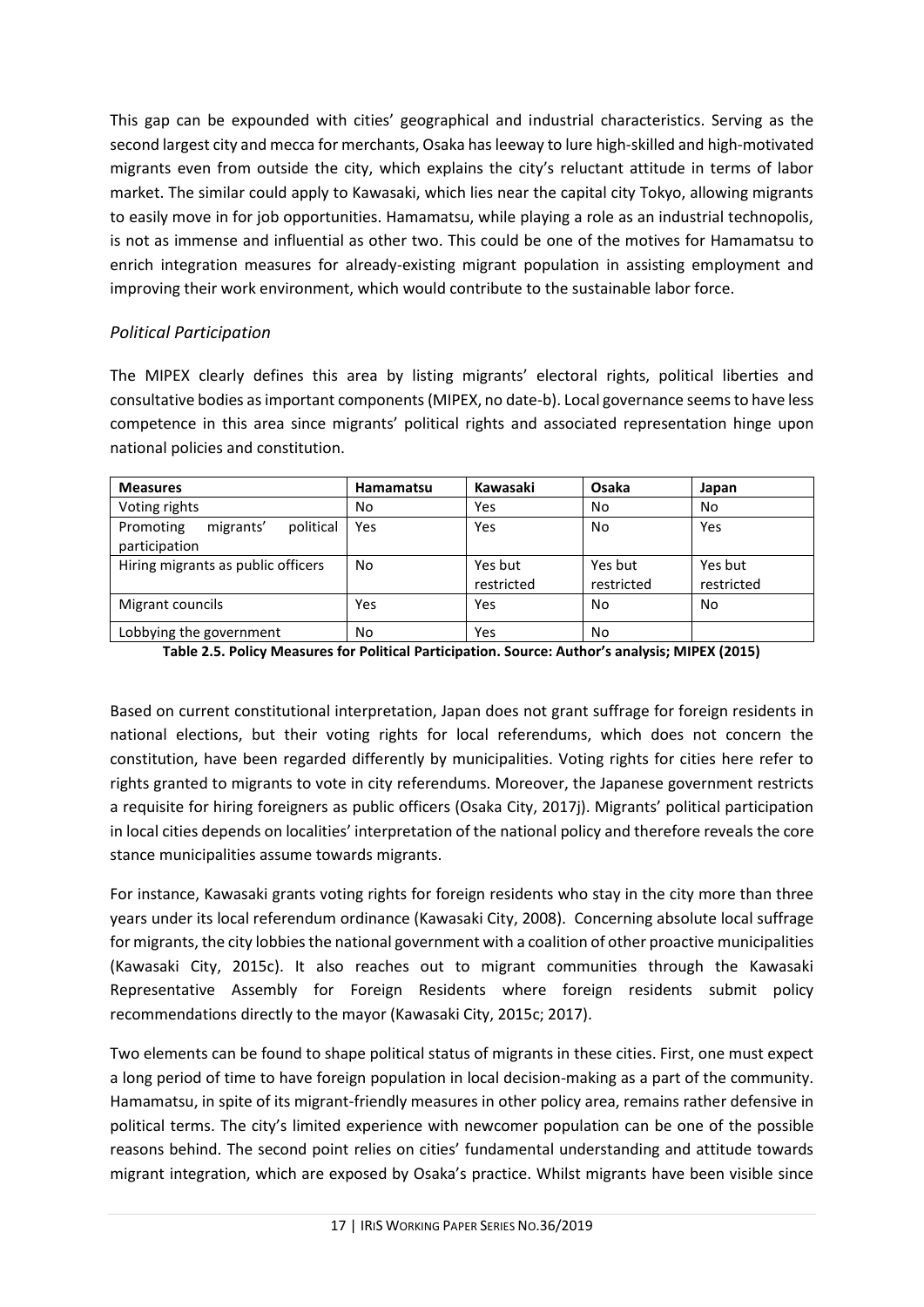This gap can be expounded with cities' geographical and industrial characteristics. Serving as the second largest city and mecca for merchants, Osaka has leeway to lure high-skilled and high-motivated migrants even from outside the city, which explains the city's reluctant attitude in terms of labor market. The similar could apply to Kawasaki, which lies near the capital city Tokyo, allowing migrants to easily move in for job opportunities. Hamamatsu, while playing a role as an industrial technopolis, is not as immense and influential as other two. This could be one of the motives for Hamamatsu to enrich integration measures for already-existing migrant population in assisting employment and improving their work environment, which would contribute to the sustainable labor force.

## <span id="page-16-0"></span>*Political Participation*

The MIPEX clearly defines this area by listing migrants' electoral rights, political liberties and consultative bodies as important components (MIPEX, no date-b). Local governance seems to have less competence in this area since migrants' political rights and associated representation hinge upon national policies and constitution.

| <b>Measures</b>                                      | <b>Hamamatsu</b> | Kawasaki              | Osaka                 | Japan                 |
|------------------------------------------------------|------------------|-----------------------|-----------------------|-----------------------|
| Voting rights                                        | No               | Yes                   | No                    | No                    |
| political<br>Promoting<br>migrants'<br>participation | Yes              | Yes                   | No                    | Yes                   |
| Hiring migrants as public officers                   | No.              | Yes but<br>restricted | Yes but<br>restricted | Yes but<br>restricted |
| Migrant councils                                     | Yes              | Yes                   | No                    | <b>No</b>             |
| Lobbying the government                              | No               | Yes                   | No                    |                       |

**Table 2.5. Policy Measures for Political Participation. Source: Author's analysis; MIPEX (2015)**

Based on current constitutional interpretation, Japan does not grant suffrage for foreign residents in national elections, but their voting rights for local referendums, which does not concern the constitution, have been regarded differently by municipalities. Voting rights for cities here refer to rights granted to migrants to vote in city referendums. Moreover, the Japanese government restricts a requisite for hiring foreigners as public officers (Osaka City, 2017j). Migrants' political participation in local cities depends on localities' interpretation of the national policy and therefore reveals the core stance municipalities assume towards migrants.

For instance, Kawasaki grants voting rights for foreign residents who stay in the city more than three years under its local referendum ordinance (Kawasaki City, 2008). Concerning absolute local suffrage for migrants, the city lobbies the national government with a coalition of other proactive municipalities (Kawasaki City, 2015c). It also reaches out to migrant communities through the Kawasaki Representative Assembly for Foreign Residents where foreign residents submit policy recommendations directly to the mayor (Kawasaki City, 2015c; 2017).

Two elements can be found to shape political status of migrants in these cities. First, one must expect a long period of time to have foreign population in local decision-making as a part of the community. Hamamatsu, in spite of its migrant-friendly measures in other policy area, remains rather defensive in political terms. The city's limited experience with newcomer population can be one of the possible reasons behind. The second point relies on cities' fundamental understanding and attitude towards migrant integration, which are exposed by Osaka's practice. Whilst migrants have been visible since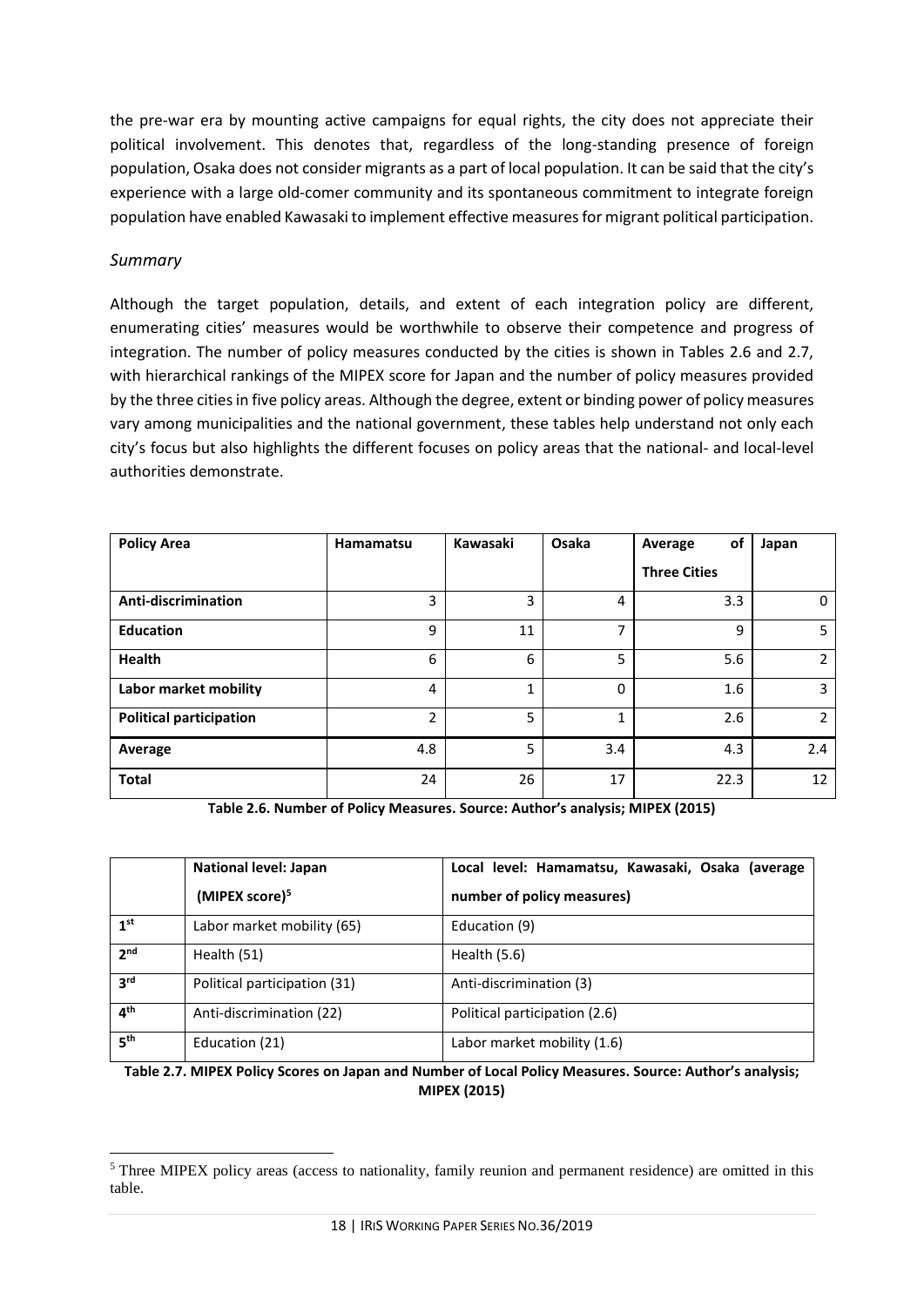the pre-war era by mounting active campaigns for equal rights, the city does not appreciate their political involvement. This denotes that, regardless of the long-standing presence of foreign population, Osaka does not consider migrants as a part of local population. It can be said that the city's experience with a large old-comer community and its spontaneous commitment to integrate foreign population have enabled Kawasaki to implement effective measures for migrant political participation.

#### <span id="page-17-0"></span>*Summary*

Although the target population, details, and extent of each integration policy are different, enumerating cities' measures would be worthwhile to observe their competence and progress of integration. The number of policy measures conducted by the cities is shown in Tables 2.6 and 2.7, with hierarchical rankings of the MIPEX score for Japan and the number of policy measures provided by the three cities in five policy areas. Although the degree, extent or binding power of policy measures vary among municipalities and the national government, these tables help understand not only each city's focus but also highlights the different focuses on policy areas that the national- and local-level authorities demonstrate.

| <b>Policy Area</b>             | Hamamatsu      | Kawasaki | Osaka | οf<br>Average       | Japan          |
|--------------------------------|----------------|----------|-------|---------------------|----------------|
|                                |                |          |       | <b>Three Cities</b> |                |
| Anti-discrimination            | 3              | 3        | 4     | 3.3                 | 0              |
| <b>Education</b>               | 9              | 11       | ⇁     | q                   | 5              |
| <b>Health</b>                  | 6              | 6        | 5     | 5.6                 | $\overline{2}$ |
| Labor market mobility          | 4              | 1        | 0     | 1.6                 | 3              |
| <b>Political participation</b> | $\mathfrak{p}$ | 5        | 1     | 2.6                 | $\overline{2}$ |
| Average                        | 4.8            | 5        | 3.4   | 4.3                 | 2.4            |
| <b>Total</b>                   | 24             | 26       | 17    | 22.3                | 12             |

**Table 2.6. Number of Policy Measures. Source: Author's analysis; MIPEX (2015)**

|                 | <b>National level: Japan</b> | Local level: Hamamatsu, Kawasaki, Osaka (average |
|-----------------|------------------------------|--------------------------------------------------|
|                 | (MIPEX score) <sup>5</sup>   | number of policy measures)                       |
| 1 <sup>st</sup> | Labor market mobility (65)   | Education (9)                                    |
| 2 <sub>nd</sub> | Health (51)                  | Health $(5.6)$                                   |
| 3 <sup>rd</sup> | Political participation (31) | Anti-discrimination (3)                          |
| $4^{\text{th}}$ | Anti-discrimination (22)     | Political participation (2.6)                    |
| 5 <sup>th</sup> | Education (21)               | Labor market mobility (1.6)                      |

**Table 2.7. MIPEX Policy Scores on Japan and Number of Local Policy Measures. Source: Author's analysis; MIPEX (2015)**

 $\overline{\phantom{a}}$ <sup>5</sup> Three MIPEX policy areas (access to nationality, family reunion and permanent residence) are omitted in this table.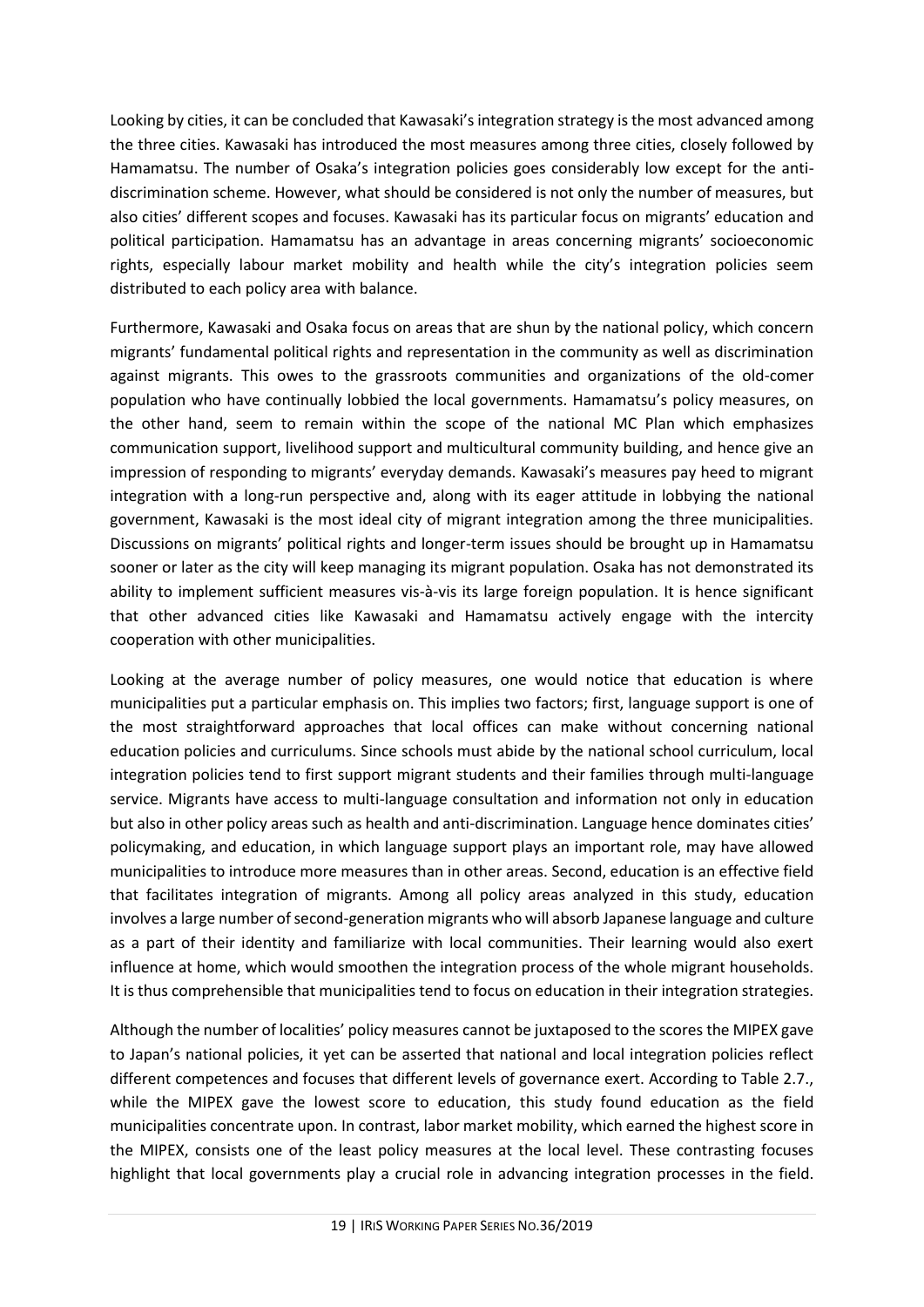Looking by cities, it can be concluded that Kawasaki's integration strategy is the most advanced among the three cities. Kawasaki has introduced the most measures among three cities, closely followed by Hamamatsu. The number of Osaka's integration policies goes considerably low except for the antidiscrimination scheme. However, what should be considered is not only the number of measures, but also cities' different scopes and focuses. Kawasaki has its particular focus on migrants' education and political participation. Hamamatsu has an advantage in areas concerning migrants' socioeconomic rights, especially labour market mobility and health while the city's integration policies seem distributed to each policy area with balance.

Furthermore, Kawasaki and Osaka focus on areas that are shun by the national policy, which concern migrants' fundamental political rights and representation in the community as well as discrimination against migrants. This owes to the grassroots communities and organizations of the old-comer population who have continually lobbied the local governments. Hamamatsu's policy measures, on the other hand, seem to remain within the scope of the national MC Plan which emphasizes communication support, livelihood support and multicultural community building, and hence give an impression of responding to migrants' everyday demands. Kawasaki's measures pay heed to migrant integration with a long-run perspective and, along with its eager attitude in lobbying the national government, Kawasaki is the most ideal city of migrant integration among the three municipalities. Discussions on migrants' political rights and longer-term issues should be brought up in Hamamatsu sooner or later as the city will keep managing its migrant population. Osaka has not demonstrated its ability to implement sufficient measures vis-à-vis its large foreign population. It is hence significant that other advanced cities like Kawasaki and Hamamatsu actively engage with the intercity cooperation with other municipalities.

Looking at the average number of policy measures, one would notice that education is where municipalities put a particular emphasis on. This implies two factors; first, language support is one of the most straightforward approaches that local offices can make without concerning national education policies and curriculums. Since schools must abide by the national school curriculum, local integration policies tend to first support migrant students and their families through multi-language service. Migrants have access to multi-language consultation and information not only in education but also in other policy areas such as health and anti-discrimination. Language hence dominates cities' policymaking, and education, in which language support plays an important role, may have allowed municipalities to introduce more measures than in other areas. Second, education is an effective field that facilitates integration of migrants. Among all policy areas analyzed in this study, education involves a large number of second-generation migrants who will absorb Japanese language and culture as a part of their identity and familiarize with local communities. Their learning would also exert influence at home, which would smoothen the integration process of the whole migrant households. It is thus comprehensible that municipalities tend to focus on education in their integration strategies.

Although the number of localities' policy measures cannot be juxtaposed to the scores the MIPEX gave to Japan's national policies, it yet can be asserted that national and local integration policies reflect different competences and focuses that different levels of governance exert. According to Table 2.7., while the MIPEX gave the lowest score to education, this study found education as the field municipalities concentrate upon. In contrast, labor market mobility, which earned the highest score in the MIPEX, consists one of the least policy measures at the local level. These contrasting focuses highlight that local governments play a crucial role in advancing integration processes in the field.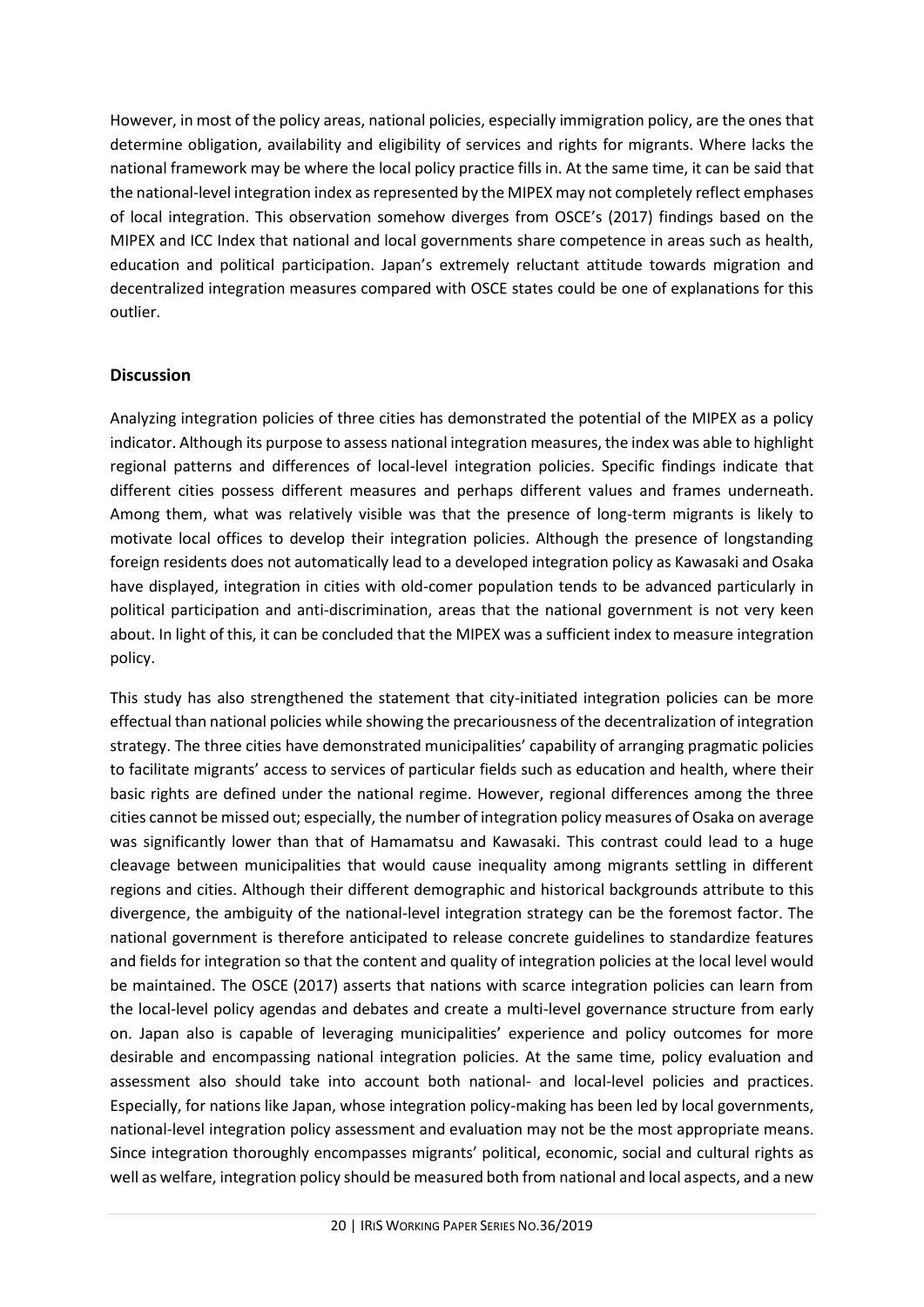However, in most of the policy areas, national policies, especially immigration policy, are the ones that determine obligation, availability and eligibility of services and rights for migrants. Where lacks the national framework may be where the local policy practice fills in. At the same time, it can be said that the national-level integration index as represented by the MIPEX may not completely reflect emphases of local integration. This observation somehow diverges from OSCE's (2017) findings based on the MIPEX and ICC Index that national and local governments share competence in areas such as health, education and political participation. Japan's extremely reluctant attitude towards migration and decentralized integration measures compared with OSCE states could be one of explanations for this outlier.

#### <span id="page-19-0"></span>**Discussion**

Analyzing integration policies of three cities has demonstrated the potential of the MIPEX as a policy indicator. Although its purpose to assess national integration measures, the index was able to highlight regional patterns and differences of local-level integration policies. Specific findings indicate that different cities possess different measures and perhaps different values and frames underneath. Among them, what was relatively visible was that the presence of long-term migrants is likely to motivate local offices to develop their integration policies. Although the presence of longstanding foreign residents does not automatically lead to a developed integration policy as Kawasaki and Osaka have displayed, integration in cities with old-comer population tends to be advanced particularly in political participation and anti-discrimination, areas that the national government is not very keen about. In light of this, it can be concluded that the MIPEX was a sufficient index to measure integration policy.

This study has also strengthened the statement that city-initiated integration policies can be more effectual than national policies while showing the precariousness of the decentralization of integration strategy. The three cities have demonstrated municipalities' capability of arranging pragmatic policies to facilitate migrants' access to services of particular fields such as education and health, where their basic rights are defined under the national regime. However, regional differences among the three cities cannot be missed out; especially, the number of integration policy measures of Osaka on average was significantly lower than that of Hamamatsu and Kawasaki. This contrast could lead to a huge cleavage between municipalities that would cause inequality among migrants settling in different regions and cities. Although their different demographic and historical backgrounds attribute to this divergence, the ambiguity of the national-level integration strategy can be the foremost factor. The national government is therefore anticipated to release concrete guidelines to standardize features and fields for integration so that the content and quality of integration policies at the local level would be maintained. The OSCE (2017) asserts that nations with scarce integration policies can learn from the local-level policy agendas and debates and create a multi-level governance structure from early on. Japan also is capable of leveraging municipalities' experience and policy outcomes for more desirable and encompassing national integration policies. At the same time, policy evaluation and assessment also should take into account both national- and local-level policies and practices. Especially, for nations like Japan, whose integration policy-making has been led by local governments, national-level integration policy assessment and evaluation may not be the most appropriate means. Since integration thoroughly encompasses migrants' political, economic, social and cultural rights as well as welfare, integration policy should be measured both from national and local aspects, and a new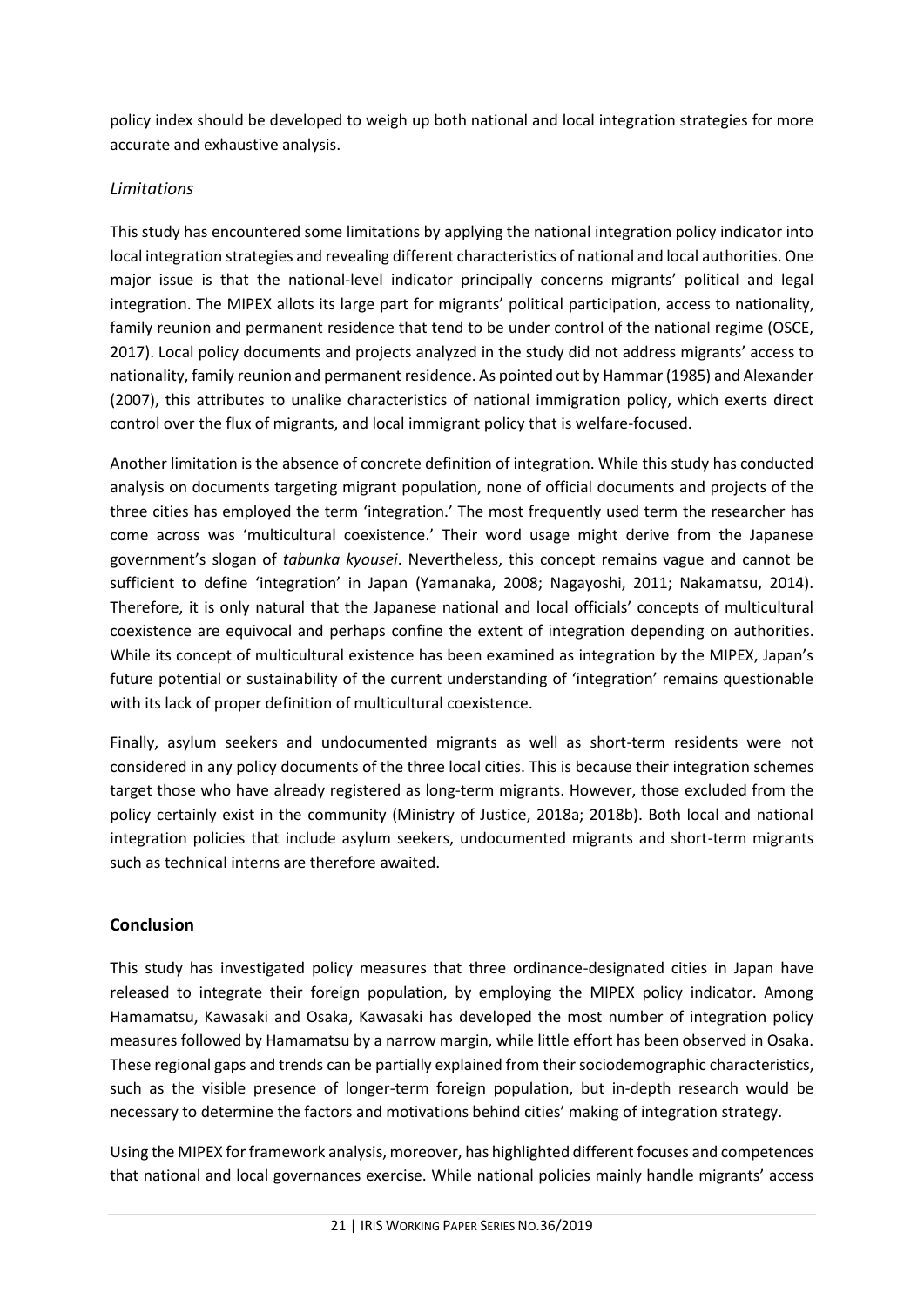policy index should be developed to weigh up both national and local integration strategies for more accurate and exhaustive analysis.

## <span id="page-20-0"></span>*Limitations*

This study has encountered some limitations by applying the national integration policy indicator into local integration strategies and revealing different characteristics of national and local authorities. One major issue is that the national-level indicator principally concerns migrants' political and legal integration. The MIPEX allots its large part for migrants' political participation, access to nationality, family reunion and permanent residence that tend to be under control of the national regime (OSCE, 2017). Local policy documents and projects analyzed in the study did not address migrants' access to nationality, family reunion and permanent residence. As pointed out by Hammar (1985) and Alexander (2007), this attributes to unalike characteristics of national immigration policy, which exerts direct control over the flux of migrants, and local immigrant policy that is welfare-focused.

Another limitation is the absence of concrete definition of integration. While this study has conducted analysis on documents targeting migrant population, none of official documents and projects of the three cities has employed the term 'integration.' The most frequently used term the researcher has come across was 'multicultural coexistence.' Their word usage might derive from the Japanese government's slogan of *tabunka kyousei*. Nevertheless, this concept remains vague and cannot be sufficient to define 'integration' in Japan (Yamanaka, 2008; Nagayoshi, 2011; Nakamatsu, 2014). Therefore, it is only natural that the Japanese national and local officials' concepts of multicultural coexistence are equivocal and perhaps confine the extent of integration depending on authorities. While its concept of multicultural existence has been examined as integration by the MIPEX, Japan's future potential or sustainability of the current understanding of 'integration' remains questionable with its lack of proper definition of multicultural coexistence.

Finally, asylum seekers and undocumented migrants as well as short-term residents were not considered in any policy documents of the three local cities. This is because their integration schemes target those who have already registered as long-term migrants. However, those excluded from the policy certainly exist in the community (Ministry of Justice, 2018a; 2018b). Both local and national integration policies that include asylum seekers, undocumented migrants and short-term migrants such as technical interns are therefore awaited.

## <span id="page-20-1"></span>**Conclusion**

This study has investigated policy measures that three ordinance-designated cities in Japan have released to integrate their foreign population, by employing the MIPEX policy indicator. Among Hamamatsu, Kawasaki and Osaka, Kawasaki has developed the most number of integration policy measures followed by Hamamatsu by a narrow margin, while little effort has been observed in Osaka. These regional gaps and trends can be partially explained from their sociodemographic characteristics, such as the visible presence of longer-term foreign population, but in-depth research would be necessary to determine the factors and motivations behind cities' making of integration strategy.

Using the MIPEX for framework analysis, moreover, has highlighted different focuses and competences that national and local governances exercise. While national policies mainly handle migrants' access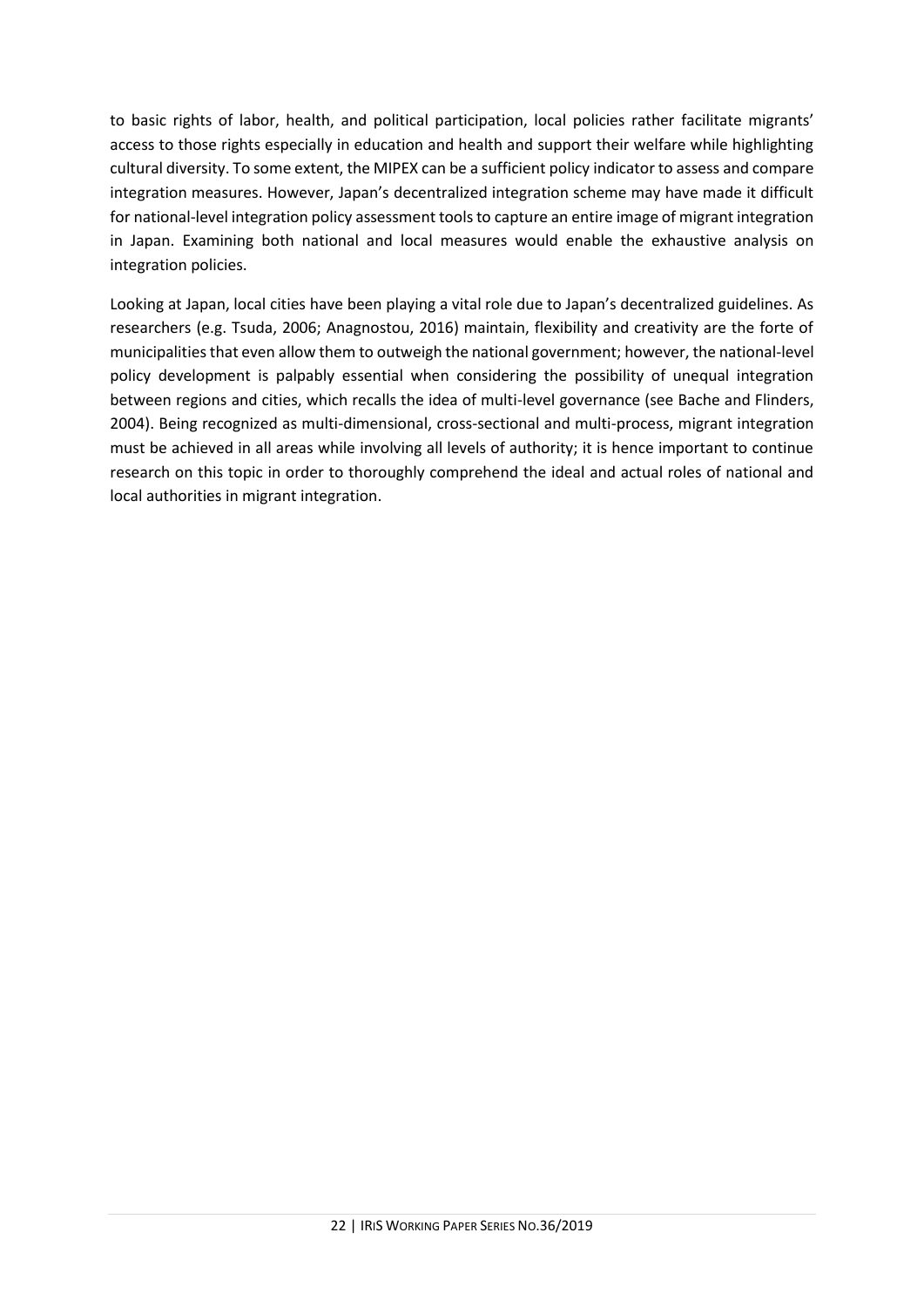to basic rights of labor, health, and political participation, local policies rather facilitate migrants' access to those rights especially in education and health and support their welfare while highlighting cultural diversity. To some extent, the MIPEX can be a sufficient policy indicator to assess and compare integration measures. However, Japan's decentralized integration scheme may have made it difficult for national-level integration policy assessment tools to capture an entire image of migrant integration in Japan. Examining both national and local measures would enable the exhaustive analysis on integration policies.

Looking at Japan, local cities have been playing a vital role due to Japan's decentralized guidelines. As researchers (e.g. Tsuda, 2006; Anagnostou, 2016) maintain, flexibility and creativity are the forte of municipalities that even allow them to outweigh the national government; however, the national-level policy development is palpably essential when considering the possibility of unequal integration between regions and cities, which recalls the idea of multi-level governance (see Bache and Flinders, 2004). Being recognized as multi-dimensional, cross-sectional and multi-process, migrant integration must be achieved in all areas while involving all levels of authority; it is hence important to continue research on this topic in order to thoroughly comprehend the ideal and actual roles of national and local authorities in migrant integration.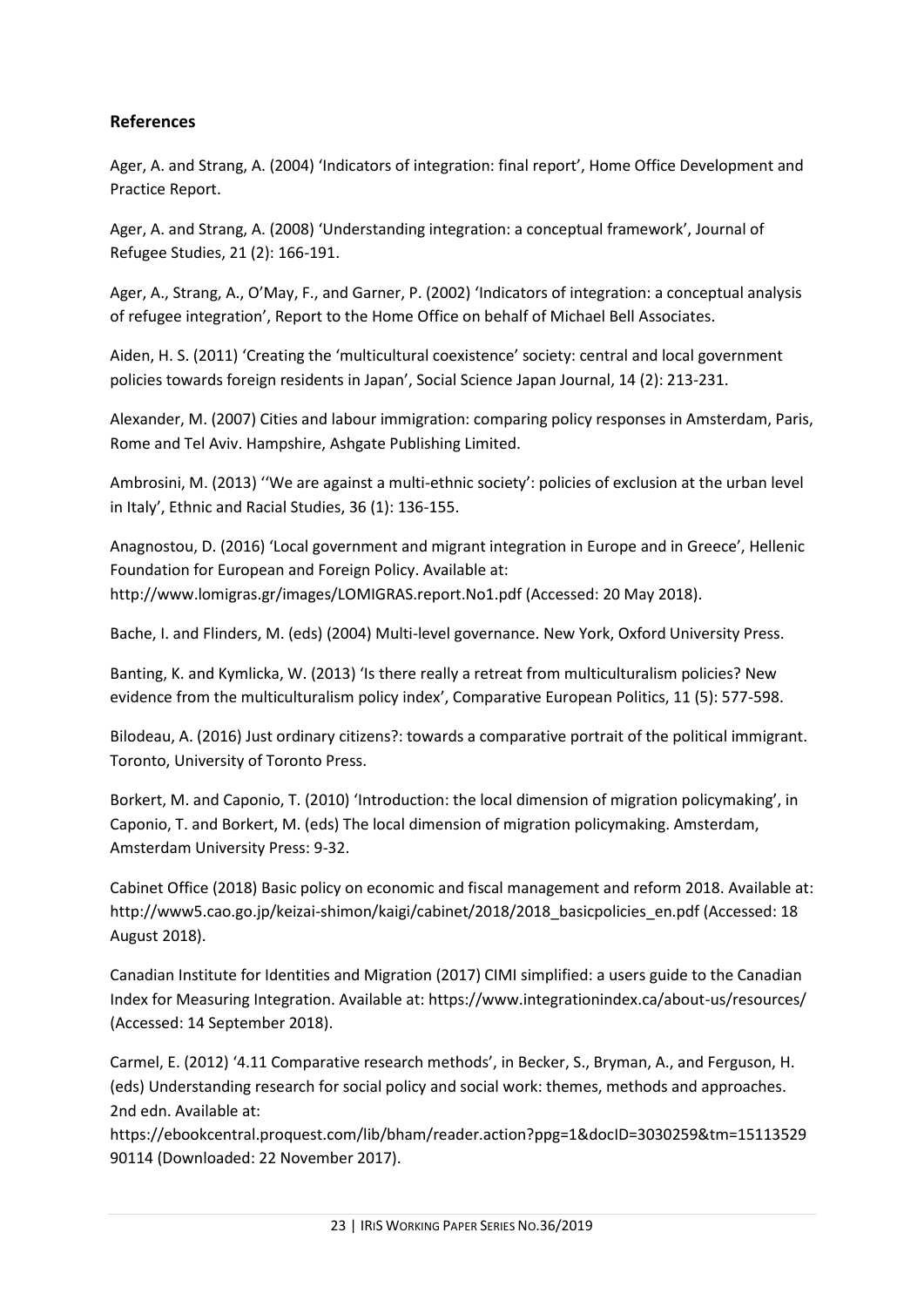#### <span id="page-22-0"></span>**References**

Ager, A. and Strang, A. (2004) 'Indicators of integration: final report', Home Office Development and Practice Report.

Ager, A. and Strang, A. (2008) 'Understanding integration: a conceptual framework', Journal of Refugee Studies, 21 (2): 166-191.

Ager, A., Strang, A., O'May, F., and Garner, P. (2002) 'Indicators of integration: a conceptual analysis of refugee integration', Report to the Home Office on behalf of Michael Bell Associates.

Aiden, H. S. (2011) 'Creating the 'multicultural coexistence' society: central and local government policies towards foreign residents in Japan', Social Science Japan Journal, 14 (2): 213-231.

Alexander, M. (2007) Cities and labour immigration: comparing policy responses in Amsterdam, Paris, Rome and Tel Aviv. Hampshire, Ashgate Publishing Limited.

Ambrosini, M. (2013) ''We are against a multi-ethnic society': policies of exclusion at the urban level in Italy', Ethnic and Racial Studies, 36 (1): 136-155.

Anagnostou, D. (2016) 'Local government and migrant integration in Europe and in Greece', Hellenic Foundation for European and Foreign Policy. Available at: http://www.lomigras.gr/images/LOMIGRAS.report.No1.pdf (Accessed: 20 May 2018).

Bache, I. and Flinders, M. (eds) (2004) Multi-level governance. New York, Oxford University Press.

Banting, K. and Kymlicka, W. (2013) 'Is there really a retreat from multiculturalism policies? New evidence from the multiculturalism policy index', Comparative European Politics, 11 (5): 577-598.

Bilodeau, A. (2016) Just ordinary citizens?: towards a comparative portrait of the political immigrant. Toronto, University of Toronto Press.

Borkert, M. and Caponio, T. (2010) 'Introduction: the local dimension of migration policymaking', in Caponio, T. and Borkert, M. (eds) The local dimension of migration policymaking. Amsterdam, Amsterdam University Press: 9-32.

Cabinet Office (2018) Basic policy on economic and fiscal management and reform 2018. Available at: http://www5.cao.go.jp/keizai-shimon/kaigi/cabinet/2018/2018\_basicpolicies\_en.pdf (Accessed: 18 August 2018).

Canadian Institute for Identities and Migration (2017) CIMI simplified: a users guide to the Canadian Index for Measuring Integration. Available at: https://www.integrationindex.ca/about-us/resources/ (Accessed: 14 September 2018).

Carmel, E. (2012) '4.11 Comparative research methods', in Becker, S., Bryman, A., and Ferguson, H. (eds) Understanding research for social policy and social work: themes, methods and approaches. 2nd edn. Available at:

https://ebookcentral.proquest.com/lib/bham/reader.action?ppg=1&docID=3030259&tm=15113529 90114 (Downloaded: 22 November 2017).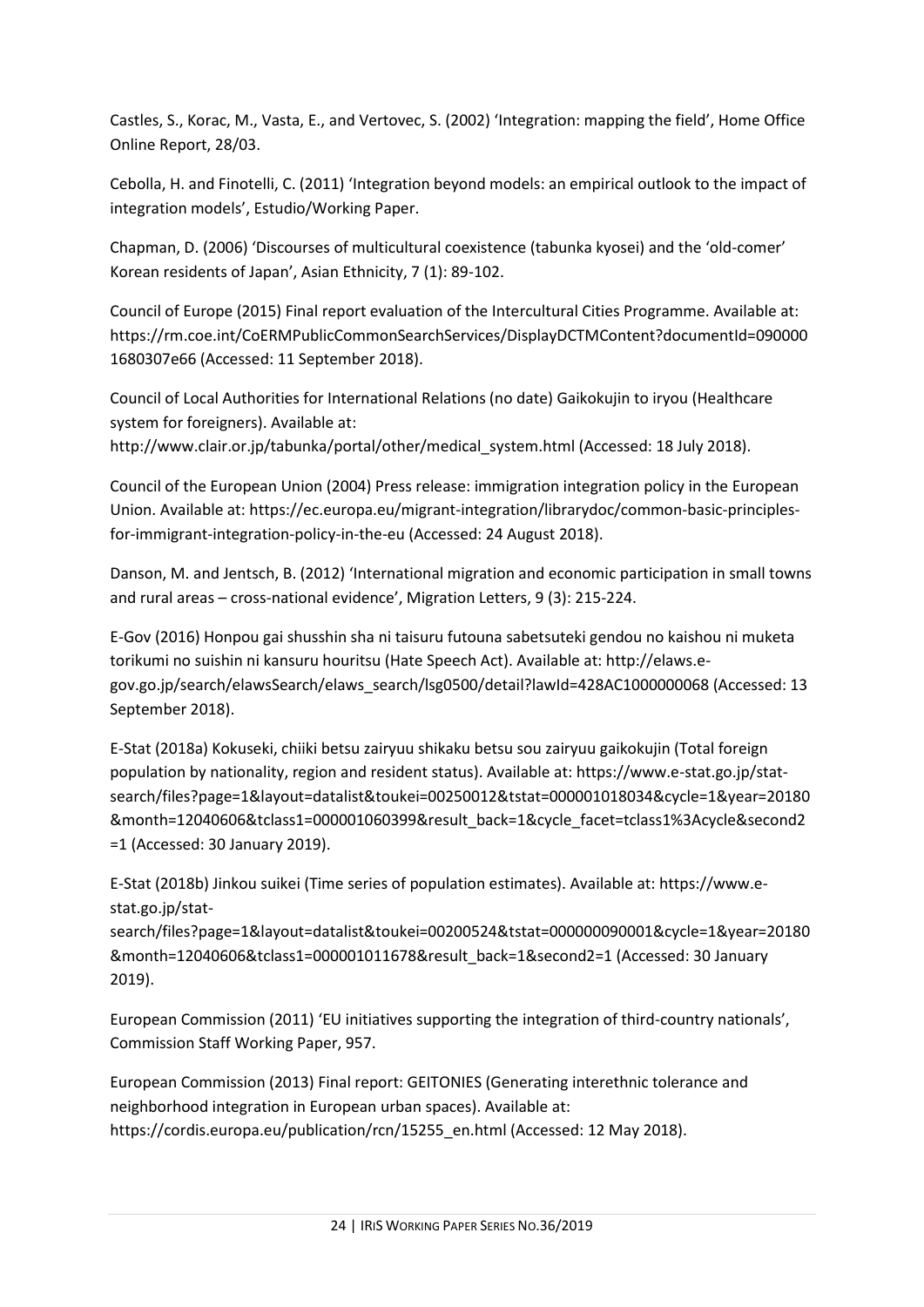Castles, S., Korac, M., Vasta, E., and Vertovec, S. (2002) 'Integration: mapping the field', Home Office Online Report, 28/03.

Cebolla, H. and Finotelli, C. (2011) 'Integration beyond models: an empirical outlook to the impact of integration models', Estudio/Working Paper.

Chapman, D. (2006) 'Discourses of multicultural coexistence (tabunka kyosei) and the 'old-comer' Korean residents of Japan', Asian Ethnicity, 7 (1): 89-102.

Council of Europe (2015) Final report evaluation of the Intercultural Cities Programme. Available at: https://rm.coe.int/CoERMPublicCommonSearchServices/DisplayDCTMContent?documentId=090000 1680307e66 (Accessed: 11 September 2018).

Council of Local Authorities for International Relations (no date) Gaikokujin to iryou (Healthcare system for foreigners). Available at:

http://www.clair.or.jp/tabunka/portal/other/medical\_system.html (Accessed: 18 July 2018).

Council of the European Union (2004) Press release: immigration integration policy in the European Union. Available at: https://ec.europa.eu/migrant-integration/librarydoc/common-basic-principlesfor-immigrant-integration-policy-in-the-eu (Accessed: 24 August 2018).

Danson, M. and Jentsch, B. (2012) 'International migration and economic participation in small towns and rural areas – cross-national evidence', Migration Letters, 9 (3): 215-224.

E-Gov (2016) Honpou gai shusshin sha ni taisuru futouna sabetsuteki gendou no kaishou ni muketa torikumi no suishin ni kansuru houritsu (Hate Speech Act). Available at: http://elaws.egov.go.jp/search/elawsSearch/elaws\_search/lsg0500/detail?lawId=428AC1000000068 (Accessed: 13 September 2018).

E-Stat (2018a) Kokuseki, chiiki betsu zairyuu shikaku betsu sou zairyuu gaikokujin (Total foreign population by nationality, region and resident status). Available at: https://www.e-stat.go.jp/statsearch/files?page=1&layout=datalist&toukei=00250012&tstat=000001018034&cycle=1&year=20180 &month=12040606&tclass1=000001060399&result\_back=1&cycle\_facet=tclass1%3Acycle&second2 =1 (Accessed: 30 January 2019).

E-Stat (2018b) Jinkou suikei (Time series of population estimates). Available at: https://www.estat.go.jp/stat-

search/files?page=1&layout=datalist&toukei=00200524&tstat=000000090001&cycle=1&year=20180 &month=12040606&tclass1=000001011678&result\_back=1&second2=1 (Accessed: 30 January 2019).

European Commission (2011) 'EU initiatives supporting the integration of third-country nationals', Commission Staff Working Paper, 957.

European Commission (2013) Final report: GEITONIES (Generating interethnic tolerance and neighborhood integration in European urban spaces). Available at: https://cordis.europa.eu/publication/rcn/15255\_en.html (Accessed: 12 May 2018).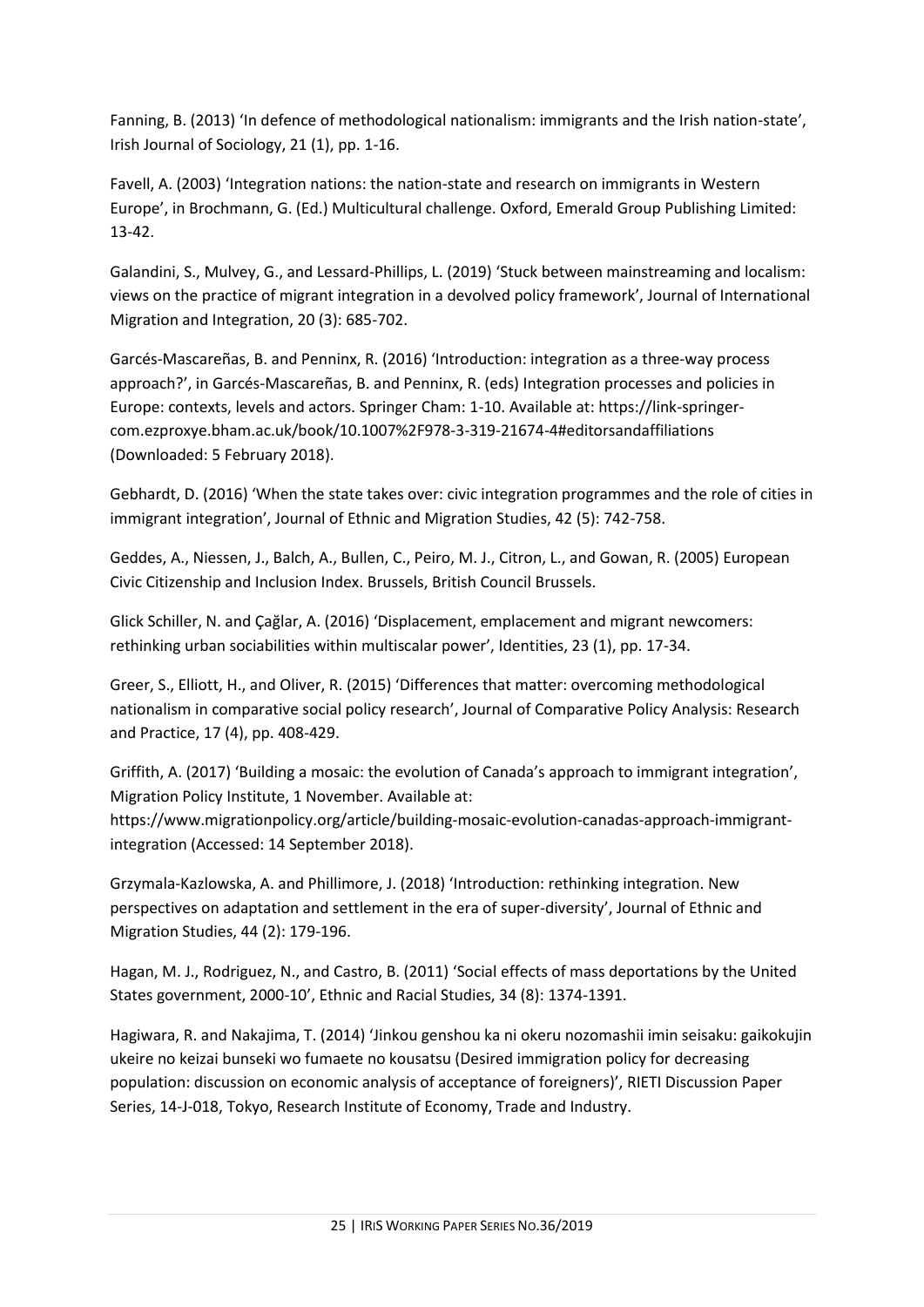Fanning, B. (2013) 'In defence of methodological nationalism: immigrants and the Irish nation-state', Irish Journal of Sociology, 21 (1), pp. 1-16.

Favell, A. (2003) 'Integration nations: the nation-state and research on immigrants in Western Europe', in Brochmann, G. (Ed.) Multicultural challenge. Oxford, Emerald Group Publishing Limited: 13-42.

Galandini, S., Mulvey, G., and Lessard-Phillips, L. (2019) 'Stuck between mainstreaming and localism: views on the practice of migrant integration in a devolved policy framework', Journal of International Migration and Integration, 20 (3): 685-702.

Garcés-Mascareñas, B. and Penninx, R. (2016) 'Introduction: integration as a three-way process approach?', in Garcés-Mascareñas, B. and Penninx, R. (eds) Integration processes and policies in Europe: contexts, levels and actors. Springer Cham: 1-10. Available at: https://link-springercom.ezproxye.bham.ac.uk/book/10.1007%2F978-3-319-21674-4#editorsandaffiliations (Downloaded: 5 February 2018).

Gebhardt, D. (2016) 'When the state takes over: civic integration programmes and the role of cities in immigrant integration', Journal of Ethnic and Migration Studies, 42 (5): 742-758.

Geddes, A., Niessen, J., Balch, A., Bullen, C., Peiro, M. J., Citron, L., and Gowan, R. (2005) European Civic Citizenship and Inclusion Index. Brussels, British Council Brussels.

Glick Schiller, N. and Çağlar, A. (2016) 'Displacement, emplacement and migrant newcomers: rethinking urban sociabilities within multiscalar power', Identities, 23 (1), pp. 17-34.

Greer, S., Elliott, H., and Oliver, R. (2015) 'Differences that matter: overcoming methodological nationalism in comparative social policy research', Journal of Comparative Policy Analysis: Research and Practice, 17 (4), pp. 408-429.

Griffith, A. (2017) 'Building a mosaic: the evolution of Canada's approach to immigrant integration', Migration Policy Institute, 1 November. Available at:

https://www.migrationpolicy.org/article/building-mosaic-evolution-canadas-approach-immigrantintegration (Accessed: 14 September 2018).

Grzymala-Kazlowska, A. and Phillimore, J. (2018) 'Introduction: rethinking integration. New perspectives on adaptation and settlement in the era of super-diversity', Journal of Ethnic and Migration Studies, 44 (2): 179-196.

Hagan, M. J., Rodriguez, N., and Castro, B. (2011) 'Social effects of mass deportations by the United States government, 2000-10', Ethnic and Racial Studies, 34 (8): 1374-1391.

Hagiwara, R. and Nakajima, T. (2014) 'Jinkou genshou ka ni okeru nozomashii imin seisaku: gaikokujin ukeire no keizai bunseki wo fumaete no kousatsu (Desired immigration policy for decreasing population: discussion on economic analysis of acceptance of foreigners)', RIETI Discussion Paper Series, 14-J-018, Tokyo, Research Institute of Economy, Trade and Industry.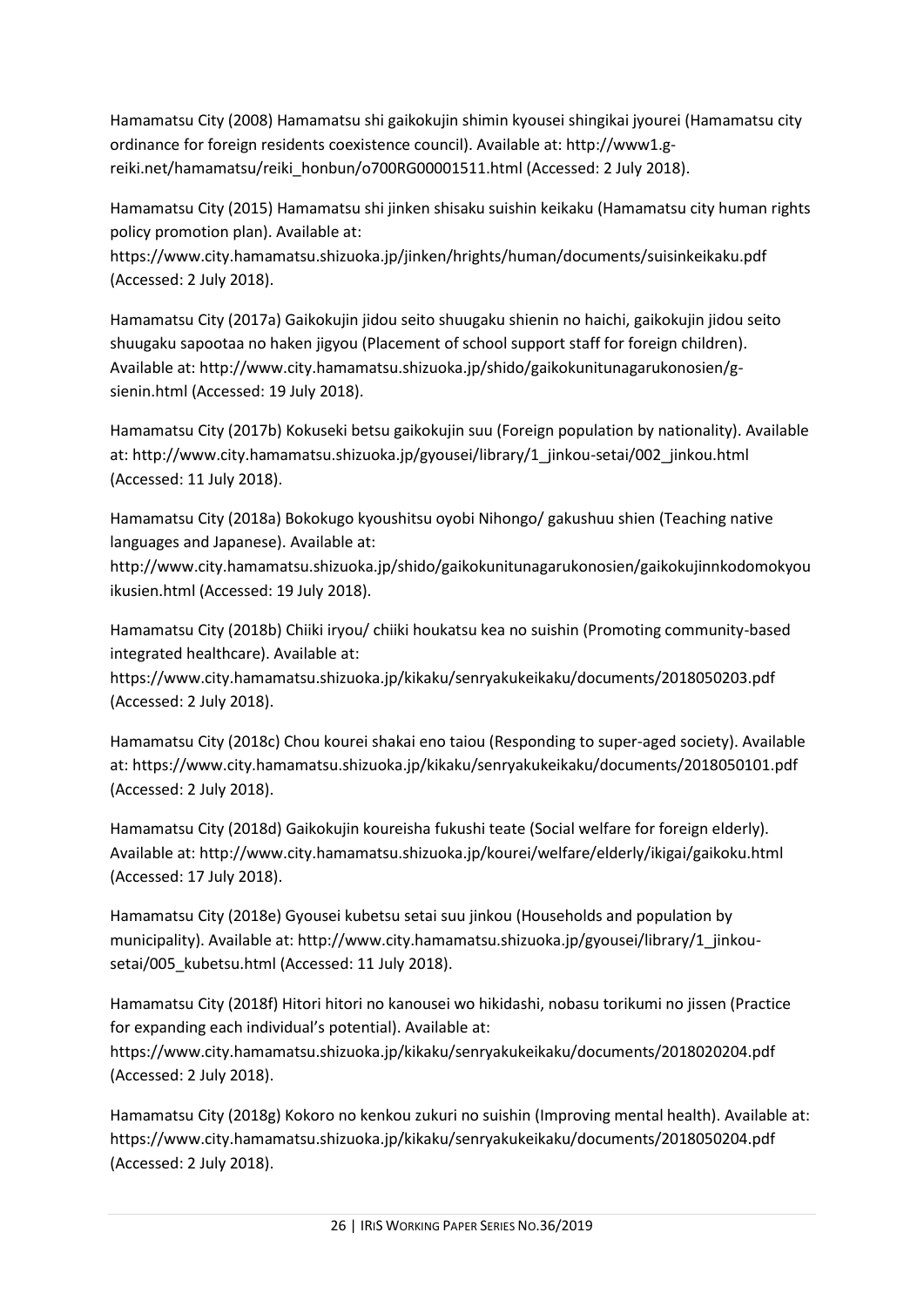Hamamatsu City (2008) Hamamatsu shi gaikokujin shimin kyousei shingikai jyourei (Hamamatsu city ordinance for foreign residents coexistence council). Available at: http://www1.greiki.net/hamamatsu/reiki\_honbun/o700RG00001511.html (Accessed: 2 July 2018).

Hamamatsu City (2015) Hamamatsu shi jinken shisaku suishin keikaku (Hamamatsu city human rights policy promotion plan). Available at:

https://www.city.hamamatsu.shizuoka.jp/jinken/hrights/human/documents/suisinkeikaku.pdf (Accessed: 2 July 2018).

Hamamatsu City (2017a) Gaikokujin jidou seito shuugaku shienin no haichi, gaikokujin jidou seito shuugaku sapootaa no haken jigyou (Placement of school support staff for foreign children). Available at: http://www.city.hamamatsu.shizuoka.jp/shido/gaikokunitunagarukonosien/gsienin.html (Accessed: 19 July 2018).

Hamamatsu City (2017b) Kokuseki betsu gaikokujin suu (Foreign population by nationality). Available at: http://www.city.hamamatsu.shizuoka.jp/gyousei/library/1\_jinkou-setai/002\_jinkou.html (Accessed: 11 July 2018).

Hamamatsu City (2018a) Bokokugo kyoushitsu oyobi Nihongo/ gakushuu shien (Teaching native languages and Japanese). Available at:

http://www.city.hamamatsu.shizuoka.jp/shido/gaikokunitunagarukonosien/gaikokujinnkodomokyou ikusien.html (Accessed: 19 July 2018).

Hamamatsu City (2018b) Chiiki iryou/ chiiki houkatsu kea no suishin (Promoting community-based integrated healthcare). Available at:

https://www.city.hamamatsu.shizuoka.jp/kikaku/senryakukeikaku/documents/2018050203.pdf (Accessed: 2 July 2018).

Hamamatsu City (2018c) Chou kourei shakai eno taiou (Responding to super-aged society). Available at: https://www.city.hamamatsu.shizuoka.jp/kikaku/senryakukeikaku/documents/2018050101.pdf (Accessed: 2 July 2018).

Hamamatsu City (2018d) Gaikokujin koureisha fukushi teate (Social welfare for foreign elderly). Available at: http://www.city.hamamatsu.shizuoka.jp/kourei/welfare/elderly/ikigai/gaikoku.html (Accessed: 17 July 2018).

Hamamatsu City (2018e) Gyousei kubetsu setai suu jinkou (Households and population by municipality). Available at: http://www.city.hamamatsu.shizuoka.jp/gyousei/library/1\_jinkousetai/005 kubetsu.html (Accessed: 11 July 2018).

Hamamatsu City (2018f) Hitori hitori no kanousei wo hikidashi, nobasu torikumi no jissen (Practice for expanding each individual's potential). Available at:

https://www.city.hamamatsu.shizuoka.jp/kikaku/senryakukeikaku/documents/2018020204.pdf (Accessed: 2 July 2018).

Hamamatsu City (2018g) Kokoro no kenkou zukuri no suishin (Improving mental health). Available at: https://www.city.hamamatsu.shizuoka.jp/kikaku/senryakukeikaku/documents/2018050204.pdf (Accessed: 2 July 2018).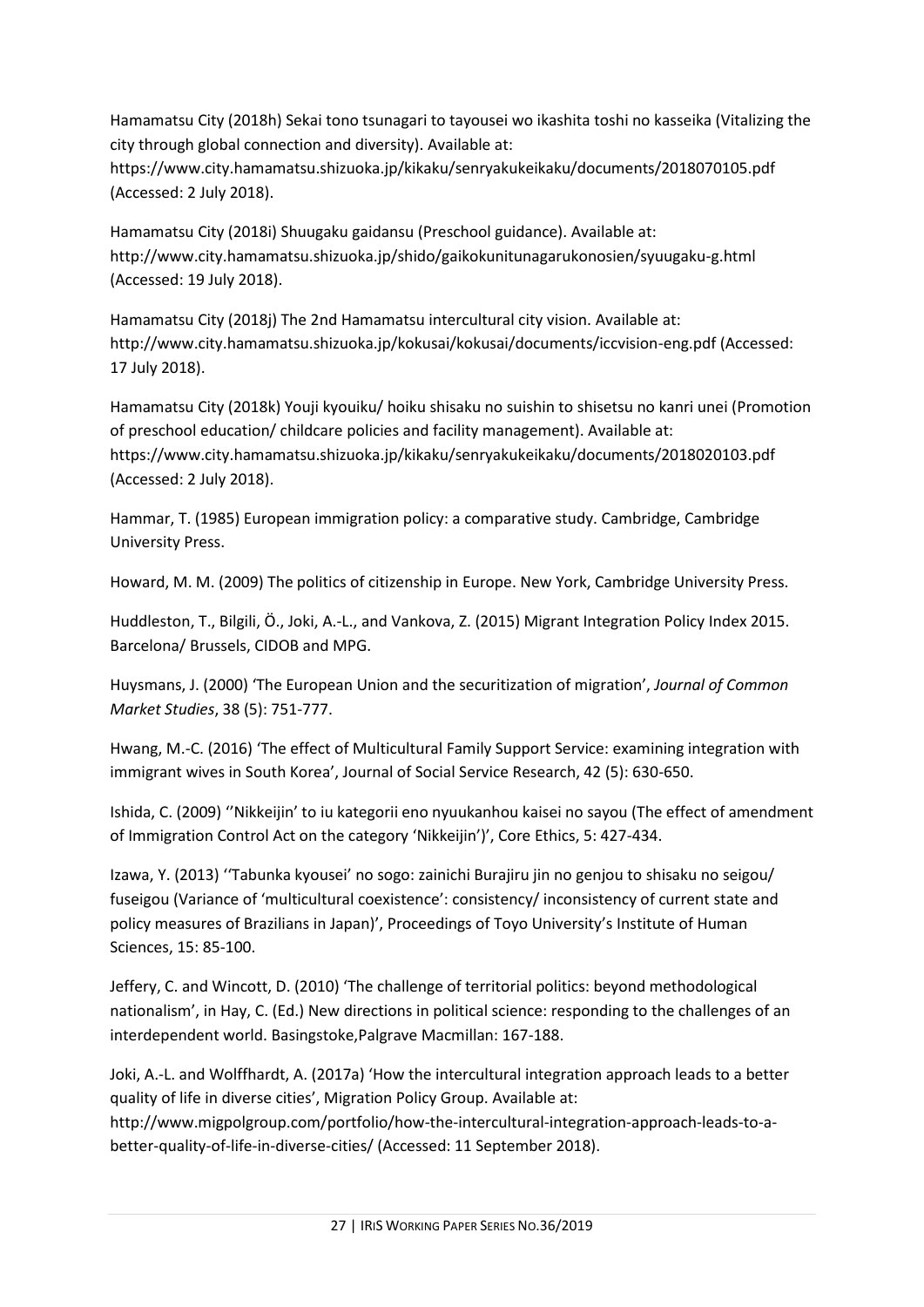Hamamatsu City (2018h) Sekai tono tsunagari to tayousei wo ikashita toshi no kasseika (Vitalizing the city through global connection and diversity). Available at:

https://www.city.hamamatsu.shizuoka.jp/kikaku/senryakukeikaku/documents/2018070105.pdf (Accessed: 2 July 2018).

Hamamatsu City (2018i) Shuugaku gaidansu (Preschool guidance). Available at: http://www.city.hamamatsu.shizuoka.jp/shido/gaikokunitunagarukonosien/syuugaku-g.html (Accessed: 19 July 2018).

Hamamatsu City (2018j) The 2nd Hamamatsu intercultural city vision. Available at: http://www.city.hamamatsu.shizuoka.jp/kokusai/kokusai/documents/iccvision-eng.pdf (Accessed: 17 July 2018).

Hamamatsu City (2018k) Youji kyouiku/ hoiku shisaku no suishin to shisetsu no kanri unei (Promotion of preschool education/ childcare policies and facility management). Available at: https://www.city.hamamatsu.shizuoka.jp/kikaku/senryakukeikaku/documents/2018020103.pdf (Accessed: 2 July 2018).

Hammar, T. (1985) European immigration policy: a comparative study. Cambridge, Cambridge University Press.

Howard, M. M. (2009) The politics of citizenship in Europe. New York, Cambridge University Press.

Huddleston, T., Bilgili, Ö., Joki, A.-L., and Vankova, Z. (2015) Migrant Integration Policy Index 2015. Barcelona/ Brussels, CIDOB and MPG.

Huysmans, J. (2000) 'The European Union and the securitization of migration', *Journal of Common Market Studies*, 38 (5): 751-777.

Hwang, M.-C. (2016) 'The effect of Multicultural Family Support Service: examining integration with immigrant wives in South Korea', Journal of Social Service Research, 42 (5): 630-650.

Ishida, C. (2009) ''Nikkeijin' to iu kategorii eno nyuukanhou kaisei no sayou (The effect of amendment of Immigration Control Act on the category 'Nikkeijin')', Core Ethics, 5: 427-434.

Izawa, Y. (2013) ''Tabunka kyousei' no sogo: zainichi Burajiru jin no genjou to shisaku no seigou/ fuseigou (Variance of 'multicultural coexistence': consistency/ inconsistency of current state and policy measures of Brazilians in Japan)', Proceedings of Toyo University's Institute of Human Sciences, 15: 85-100.

Jeffery, C. and Wincott, D. (2010) 'The challenge of territorial politics: beyond methodological nationalism', in Hay, C. (Ed.) New directions in political science: responding to the challenges of an interdependent world. Basingstoke,Palgrave Macmillan: 167-188.

Joki, A.-L. and Wolffhardt, A. (2017a) 'How the intercultural integration approach leads to a better quality of life in diverse cities', Migration Policy Group. Available at: http://www.migpolgroup.com/portfolio/how-the-intercultural-integration-approach-leads-to-abetter-quality-of-life-in-diverse-cities/ (Accessed: 11 September 2018).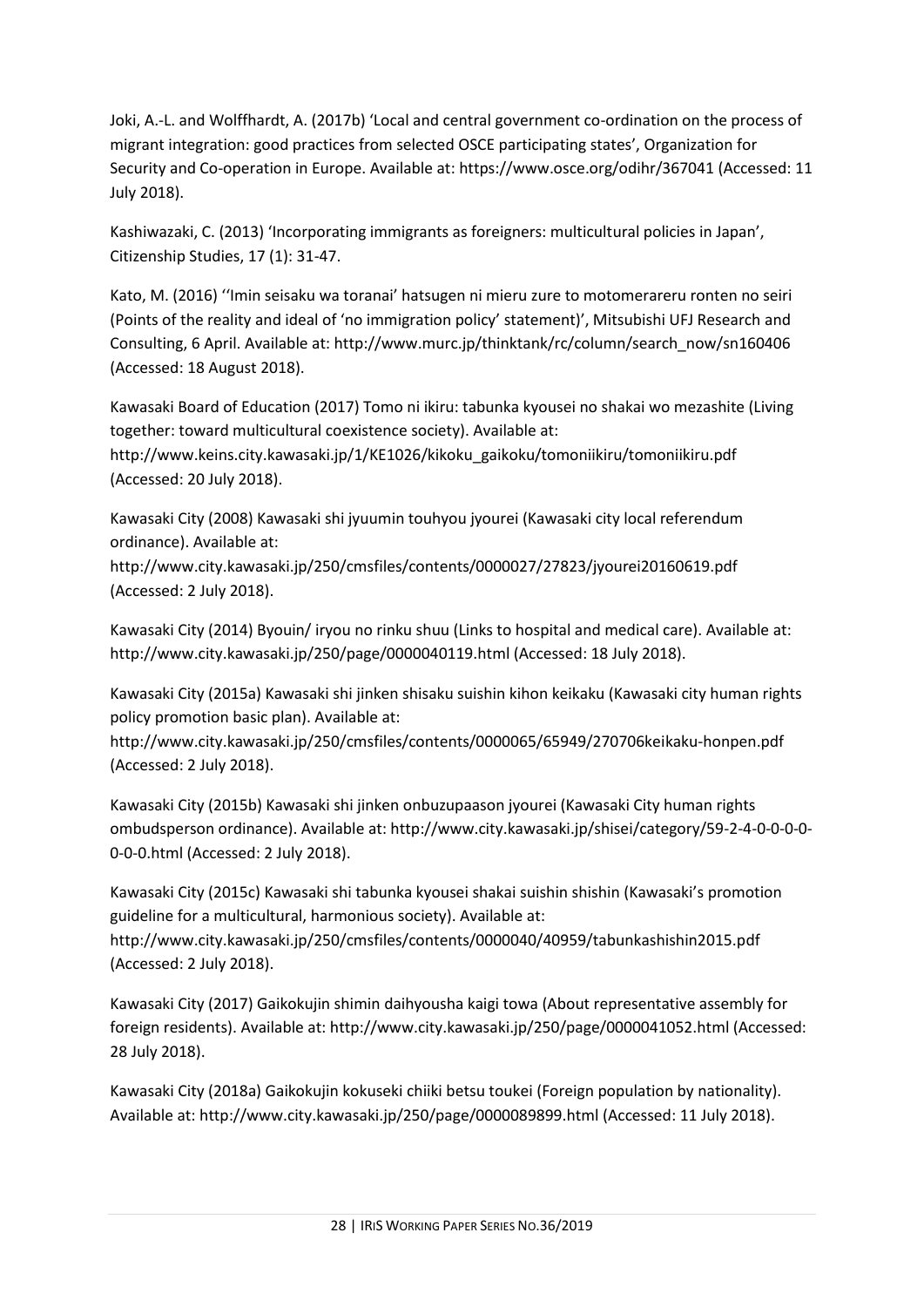Joki, A.-L. and Wolffhardt, A. (2017b) 'Local and central government co-ordination on the process of migrant integration: good practices from selected OSCE participating states', Organization for Security and Co-operation in Europe. Available at: https://www.osce.org/odihr/367041 (Accessed: 11 July 2018).

Kashiwazaki, C. (2013) 'Incorporating immigrants as foreigners: multicultural policies in Japan', Citizenship Studies, 17 (1): 31-47.

Kato, M. (2016) ''Imin seisaku wa toranai' hatsugen ni mieru zure to motomerareru ronten no seiri (Points of the reality and ideal of 'no immigration policy' statement)', Mitsubishi UFJ Research and Consulting, 6 April. Available at: http://www.murc.jp/thinktank/rc/column/search\_now/sn160406 (Accessed: 18 August 2018).

Kawasaki Board of Education (2017) Tomo ni ikiru: tabunka kyousei no shakai wo mezashite (Living together: toward multicultural coexistence society). Available at:

http://www.keins.city.kawasaki.jp/1/KE1026/kikoku\_gaikoku/tomoniikiru/tomoniikiru.pdf (Accessed: 20 July 2018).

Kawasaki City (2008) Kawasaki shi jyuumin touhyou jyourei (Kawasaki city local referendum ordinance). Available at:

http://www.city.kawasaki.jp/250/cmsfiles/contents/0000027/27823/jyourei20160619.pdf (Accessed: 2 July 2018).

Kawasaki City (2014) Byouin/ iryou no rinku shuu (Links to hospital and medical care). Available at: http://www.city.kawasaki.jp/250/page/0000040119.html (Accessed: 18 July 2018).

Kawasaki City (2015a) Kawasaki shi jinken shisaku suishin kihon keikaku (Kawasaki city human rights policy promotion basic plan). Available at:

http://www.city.kawasaki.jp/250/cmsfiles/contents/0000065/65949/270706keikaku-honpen.pdf (Accessed: 2 July 2018).

Kawasaki City (2015b) Kawasaki shi jinken onbuzupaason jyourei (Kawasaki City human rights ombudsperson ordinance). Available at: http://www.city.kawasaki.jp/shisei/category/59-2-4-0-0-0-0- 0-0-0.html (Accessed: 2 July 2018).

Kawasaki City (2015c) Kawasaki shi tabunka kyousei shakai suishin shishin (Kawasaki's promotion guideline for a multicultural, harmonious society). Available at: http://www.city.kawasaki.jp/250/cmsfiles/contents/0000040/40959/tabunkashishin2015.pdf (Accessed: 2 July 2018).

Kawasaki City (2017) Gaikokujin shimin daihyousha kaigi towa (About representative assembly for foreign residents). Available at: http://www.city.kawasaki.jp/250/page/0000041052.html (Accessed: 28 July 2018).

Kawasaki City (2018a) Gaikokujin kokuseki chiiki betsu toukei (Foreign population by nationality). Available at: http://www.city.kawasaki.jp/250/page/0000089899.html (Accessed: 11 July 2018).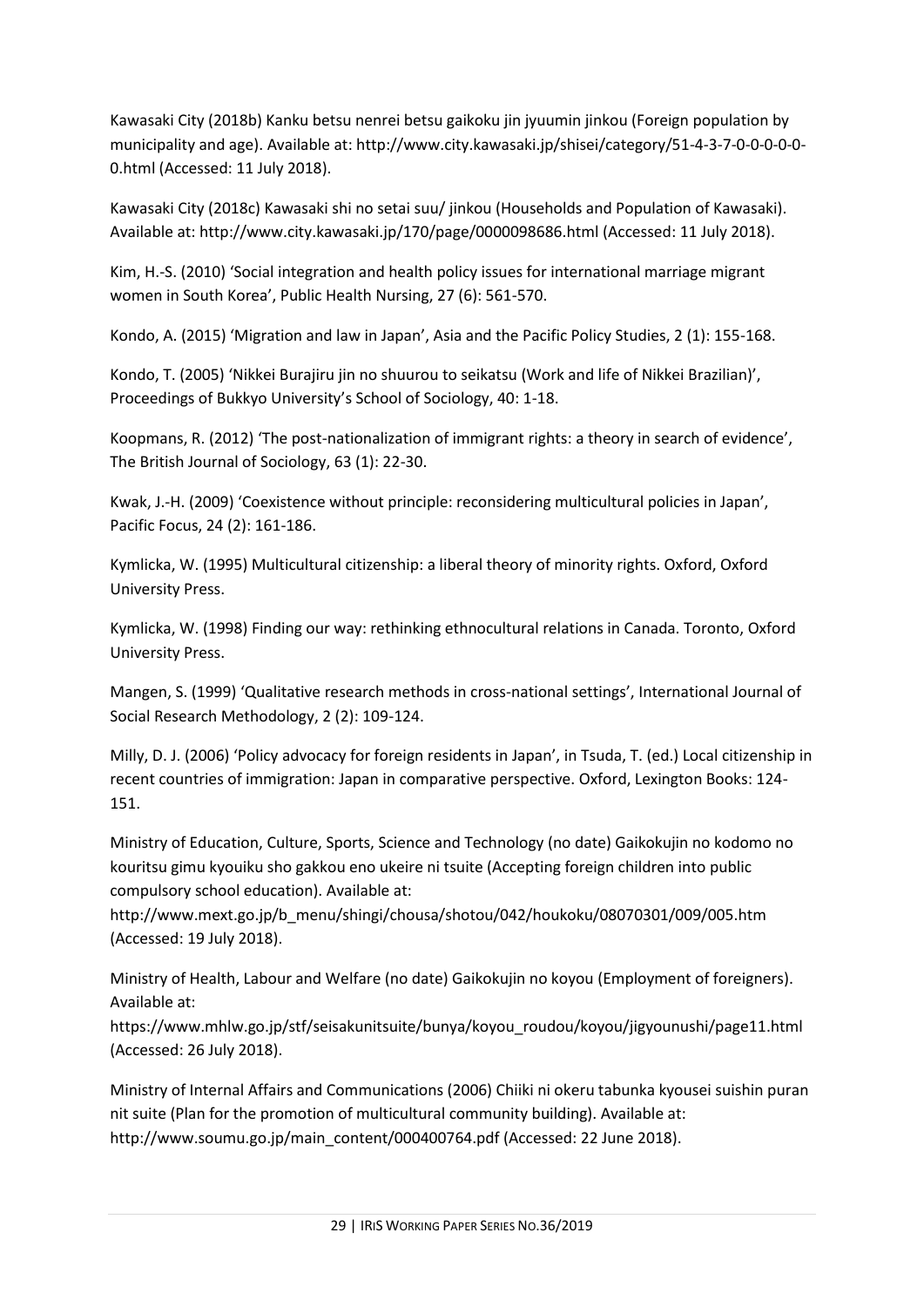Kawasaki City (2018b) Kanku betsu nenrei betsu gaikoku jin jyuumin jinkou (Foreign population by municipality and age). Available at: http://www.city.kawasaki.jp/shisei/category/51-4-3-7-0-0-0-0-0- 0.html (Accessed: 11 July 2018).

Kawasaki City (2018c) Kawasaki shi no setai suu/ jinkou (Households and Population of Kawasaki). Available at: http://www.city.kawasaki.jp/170/page/0000098686.html (Accessed: 11 July 2018).

Kim, H.-S. (2010) 'Social integration and health policy issues for international marriage migrant women in South Korea', Public Health Nursing, 27 (6): 561-570.

Kondo, A. (2015) 'Migration and law in Japan', Asia and the Pacific Policy Studies, 2 (1): 155-168.

Kondo, T. (2005) 'Nikkei Burajiru jin no shuurou to seikatsu (Work and life of Nikkei Brazilian)', Proceedings of Bukkyo University's School of Sociology, 40: 1-18.

Koopmans, R. (2012) 'The post-nationalization of immigrant rights: a theory in search of evidence', The British Journal of Sociology, 63 (1): 22-30.

Kwak, J.-H. (2009) 'Coexistence without principle: reconsidering multicultural policies in Japan', Pacific Focus, 24 (2): 161-186.

Kymlicka, W. (1995) Multicultural citizenship: a liberal theory of minority rights. Oxford, Oxford University Press.

Kymlicka, W. (1998) Finding our way: rethinking ethnocultural relations in Canada. Toronto, Oxford University Press.

Mangen, S. (1999) 'Qualitative research methods in cross-national settings', International Journal of Social Research Methodology, 2 (2): 109-124.

Milly, D. J. (2006) 'Policy advocacy for foreign residents in Japan', in Tsuda, T. (ed.) Local citizenship in recent countries of immigration: Japan in comparative perspective. Oxford, Lexington Books: 124- 151.

Ministry of Education, Culture, Sports, Science and Technology (no date) Gaikokujin no kodomo no kouritsu gimu kyouiku sho gakkou eno ukeire ni tsuite (Accepting foreign children into public compulsory school education). Available at:

http://www.mext.go.jp/b\_menu/shingi/chousa/shotou/042/houkoku/08070301/009/005.htm (Accessed: 19 July 2018).

Ministry of Health, Labour and Welfare (no date) Gaikokujin no koyou (Employment of foreigners). Available at:

https://www.mhlw.go.jp/stf/seisakunitsuite/bunya/koyou\_roudou/koyou/jigyounushi/page11.html (Accessed: 26 July 2018).

Ministry of Internal Affairs and Communications (2006) Chiiki ni okeru tabunka kyousei suishin puran nit suite (Plan for the promotion of multicultural community building). Available at: http://www.soumu.go.jp/main\_content/000400764.pdf (Accessed: 22 June 2018).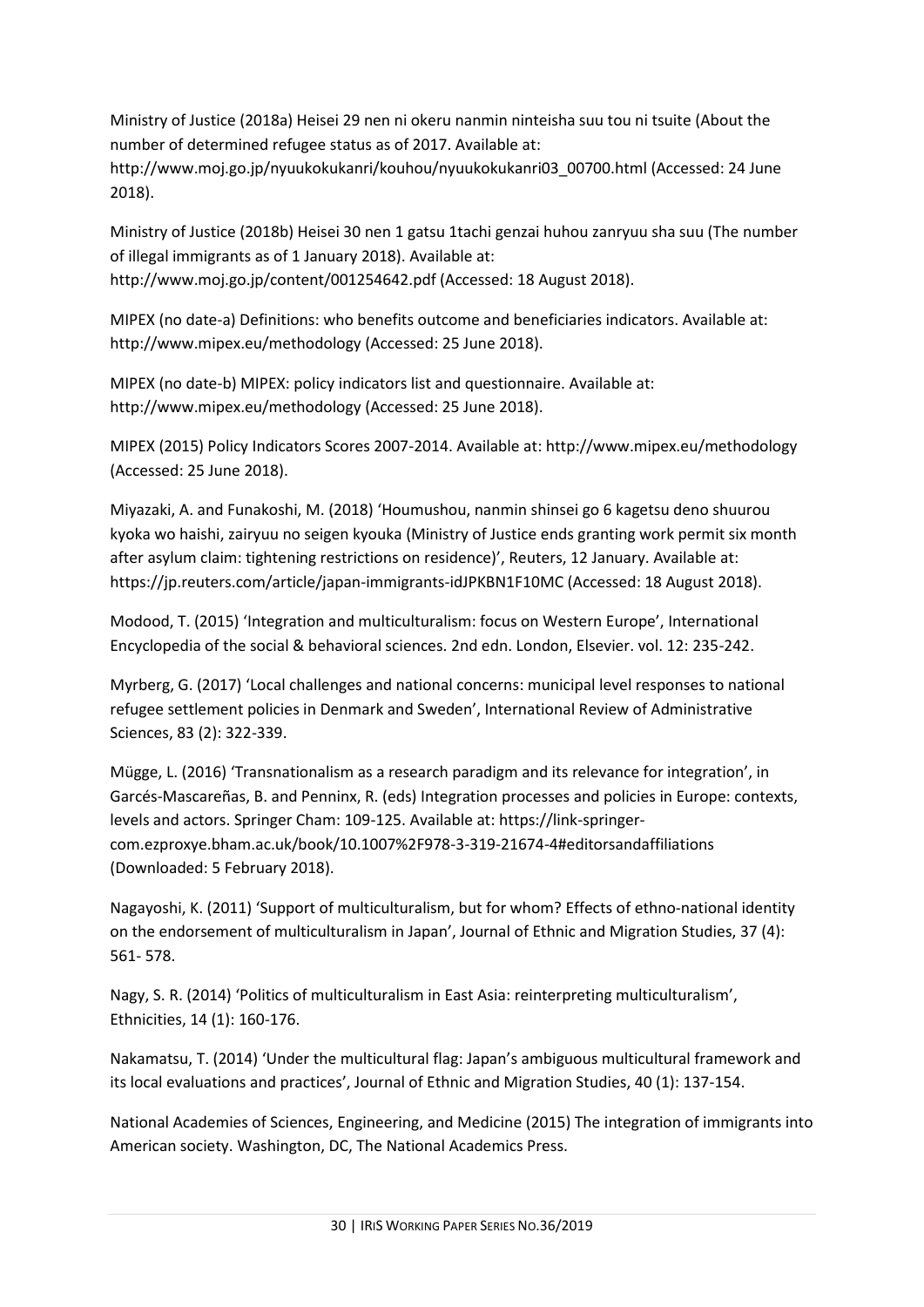Ministry of Justice (2018a) Heisei 29 nen ni okeru nanmin ninteisha suu tou ni tsuite (About the number of determined refugee status as of 2017. Available at:

http://www.moj.go.jp/nyuukokukanri/kouhou/nyuukokukanri03\_00700.html (Accessed: 24 June 2018).

Ministry of Justice (2018b) Heisei 30 nen 1 gatsu 1tachi genzai huhou zanryuu sha suu (The number of illegal immigrants as of 1 January 2018). Available at: http://www.moj.go.jp/content/001254642.pdf (Accessed: 18 August 2018).

MIPEX (no date-a) Definitions: who benefits outcome and beneficiaries indicators. Available at: http://www.mipex.eu/methodology (Accessed: 25 June 2018).

MIPEX (no date-b) MIPEX: policy indicators list and questionnaire. Available at: http://www.mipex.eu/methodology (Accessed: 25 June 2018).

MIPEX (2015) Policy Indicators Scores 2007-2014. Available at: http://www.mipex.eu/methodology (Accessed: 25 June 2018).

Miyazaki, A. and Funakoshi, M. (2018) 'Houmushou, nanmin shinsei go 6 kagetsu deno shuurou kyoka wo haishi, zairyuu no seigen kyouka (Ministry of Justice ends granting work permit six month after asylum claim: tightening restrictions on residence)', Reuters, 12 January. Available at: https://jp.reuters.com/article/japan-immigrants-idJPKBN1F10MC (Accessed: 18 August 2018).

Modood, T. (2015) 'Integration and multiculturalism: focus on Western Europe', International Encyclopedia of the social & behavioral sciences. 2nd edn. London, Elsevier. vol. 12: 235-242.

Myrberg, G. (2017) 'Local challenges and national concerns: municipal level responses to national refugee settlement policies in Denmark and Sweden', International Review of Administrative Sciences, 83 (2): 322-339.

Mügge, L. (2016) 'Transnationalism as a research paradigm and its relevance for integration', in Garcés-Mascareñas, B. and Penninx, R. (eds) Integration processes and policies in Europe: contexts, levels and actors. Springer Cham: 109-125. Available at: https://link-springercom.ezproxye.bham.ac.uk/book/10.1007%2F978-3-319-21674-4#editorsandaffiliations (Downloaded: 5 February 2018).

Nagayoshi, K. (2011) 'Support of multiculturalism, but for whom? Effects of ethno-national identity on the endorsement of multiculturalism in Japan', Journal of Ethnic and Migration Studies, 37 (4): 561- 578.

Nagy, S. R. (2014) 'Politics of multiculturalism in East Asia: reinterpreting multiculturalism', Ethnicities, 14 (1): 160-176.

Nakamatsu, T. (2014) 'Under the multicultural flag: Japan's ambiguous multicultural framework and its local evaluations and practices', Journal of Ethnic and Migration Studies, 40 (1): 137-154.

National Academies of Sciences, Engineering, and Medicine (2015) The integration of immigrants into American society. Washington, DC, The National Academics Press.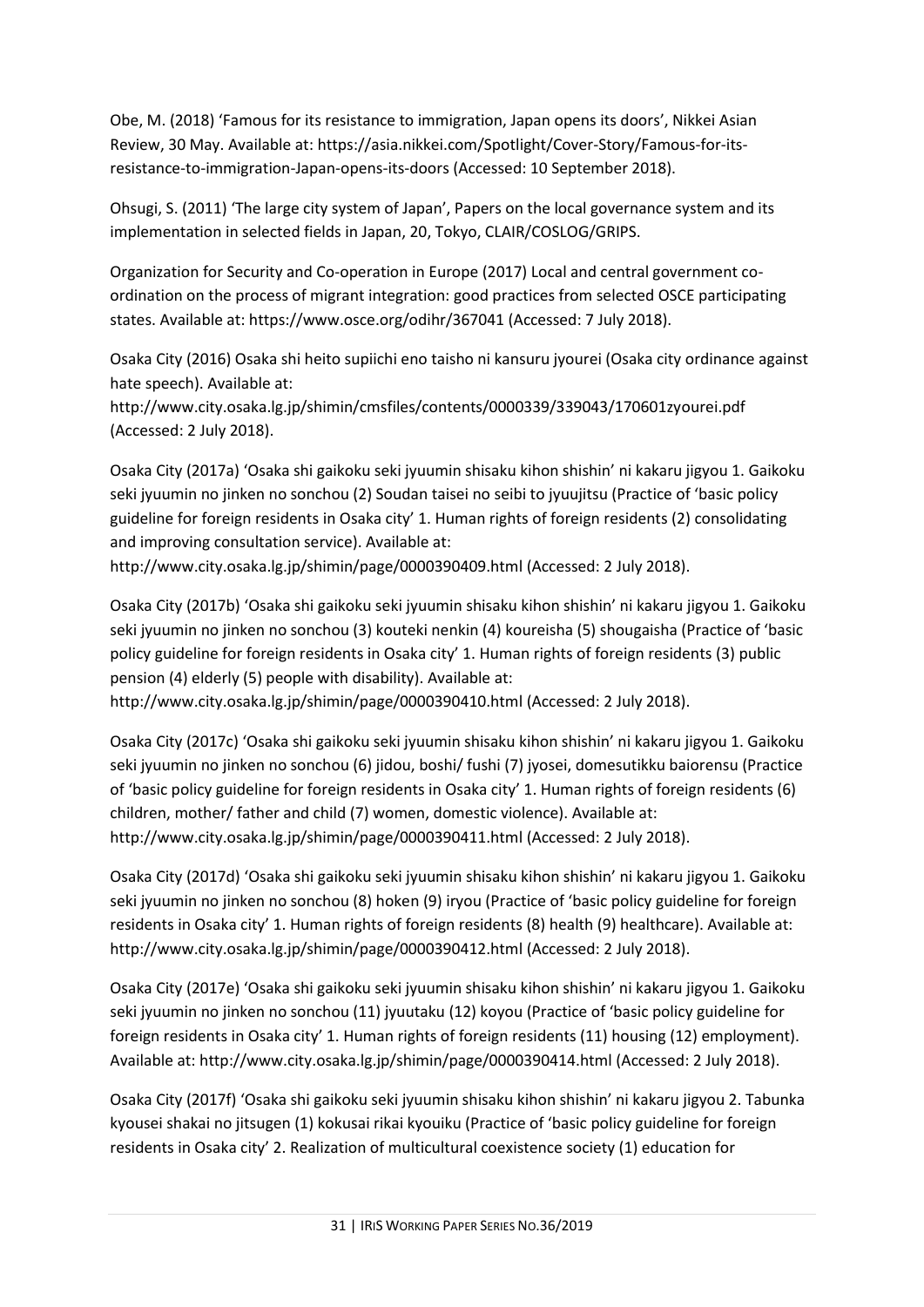Obe, M. (2018) 'Famous for its resistance to immigration, Japan opens its doors', Nikkei Asian Review, 30 May. Available at: https://asia.nikkei.com/Spotlight/Cover-Story/Famous-for-itsresistance-to-immigration-Japan-opens-its-doors (Accessed: 10 September 2018).

Ohsugi, S. (2011) 'The large city system of Japan', Papers on the local governance system and its implementation in selected fields in Japan, 20, Tokyo, CLAIR/COSLOG/GRIPS.

Organization for Security and Co-operation in Europe (2017) Local and central government coordination on the process of migrant integration: good practices from selected OSCE participating states. Available at: https://www.osce.org/odihr/367041 (Accessed: 7 July 2018).

Osaka City (2016) Osaka shi heito supiichi eno taisho ni kansuru jyourei (Osaka city ordinance against hate speech). Available at:

http://www.city.osaka.lg.jp/shimin/cmsfiles/contents/0000339/339043/170601zyourei.pdf (Accessed: 2 July 2018).

Osaka City (2017a) 'Osaka shi gaikoku seki jyuumin shisaku kihon shishin' ni kakaru jigyou 1. Gaikoku seki jyuumin no jinken no sonchou (2) Soudan taisei no seibi to jyuujitsu (Practice of 'basic policy guideline for foreign residents in Osaka city' 1. Human rights of foreign residents (2) consolidating and improving consultation service). Available at:

http://www.city.osaka.lg.jp/shimin/page/0000390409.html (Accessed: 2 July 2018).

Osaka City (2017b) 'Osaka shi gaikoku seki jyuumin shisaku kihon shishin' ni kakaru jigyou 1. Gaikoku seki jyuumin no jinken no sonchou (3) kouteki nenkin (4) koureisha (5) shougaisha (Practice of 'basic policy guideline for foreign residents in Osaka city' 1. Human rights of foreign residents (3) public pension (4) elderly (5) people with disability). Available at:

http://www.city.osaka.lg.jp/shimin/page/0000390410.html (Accessed: 2 July 2018).

Osaka City (2017c) 'Osaka shi gaikoku seki jyuumin shisaku kihon shishin' ni kakaru jigyou 1. Gaikoku seki jyuumin no jinken no sonchou (6) jidou, boshi/ fushi (7) jyosei, domesutikku baiorensu (Practice of 'basic policy guideline for foreign residents in Osaka city' 1. Human rights of foreign residents (6) children, mother/ father and child (7) women, domestic violence). Available at: http://www.city.osaka.lg.jp/shimin/page/0000390411.html (Accessed: 2 July 2018).

Osaka City (2017d) 'Osaka shi gaikoku seki jyuumin shisaku kihon shishin' ni kakaru jigyou 1. Gaikoku seki jyuumin no jinken no sonchou (8) hoken (9) iryou (Practice of 'basic policy guideline for foreign residents in Osaka city' 1. Human rights of foreign residents (8) health (9) healthcare). Available at: http://www.city.osaka.lg.jp/shimin/page/0000390412.html (Accessed: 2 July 2018).

Osaka City (2017e) 'Osaka shi gaikoku seki jyuumin shisaku kihon shishin' ni kakaru jigyou 1. Gaikoku seki jyuumin no jinken no sonchou (11) jyuutaku (12) koyou (Practice of 'basic policy guideline for foreign residents in Osaka city' 1. Human rights of foreign residents (11) housing (12) employment). Available at: http://www.city.osaka.lg.jp/shimin/page/0000390414.html (Accessed: 2 July 2018).

Osaka City (2017f) 'Osaka shi gaikoku seki jyuumin shisaku kihon shishin' ni kakaru jigyou 2. Tabunka kyousei shakai no jitsugen (1) kokusai rikai kyouiku (Practice of 'basic policy guideline for foreign residents in Osaka city' 2. Realization of multicultural coexistence society (1) education for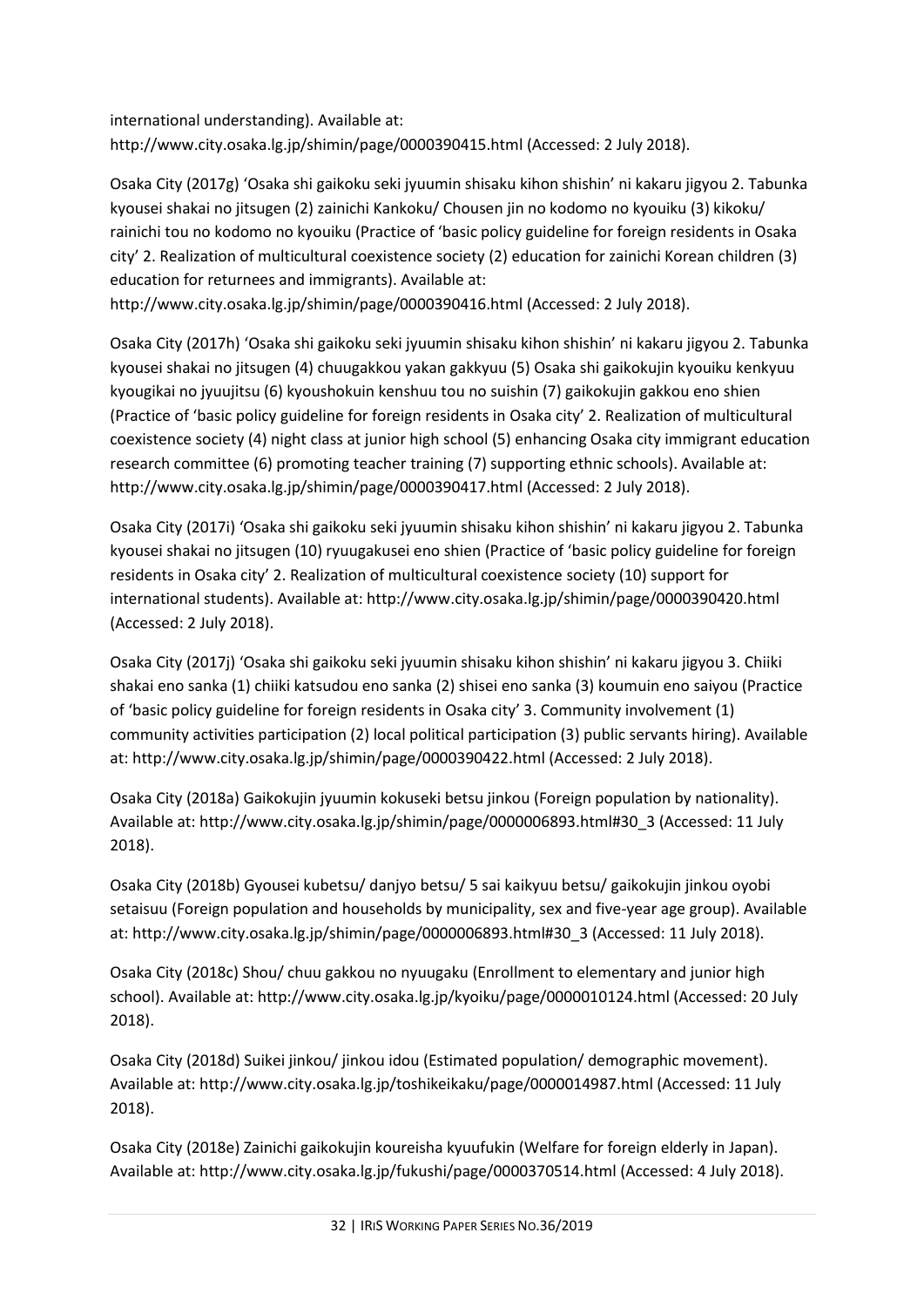international understanding). Available at: http://www.city.osaka.lg.jp/shimin/page/0000390415.html (Accessed: 2 July 2018).

Osaka City (2017g) 'Osaka shi gaikoku seki jyuumin shisaku kihon shishin' ni kakaru jigyou 2. Tabunka kyousei shakai no jitsugen (2) zainichi Kankoku/ Chousen jin no kodomo no kyouiku (3) kikoku/ rainichi tou no kodomo no kyouiku (Practice of 'basic policy guideline for foreign residents in Osaka city' 2. Realization of multicultural coexistence society (2) education for zainichi Korean children (3) education for returnees and immigrants). Available at: http://www.city.osaka.lg.jp/shimin/page/0000390416.html (Accessed: 2 July 2018).

Osaka City (2017h) 'Osaka shi gaikoku seki jyuumin shisaku kihon shishin' ni kakaru jigyou 2. Tabunka kyousei shakai no jitsugen (4) chuugakkou yakan gakkyuu (5) Osaka shi gaikokujin kyouiku kenkyuu kyougikai no jyuujitsu (6) kyoushokuin kenshuu tou no suishin (7) gaikokujin gakkou eno shien (Practice of 'basic policy guideline for foreign residents in Osaka city' 2. Realization of multicultural coexistence society (4) night class at junior high school (5) enhancing Osaka city immigrant education research committee (6) promoting teacher training (7) supporting ethnic schools). Available at: http://www.city.osaka.lg.jp/shimin/page/0000390417.html (Accessed: 2 July 2018).

Osaka City (2017i) 'Osaka shi gaikoku seki jyuumin shisaku kihon shishin' ni kakaru jigyou 2. Tabunka kyousei shakai no jitsugen (10) ryuugakusei eno shien (Practice of 'basic policy guideline for foreign residents in Osaka city' 2. Realization of multicultural coexistence society (10) support for international students). Available at: http://www.city.osaka.lg.jp/shimin/page/0000390420.html (Accessed: 2 July 2018).

Osaka City (2017j) 'Osaka shi gaikoku seki jyuumin shisaku kihon shishin' ni kakaru jigyou 3. Chiiki shakai eno sanka (1) chiiki katsudou eno sanka (2) shisei eno sanka (3) koumuin eno saiyou (Practice of 'basic policy guideline for foreign residents in Osaka city' 3. Community involvement (1) community activities participation (2) local political participation (3) public servants hiring). Available at: http://www.city.osaka.lg.jp/shimin/page/0000390422.html (Accessed: 2 July 2018).

Osaka City (2018a) Gaikokujin jyuumin kokuseki betsu jinkou (Foreign population by nationality). Available at: http://www.city.osaka.lg.jp/shimin/page/0000006893.html#30\_3 (Accessed: 11 July 2018).

Osaka City (2018b) Gyousei kubetsu/ danjyo betsu/ 5 sai kaikyuu betsu/ gaikokujin jinkou oyobi setaisuu (Foreign population and households by municipality, sex and five-year age group). Available at: http://www.city.osaka.lg.jp/shimin/page/0000006893.html#30\_3 (Accessed: 11 July 2018).

Osaka City (2018c) Shou/ chuu gakkou no nyuugaku (Enrollment to elementary and junior high school). Available at: http://www.city.osaka.lg.jp/kyoiku/page/0000010124.html (Accessed: 20 July 2018).

Osaka City (2018d) Suikei jinkou/ jinkou idou (Estimated population/ demographic movement). Available at: http://www.city.osaka.lg.jp/toshikeikaku/page/0000014987.html (Accessed: 11 July 2018).

Osaka City (2018e) Zainichi gaikokujin koureisha kyuufukin (Welfare for foreign elderly in Japan). Available at: http://www.city.osaka.lg.jp/fukushi/page/0000370514.html (Accessed: 4 July 2018).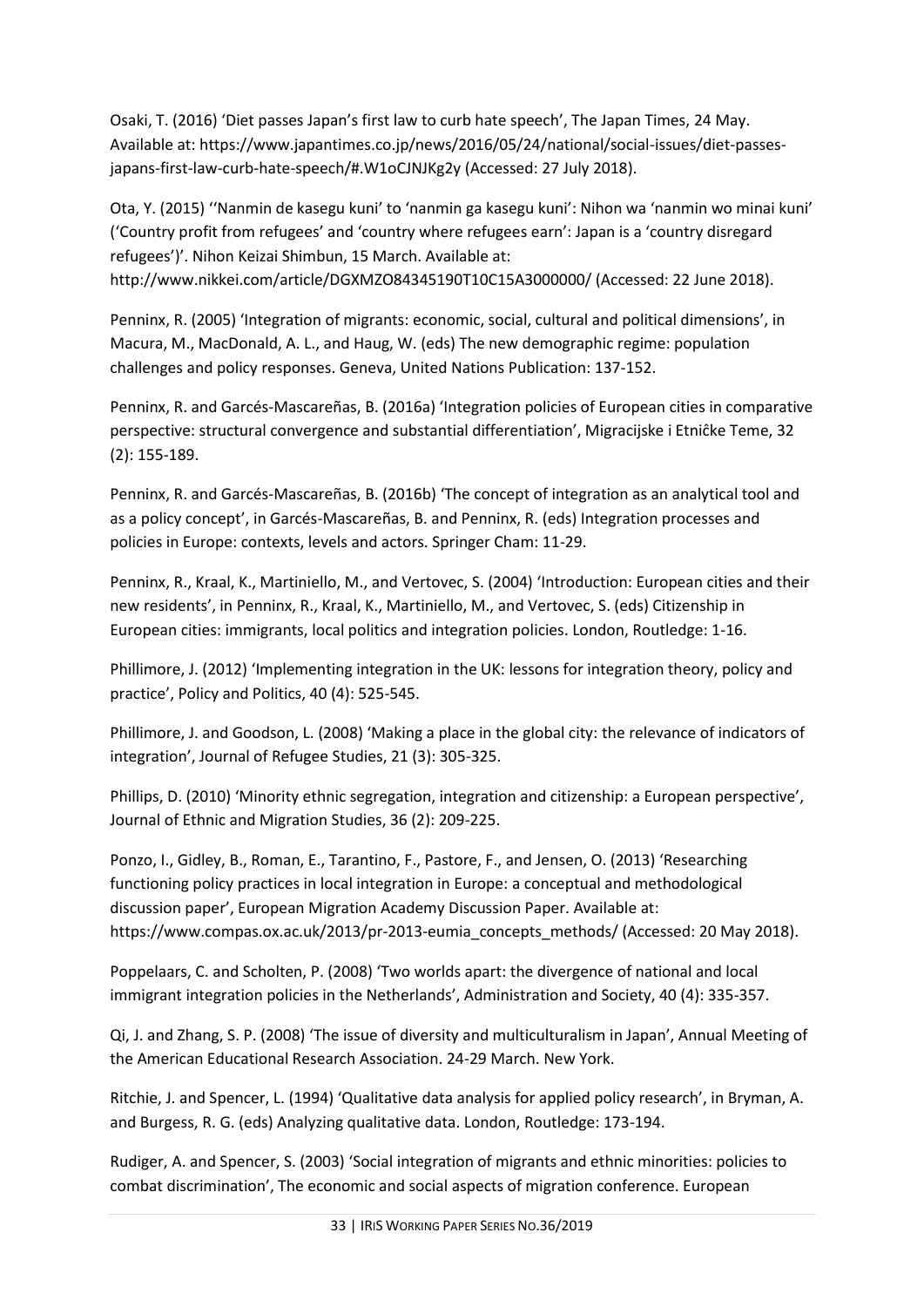Osaki, T. (2016) 'Diet passes Japan's first law to curb hate speech', The Japan Times, 24 May. Available at: https://www.japantimes.co.jp/news/2016/05/24/national/social-issues/diet-passesjapans-first-law-curb-hate-speech/#.W1oCJNJKg2y (Accessed: 27 July 2018).

Ota, Y. (2015) ''Nanmin de kasegu kuni' to 'nanmin ga kasegu kuni': Nihon wa 'nanmin wo minai kuni' ('Country profit from refugees' and 'country where refugees earn': Japan is a 'country disregard refugees')'. Nihon Keizai Shimbun, 15 March. Available at: http://www.nikkei.com/article/DGXMZO84345190T10C15A3000000/ (Accessed: 22 June 2018).

Penninx, R. (2005) 'Integration of migrants: economic, social, cultural and political dimensions', in Macura, M., MacDonald, A. L., and Haug, W. (eds) The new demographic regime: population challenges and policy responses. Geneva, United Nations Publication: 137-152.

Penninx, R. and Garcés-Mascareñas, B. (2016a) 'Integration policies of European cities in comparative perspective: structural convergence and substantial differentiation', Migracijske i Etniĉke Teme, 32 (2): 155-189.

Penninx, R. and Garcés-Mascareñas, B. (2016b) 'The concept of integration as an analytical tool and as a policy concept', in Garcés-Mascareñas, B. and Penninx, R. (eds) Integration processes and policies in Europe: contexts, levels and actors. Springer Cham: 11-29.

Penninx, R., Kraal, K., Martiniello, M., and Vertovec, S. (2004) 'Introduction: European cities and their new residents', in Penninx, R., Kraal, K., Martiniello, M., and Vertovec, S. (eds) Citizenship in European cities: immigrants, local politics and integration policies. London, Routledge: 1-16.

Phillimore, J. (2012) 'Implementing integration in the UK: lessons for integration theory, policy and practice', Policy and Politics, 40 (4): 525-545.

Phillimore, J. and Goodson, L. (2008) 'Making a place in the global city: the relevance of indicators of integration', Journal of Refugee Studies, 21 (3): 305-325.

Phillips, D. (2010) 'Minority ethnic segregation, integration and citizenship: a European perspective', Journal of Ethnic and Migration Studies, 36 (2): 209-225.

Ponzo, I., Gidley, B., Roman, E., Tarantino, F., Pastore, F., and Jensen, O. (2013) 'Researching functioning policy practices in local integration in Europe: a conceptual and methodological discussion paper', European Migration Academy Discussion Paper. Available at: https://www.compas.ox.ac.uk/2013/pr-2013-eumia\_concepts\_methods/ (Accessed: 20 May 2018).

Poppelaars, C. and Scholten, P. (2008) 'Two worlds apart: the divergence of national and local immigrant integration policies in the Netherlands', Administration and Society, 40 (4): 335-357.

Qi, J. and Zhang, S. P. (2008) 'The issue of diversity and multiculturalism in Japan', Annual Meeting of the American Educational Research Association. 24-29 March. New York.

Ritchie, J. and Spencer, L. (1994) 'Qualitative data analysis for applied policy research', in Bryman, A. and Burgess, R. G. (eds) Analyzing qualitative data. London, Routledge: 173-194.

Rudiger, A. and Spencer, S. (2003) 'Social integration of migrants and ethnic minorities: policies to combat discrimination', The economic and social aspects of migration conference. European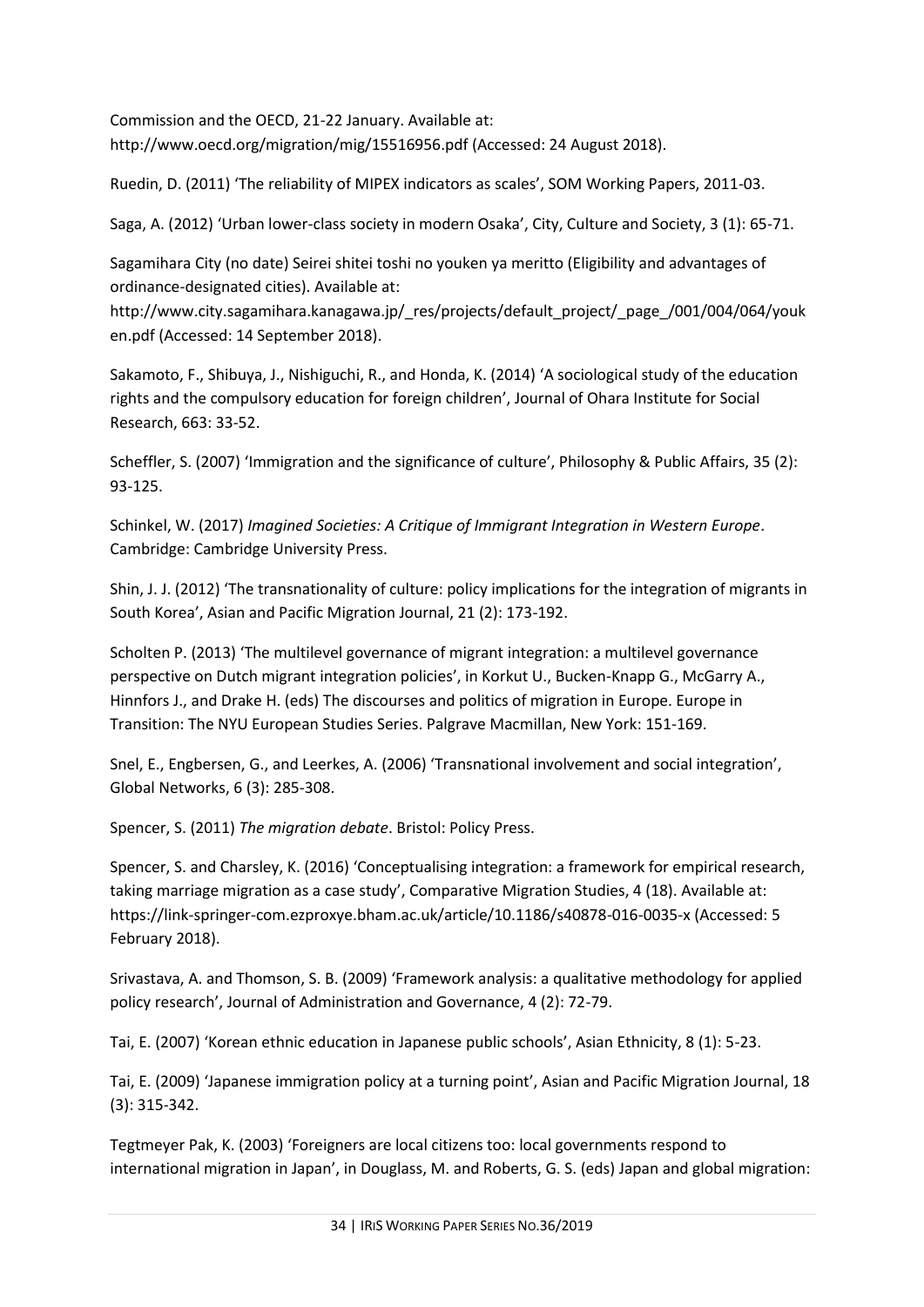Commission and the OECD, 21-22 January. Available at: http://www.oecd.org/migration/mig/15516956.pdf (Accessed: 24 August 2018).

Ruedin, D. (2011) 'The reliability of MIPEX indicators as scales', SOM Working Papers, 2011-03.

Saga, A. (2012) 'Urban lower-class society in modern Osaka', City, Culture and Society, 3 (1): 65-71.

Sagamihara City (no date) Seirei shitei toshi no youken ya meritto (Eligibility and advantages of ordinance-designated cities). Available at:

http://www.city.sagamihara.kanagawa.jp/\_res/projects/default\_project/\_page\_/001/004/064/youk en.pdf (Accessed: 14 September 2018).

Sakamoto, F., Shibuya, J., Nishiguchi, R., and Honda, K. (2014) 'A sociological study of the education rights and the compulsory education for foreign children', Journal of Ohara Institute for Social Research, 663: 33-52.

Scheffler, S. (2007) 'Immigration and the significance of culture', Philosophy & Public Affairs, 35 (2): 93-125.

Schinkel, W. (2017) *Imagined Societies: A Critique of Immigrant Integration in Western Europe*. Cambridge: Cambridge University Press.

Shin, J. J. (2012) 'The transnationality of culture: policy implications for the integration of migrants in South Korea', Asian and Pacific Migration Journal, 21 (2): 173-192.

Scholten P. (2013) 'The multilevel governance of migrant integration: a multilevel governance perspective on Dutch migrant integration policies', in Korkut U., Bucken-Knapp G., McGarry A., Hinnfors J., and Drake H. (eds) The discourses and politics of migration in Europe. Europe in Transition: The NYU European Studies Series. Palgrave Macmillan, New York: 151-169.

Snel, E., Engbersen, G., and Leerkes, A. (2006) 'Transnational involvement and social integration', Global Networks, 6 (3): 285-308.

Spencer, S. (2011) *The migration debate*. Bristol: Policy Press.

Spencer, S. and Charsley, K. (2016) 'Conceptualising integration: a framework for empirical research, taking marriage migration as a case study', Comparative Migration Studies, 4 (18). Available at: https://link-springer-com.ezproxye.bham.ac.uk/article/10.1186/s40878-016-0035-x (Accessed: 5 February 2018).

Srivastava, A. and Thomson, S. B. (2009) 'Framework analysis: a qualitative methodology for applied policy research', Journal of Administration and Governance, 4 (2): 72-79.

Tai, E. (2007) 'Korean ethnic education in Japanese public schools', Asian Ethnicity, 8 (1): 5-23.

Tai, E. (2009) 'Japanese immigration policy at a turning point', Asian and Pacific Migration Journal, 18 (3): 315-342.

Tegtmeyer Pak, K. (2003) 'Foreigners are local citizens too: local governments respond to international migration in Japan', in Douglass, M. and Roberts, G. S. (eds) Japan and global migration: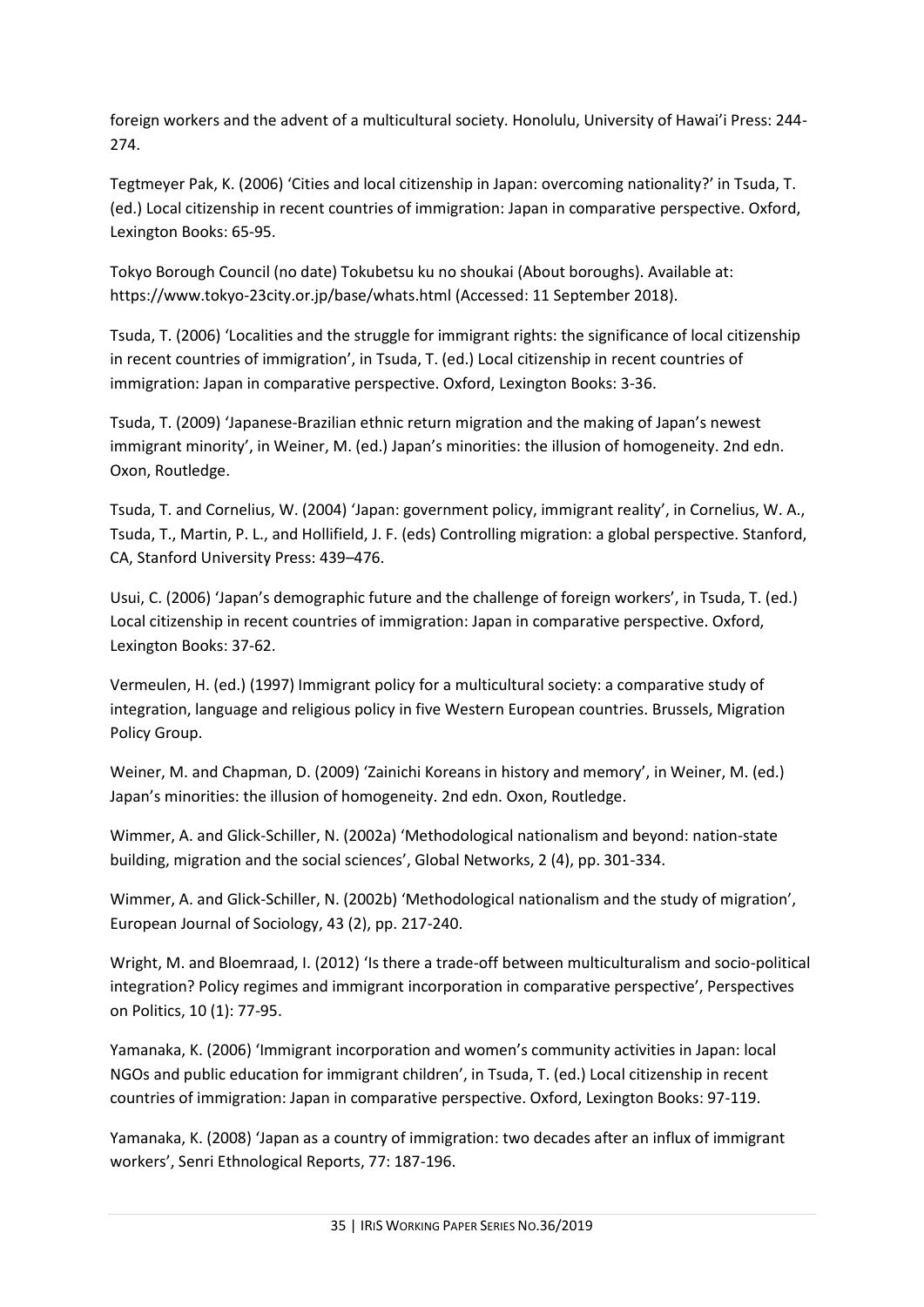foreign workers and the advent of a multicultural society. Honolulu, University of Hawai'i Press: 244- 274.

Tegtmeyer Pak, K. (2006) 'Cities and local citizenship in Japan: overcoming nationality?' in Tsuda, T. (ed.) Local citizenship in recent countries of immigration: Japan in comparative perspective. Oxford, Lexington Books: 65-95.

Tokyo Borough Council (no date) Tokubetsu ku no shoukai (About boroughs). Available at: https://www.tokyo-23city.or.jp/base/whats.html (Accessed: 11 September 2018).

Tsuda, T. (2006) 'Localities and the struggle for immigrant rights: the significance of local citizenship in recent countries of immigration', in Tsuda, T. (ed.) Local citizenship in recent countries of immigration: Japan in comparative perspective. Oxford, Lexington Books: 3-36.

Tsuda, T. (2009) 'Japanese-Brazilian ethnic return migration and the making of Japan's newest immigrant minority', in Weiner, M. (ed.) Japan's minorities: the illusion of homogeneity. 2nd edn. Oxon, Routledge.

Tsuda, T. and Cornelius, W. (2004) 'Japan: government policy, immigrant reality', in Cornelius, W. A., Tsuda, T., Martin, P. L., and Hollifield, J. F. (eds) Controlling migration: a global perspective. Stanford, CA, Stanford University Press: 439–476.

Usui, C. (2006) 'Japan's demographic future and the challenge of foreign workers', in Tsuda, T. (ed.) Local citizenship in recent countries of immigration: Japan in comparative perspective. Oxford, Lexington Books: 37-62.

Vermeulen, H. (ed.) (1997) Immigrant policy for a multicultural society: a comparative study of integration, language and religious policy in five Western European countries. Brussels, Migration Policy Group.

Weiner, M. and Chapman, D. (2009) 'Zainichi Koreans in history and memory', in Weiner, M. (ed.) Japan's minorities: the illusion of homogeneity. 2nd edn. Oxon, Routledge.

Wimmer, A. and Glick-Schiller, N. (2002a) 'Methodological nationalism and beyond: nation-state building, migration and the social sciences', Global Networks, 2 (4), pp. 301-334.

Wimmer, A. and Glick-Schiller, N. (2002b) 'Methodological nationalism and the study of migration', European Journal of Sociology, 43 (2), pp. 217-240.

Wright, M. and Bloemraad, I. (2012) 'Is there a trade-off between multiculturalism and socio-political integration? Policy regimes and immigrant incorporation in comparative perspective', Perspectives on Politics, 10 (1): 77-95.

Yamanaka, K. (2006) 'Immigrant incorporation and women's community activities in Japan: local NGOs and public education for immigrant children', in Tsuda, T. (ed.) Local citizenship in recent countries of immigration: Japan in comparative perspective. Oxford, Lexington Books: 97-119.

Yamanaka, K. (2008) 'Japan as a country of immigration: two decades after an influx of immigrant workers', Senri Ethnological Reports, 77: 187-196.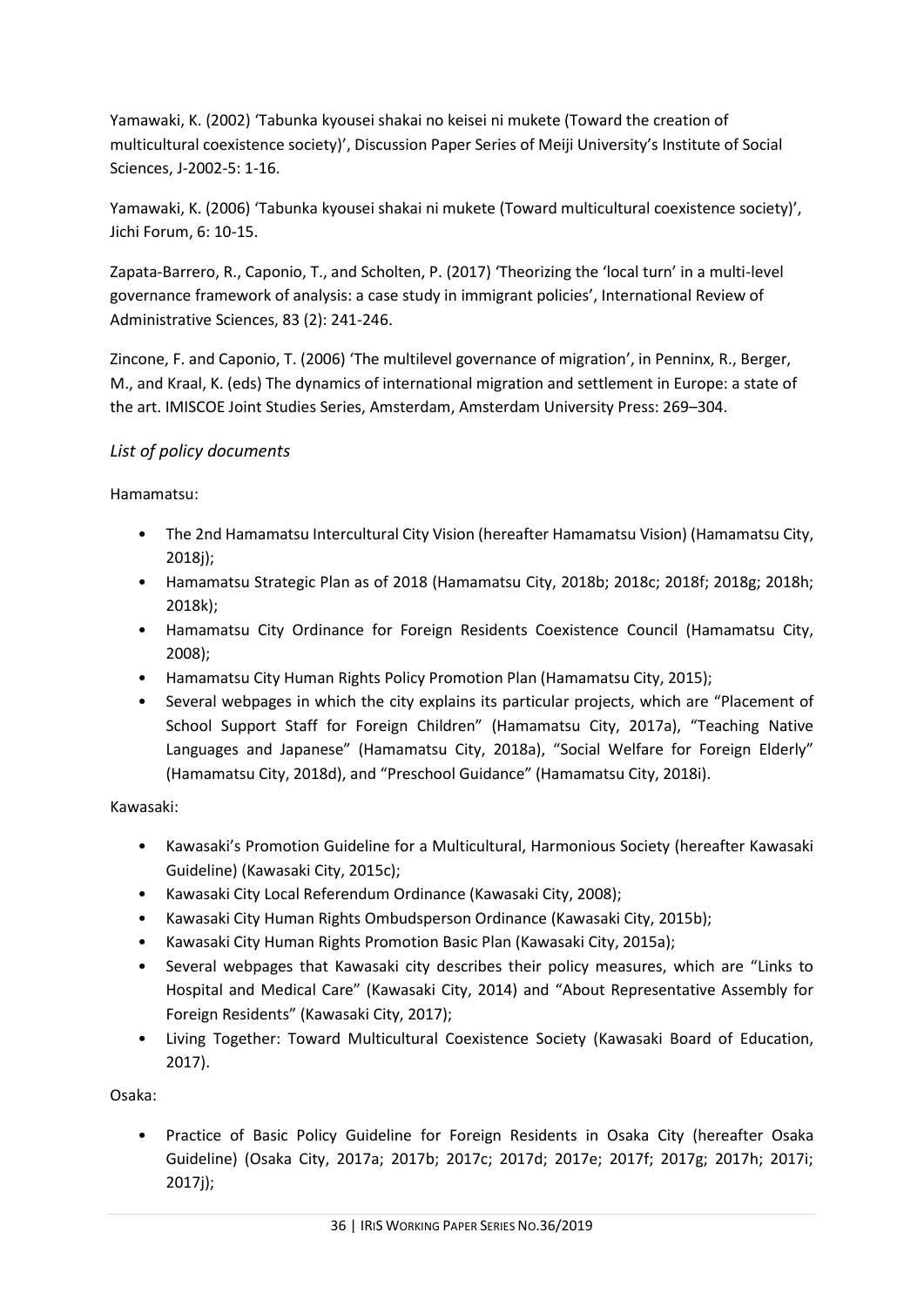Yamawaki, K. (2002) 'Tabunka kyousei shakai no keisei ni mukete (Toward the creation of multicultural coexistence society)', Discussion Paper Series of Meiji University's Institute of Social Sciences, J-2002-5: 1-16.

Yamawaki, K. (2006) 'Tabunka kyousei shakai ni mukete (Toward multicultural coexistence society)', Jichi Forum, 6: 10-15.

Zapata-Barrero, R., Caponio, T., and Scholten, P. (2017) 'Theorizing the 'local turn' in a multi-level governance framework of analysis: a case study in immigrant policies', International Review of Administrative Sciences, 83 (2): 241-246.

Zincone, F. and Caponio, T. (2006) 'The multilevel governance of migration', in Penninx, R., Berger, M., and Kraal, K. (eds) The dynamics of international migration and settlement in Europe: a state of the art. IMISCOE Joint Studies Series, Amsterdam, Amsterdam University Press: 269–304.

## <span id="page-35-0"></span>*List of policy documents*

Hamamatsu:

- The 2nd Hamamatsu Intercultural City Vision (hereafter Hamamatsu Vision) (Hamamatsu City, 2018j);
- Hamamatsu Strategic Plan as of 2018 (Hamamatsu City, 2018b; 2018c; 2018f; 2018g; 2018h; 2018k);
- Hamamatsu City Ordinance for Foreign Residents Coexistence Council (Hamamatsu City, 2008);
- Hamamatsu City Human Rights Policy Promotion Plan (Hamamatsu City, 2015);
- Several webpages in which the city explains its particular projects, which are "Placement of School Support Staff for Foreign Children" (Hamamatsu City, 2017a), "Teaching Native Languages and Japanese" (Hamamatsu City, 2018a), "Social Welfare for Foreign Elderly" (Hamamatsu City, 2018d), and "Preschool Guidance" (Hamamatsu City, 2018i).

Kawasaki:

- Kawasaki's Promotion Guideline for a Multicultural, Harmonious Society (hereafter Kawasaki Guideline) (Kawasaki City, 2015c);
- Kawasaki City Local Referendum Ordinance (Kawasaki City, 2008);
- Kawasaki City Human Rights Ombudsperson Ordinance (Kawasaki City, 2015b);
- Kawasaki City Human Rights Promotion Basic Plan (Kawasaki City, 2015a);
- Several webpages that Kawasaki city describes their policy measures, which are "Links to Hospital and Medical Care" (Kawasaki City, 2014) and "About Representative Assembly for Foreign Residents" (Kawasaki City, 2017);
- Living Together: Toward Multicultural Coexistence Society (Kawasaki Board of Education, 2017).

Osaka:

• Practice of Basic Policy Guideline for Foreign Residents in Osaka City (hereafter Osaka Guideline) (Osaka City, 2017a; 2017b; 2017c; 2017d; 2017e; 2017f; 2017g; 2017h; 2017i; 2017j);